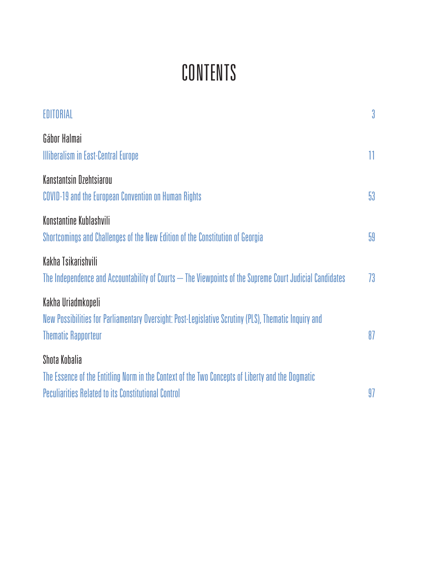# **CONTENTS**

| EDITORIAL                                                                                                                                                                       | 3  |
|---------------------------------------------------------------------------------------------------------------------------------------------------------------------------------|----|
| Gábor Halmai<br><b>Illiberalism in East-Central Europe</b>                                                                                                                      | 11 |
| Kanstantsin Dzehtsiarou<br><b>COVID-19 and the European Convention on Human Rights</b>                                                                                          | 53 |
| Konstantine Kublashvili<br>Shortcomings and Challenges of the New Edition of the Constitution of Georgia                                                                        | 59 |
| Kakha Tsikarishvili<br>The Independence and Accountability of Courts $-$ The Viewpoints of the Supreme Court Judicial Candidates                                                | 73 |
| Kakha Uriadmkopeli<br>New Possibilities for Parliamentary Oversight: Post-Legislative Scrutiny (PLS), Thematic Inquiry and<br><b>Thematic Rapporteur</b>                        | 87 |
| Shota Kobalia<br>The Essence of the Entitling Norm in the Context of the Two Concepts of Liberty and the Dogmatic<br><b>Peculiarities Related to its Constitutional Control</b> | 97 |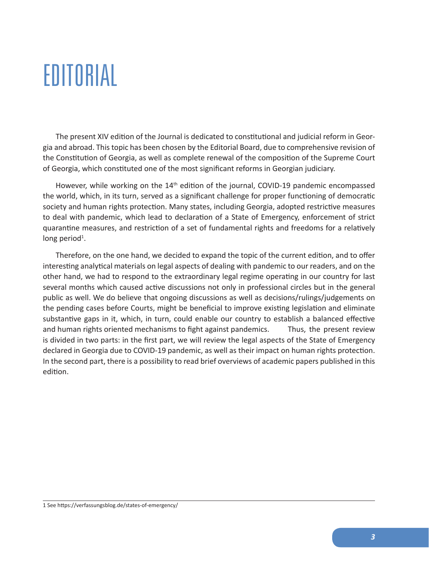# EDITORIAL

The present XIV edition of the Journal is dedicated to constitutional and judicial reform in Georgia and abroad. This topic has been chosen by the Editorial Board, due to comprehensive revision of the Constitution of Georgia, as well as complete renewal of the composition of the Supreme Court of Georgia, which constituted one of the most significant reforms in Georgian judiciary.

However, while working on the  $14<sup>th</sup>$  edition of the journal, COVID-19 pandemic encompassed the world, which, in its turn, served as a significant challenge for proper functioning of democratic society and human rights protection. Many states, including Georgia, adopted restrictive measures to deal with pandemic, which lead to declaration of a State of Emergency, enforcement of strict quarantine measures, and restriction of a set of fundamental rights and freedoms for a relatively long period<sup>1</sup>.

Therefore, on the one hand, we decided to expand the topic of the current edition, and to offer interesting analytical materials on legal aspects of dealing with pandemic to our readers, and on the other hand, we had to respond to the extraordinary legal regime operating in our country for last several months which caused active discussions not only in professional circles but in the general public as well. We do believe that ongoing discussions as well as decisions/rulings/judgements on the pending cases before Courts, might be beneficial to improve existing legislation and eliminate substantive gaps in it, which, in turn, could enable our country to establish a balanced effective and human rights oriented mechanisms to fight against pandemics. Thus, the present review is divided in two parts: in the first part, we will review the legal aspects of the State of Emergency declared in Georgia due to COVID-19 pandemic, as well as their impact on human rights protection. In the second part, there is a possibility to read brief overviews of academic papers published in this edition.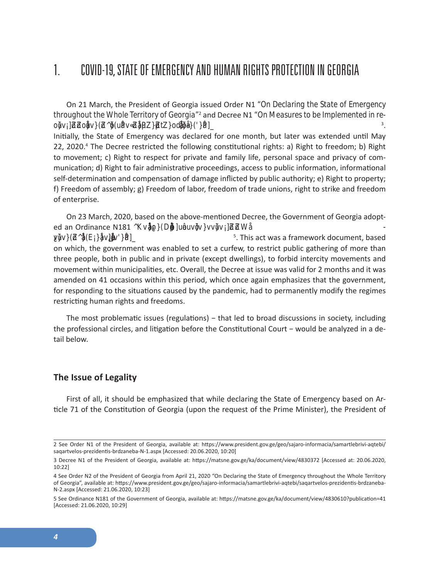## 1. COVID-19, STATE OF EMERGENCY AND HUMAN RIGHTS PROTECTION IN GEORGIA

On 21 March, the President of Georgia issued Order N1 *"On Declaring the State of Emergency throughout the Whole Territory of Georgia"*<sup>2</sup> and Decree N1 *"On Measures to be Implemented in relation with the Declaration of the State of Emergency throughout the Whole Territory of Georgia"*<sup>3</sup> . Initially, the State of Emergency was declared for one month, but later was extended until May 22, 2020.<sup>4</sup> The Decree restricted the following constitutional rights: a) Right to freedom; b) Right to movement; c) Right to respect for private and family life, personal space and privacy of communication; d) Right to fair administrative proceedings, access to public information, informational self-determination and compensation of damage inflicted by public authority; e) Right to property; f) Freedom of assembly; g) Freedom of labor, freedom of trade unions, right to strike and freedom of enterprise.

On 23 March, 2020, based on the above-mentioned Decree, the Government of Georgia adopted an Ordinance N181 *"On Approval of Measures to be implemented in connection with the Prevention of the Spread of New Coronavirus in Georgia"*<sup>5</sup> . This act was a framework document, based on which, the government was enabled to set a curfew, to restrict public gathering of more than three people, both in public and in private (except dwellings), to forbid intercity movements and movement within municipalities, etc. Overall, the Decree at issue was valid for 2 months and it was amended on 41 occasions within this period, which once again emphasizes that the government, for responding to the situations caused by the pandemic, had to permanently modify the regimes restricting human rights and freedoms.

The most problematic issues (regulations) – that led to broad discussions in society, including the professional circles, and litigation before the Constitutional Court − would be analyzed in a detail below.

#### **The Issue of Legality**

First of all, it should be emphasized that while declaring the State of Emergency based on Article 71 of the Constitution of Georgia (upon the request of the Prime Minister), the President of

<sup>2</sup> See Order N1 of the President of Georgia, available at: https://www.president.gov.ge/geo/sajaro-informacia/samartlebrivi-aqtebi/ saqartvelos-prezidentis-brdzaneba-N-1.aspx [Accessed: 20.06.2020, 10:20]

<sup>3</sup> Decree N1 of the President of Georgia, available at: https://matsne.gov.ge/ka/document/view/4830372 [Accessed at: 20.06.2020, 10:22]

<sup>4</sup> See Order N2 of the President of Georgia from April 21, 2020 "On Declaring the State of Emergency throughout the Whole Territory of Georgia", available at: https://www.president.gov.ge/geo/sajaro-informacia/samartlebrivi-aqtebi/saqartvelos-prezidentis-brdzaneba-N-2.aspx [Accessed: 21.06.2020, 10:23]

<sup>5</sup> See Ordinance N181 of the Government of Georgia, available at: https://matsne.gov.ge/ka/document/view/4830610?publication=41 [Accessed: 21.06.2020, 10:29]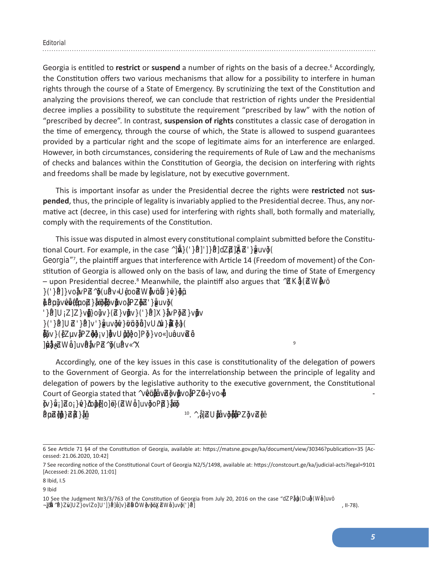*Editorial*

Georgia is entitled to **restrict** or suspend a number of rights on the basis of a decree.<sup>6</sup> Accordingly, the Constitution offers two various mechanisms that allow for a possibility to interfere in human rights through the course of a State of Emergency. By scrutinizing the text of the Constitution and analyzing the provisions thereof, we can conclude that restriction of rights under the Presidential decree implies a possibility to substitute the requirement "prescribed by law" with the notion of "prescribed by decree". In contrast, **suspension of rights** constitutes a classic case of derogation in the time of emergency, through the course of which, the State is allowed to suspend guarantees provided by a particular right and the scope of legitimate aims for an interference are enlarged. However, in both circumstances, considering the requirements of Rule of Law and the mechanisms of checks and balances within the Constitution of Georgia, the decision on interfering with rights and freedoms shall be made by legislature, not by executive government.

This is important insofar as under the Presidential decree the rights were **restricted** not **suspended**, thus, the principle of legality is invariably applied to the Presidential decree. Thus, any normative act (decree, in this case) used for interfering with rights shall, both formally and materially, comply with the requirements of the Constitution.

This issue was disputed in almost every constitutional complaint submitted before the Constitutional Court. For example, in the case *"Citizen of Georgia Giorgi Tchautchidze v. the Government of Georgia"*<sup>7</sup> , the plaintiff argues that interference with Article 14 (Freedom of movement) of the Constitution of Georgia is allowed only on the basis of law, and during the time of State of Emergency – upon Presidential decree.8 Meanwhile, the plaintiff also argues that *"the Order of the President of Georgia on declaring the State of Emergency, as well as the Presidential decree, does not set out specific regulations and transfers full authority to restrict constitutional rights to the Government of Georgia, which constitutes a violation of the Constitution of Georgia. According to the Constitution of Georgia, the Georgian Government is not entitled to determine, expand or reduce the scope of restriction of basic human rights at its own discretion, but it is obliged to only implement the acts issued and approved by the Parliament regarding the State of Emergency".*<sup>9</sup>

Accordingly, one of the key issues in this case is constitutionality of the delegation of powers to the Government of Georgia. As for the interrelationship between the principle of legality and delegation of powers by the legislative authority to the executive government, the Constitutional Court of Georgia stated that *"an essential requirement that constitutional rights may only be restricted in accordance with law does not exclude a possibility of the Parliament to delegate authority to regulate these issues to other authorities"*10. *"Herewith, requirement to restrict a right on the basis* 

<sup>6</sup> See Article 71 §4 of the Constitution of Georgia, available at: https://matsne.gov.ge/ka/document/view/30346?publication=35 [Accessed: 21.06.2020, 10:42]

<sup>7</sup> See recording notice of the Constitutional Court of Georgia N2/5/1498, available at: https://constcourt.ge/ka/judicial-acts?legal=9101 [Accessed: 21.06.2020, 11:01]

<sup>8</sup> Ibid, I.5

<sup>9</sup> Ibid

<sup>10</sup> See the Judgment №3/3/763 of the Constitution of Georgia from July 20, 2016 on the case "*The group of Members of Parliament (Davit Bakradze, Sergo Ratiani, Roland Akhalaia, Giorgi Baramide and others, 42 MPs in total) v. the Parliament of Georgia*, II-78).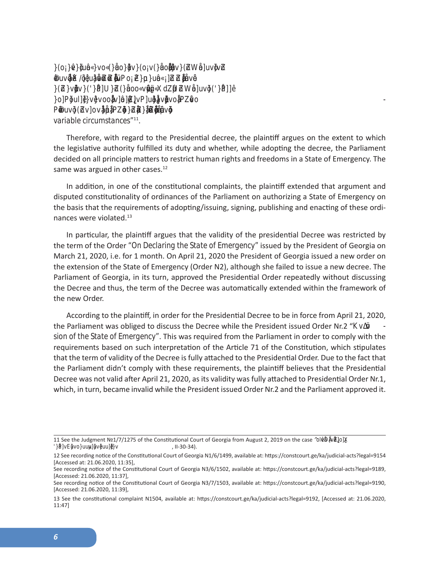*of law does not imply only formal adoption of law and formal participation of the Parliament in the settlement process. It is important that the restricting law should comply with the requirements of the Constitution of Georgia, both formally and substantively. Thus, the Parliament of Georgia is obliged to make decisions on all principal issues having impact over constitutional rights and delegate settlement of technical and procedural rights to other authorities that require adjustment to variable circumstances"*11.

Therefore, with regard to the Presidential decree, the plaintiff argues on the extent to which the legislative authority fulfilled its duty and whether, while adopting the decree, the Parliament decided on all principle matters to restrict human rights and freedoms in a State of Emergency. The same was argued in other cases.<sup>12</sup>

In addition, in one of the constitutional complaints, the plaintiff extended that argument and disputed constitutionality of ordinances of the Parliament on authorizing a State of Emergency on the basis that the requirements of adopting/issuing, signing, publishing and enacting of these ordinances were violated.13

In particular, the plaintiff argues that the validity of the presidential Decree was restricted by the term of the Order *"On Declaring the State of Emergency"* issued by the President of Georgia on March 21, 2020, i.e. for 1 month. On April 21, 2020 the President of Georgia issued a new order on the extension of the State of Emergency (Order N2), although she failed to issue a new decree. The Parliament of Georgia, in its turn, approved the Presidential Order repeatedly without discussing the Decree and thus, the term of the Decree was automatically extended within the framework of the new Order.

According to the plaintiff, in order for the Presidential Decree to be in force from April 21, 2020, the Parliament was obliged to discuss the Decree while the President issued Order Nr.2 "*On Extension of the State of Emergency"*. This was required from the Parliament in order to comply with the requirements based on such interpretation of the Article 71 of the Constitution, which stipulates that the term of validity of the Decree is fully attached to the Presidential Order. Due to the fact that the Parliament didn't comply with these requirements, the plaintiff believes that the Presidential Decree was not valid after April 21, 2020, as its validity was fully attached to Presidential Order Nr.1, which, in turn, became invalid while the President issued Order Nr.2 and the Parliament approved it.

<sup>11</sup> See the Judgment №1/7/1275 of the Constitutional Court of Georgia from August 2, 2019 on the case *"Aleksandre Mdzinarashvili v. Georgian National Communications Commission*, II-30-34).

<sup>12</sup> See recording notice of the Constitutional Court of Georgia N1/6/1499, available at: https://constcourt.ge/ka/judicial-acts?legal=9154 [Accessed at: 21.06.2020, 11:35],

See recording notice of the Constitutional Court of Georgia N3/6/1502, available at: https://constcourt.ge/ka/judicial-acts?legal=9189, [Accessed: 21.06.2020, 11:37],

See recording notice of the Constitutional Court of Georgia N3/7/1503, available at: https://constcourt.ge/ka/judicial-acts?legal=9190, [Accessed: 21.06.2020, 11:39],

<sup>13</sup> See the constitutional complaint N1504, available at: https://constcourt.ge/ka/judicial-acts?legal=9192, [Accessed at: 21.06.2020, 11:47]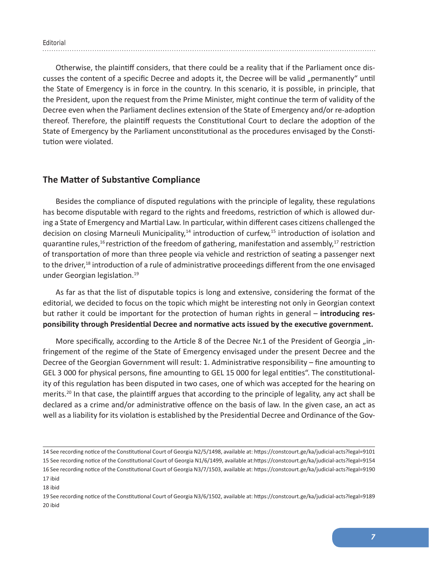*Editorial*

Otherwise, the plaintiff considers, that there could be a reality that if the Parliament once discusses the content of a specific Decree and adopts it, the Decree will be valid "permanently" until the State of Emergency is in force in the country. In this scenario, it is possible, in principle, that the President, upon the request from the Prime Minister, might continue the term of validity of the Decree even when the Parliament declines extension of the State of Emergency and/or re-adoption thereof. Therefore, the plaintiff requests the Constitutional Court to declare the adoption of the State of Emergency by the Parliament unconstitutional as the procedures envisaged by the Constitution were violated.

#### **The Matter of Substantive Compliance**

Besides the compliance of disputed regulations with the principle of legality, these regulations has become disputable with regard to the rights and freedoms, restriction of which is allowed during a State of Emergency and Martial Law. In particular, within different cases citizens challenged the decision on closing Marneuli Municipality,<sup>14</sup> introduction of curfew,<sup>15</sup> introduction of isolation and quarantine rules,<sup>16</sup> restriction of the freedom of gathering, manifestation and assembly,<sup>17</sup> restriction of transportation of more than three people via vehicle and restriction of seating a passenger next to the driver,<sup>18</sup> introduction of a rule of administrative proceedings different from the one envisaged under Georgian legislation.19

As far as that the list of disputable topics is long and extensive, considering the format of the editorial, we decided to focus on the topic which might be interesting not only in Georgian context but rather it could be important for the protection of human rights in general – **introducing responsibility through Presidential Decree and normative acts issued by the executive government.** 

More specifically, according to the Article 8 of the Decree Nr.1 of the President of Georgia "infringement of the regime of the State of Emergency envisaged under the present Decree and the Decree of the Georgian Government will result: 1. Administrative responsibility – fine amounting to GEL 3 000 for physical persons, fine amounting to GEL 15 000 for legal entities". The constitutionality of this regulation has been disputed in two cases, one of which was accepted for the hearing on merits.<sup>20</sup> In that case, the plaintiff argues that according to the principle of legality, any act shall be declared as a crime and/or administrative offence on the basis of law. In the given case, an act as well as a liability for its violation is established by the Presidential Decree and Ordinance of the Gov-

<sup>14</sup> See recording notice of the Constitutional Court of Georgia N2/5/1498, available at: https://constcourt.ge/ka/judicial-acts?legal=9101 15 See recording notice of the Constitutional Court of Georgia N1/6/1499, available at:https://constcourt.ge/ka/judicial-acts?legal=9154 16 See recording notice of the Constitutional Court of Georgia N3/7/1503, available at: https://constcourt.ge/ka/judicial-acts?legal=9190 17 ibid

<sup>18</sup> ibid

<sup>19</sup> See recording notice of the Constitutional Court of Georgia N3/6/1502, available at: https://constcourt.ge/ka/judicial-acts?legal=9189 20 ibid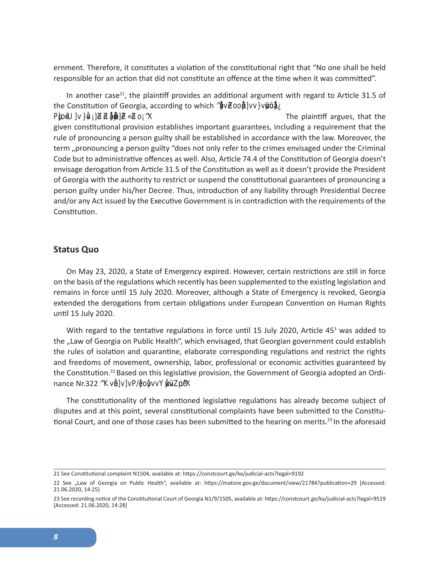ernment. Therefore, it constitutes a violation of the constitutional right that "No one shall be held responsible for an action that did not constitute an offence at the time when it was committed".

In another case<sup>21</sup>, the plaintiff provides an additional argument with regard to Article 31.5 of the Constitution of Georgia, according to which *"A person shall be presumed innocent until proved guilty, in accordance with the procedures established by the law".* The plaintiff argues, that the given constitutional provision establishes important guarantees, including a requirement that the rule of pronouncing a person guilty shall be established in accordance with the law. Moreover, the term "pronouncing a person guilty "does not only refer to the crimes envisaged under the Criminal Code but to administrative offences as well. Also, Article 74.4 of the Constitution of Georgia doesn't envisage derogation from Article 31.5 of the Constitution as well as it doesn't provide the President of Georgia with the authority to restrict or suspend the constitutional guarantees of pronouncing a person guilty under his/her Decree. Thus, introduction of any liability through Presidential Decree and/or any Act issued by the Executive Government is in contradiction with the requirements of the Constitution.

#### **Status Quo**

On May 23, 2020, a State of Emergency expired. However, certain restrictions are still in force on the basis of the regulations which recently has been supplemented to the existing legislation and remains in force until 15 July 2020. Moreover, although a State of Emergency is revoked, Georgia extended the derogations from certain obligations under European Convention on Human Rights until 15 July 2020.

With regard to the tentative regulations in force until 15 July 2020, Article 45<sup>3</sup> was added to the "Law of Georgia on Public Health", which envisaged, that Georgian government could establish the rules of isolation and quarantine, elaborate corresponding regulations and restrict the rights and freedoms of movement, ownership, labor, professional or economic activities guaranteed by the Constitution.<sup>22</sup> Based on this legislative provision, the Government of Georgia adopted an Ordinance Nr.322 *"On Determining Isolation and Quarantine Rules".*

The constitutionality of the mentioned legislative regulations has already become subject of disputes and at this point, several constitutional complaints have been submitted to the Constitutional Court, and one of those cases has been submitted to the hearing on merits.<sup>23</sup> In the aforesaid

<sup>21</sup> See Constitutional complaint N1504, available at: https://constcourt.ge/ka/judicial-acts?legal=9192

<sup>22</sup> See "Law of Georgia on Public Health", available at: https://matsne.gov.ge/document/view/21784?publication=29 [Accessed: 21.06.2020, 14:25]

<sup>23</sup> See recording notice of the Constitutional Court of Georgia N1/9/1505, available at: https://constcourt.ge/ka/judicial-acts?legal=9519 [Accessed: 21.06.2020, 14:28]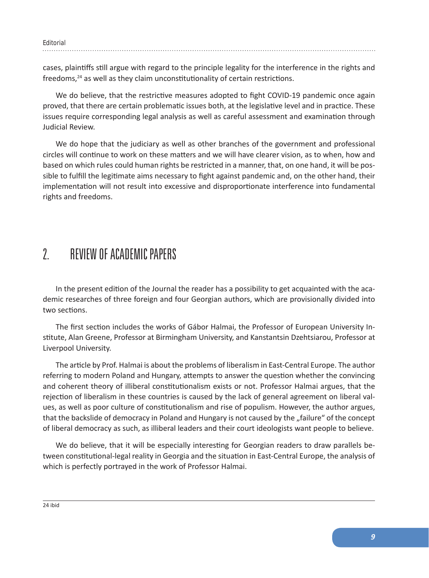cases, plaintiffs still argue with regard to the principle legality for the interference in the rights and freedoms, $24$  as well as they claim unconstitutionality of certain restrictions.

We do believe, that the restrictive measures adopted to fight COVID-19 pandemic once again proved, that there are certain problematic issues both, at the legislative level and in practice. These issues require corresponding legal analysis as well as careful assessment and examination through Judicial Review.

We do hope that the judiciary as well as other branches of the government and professional circles will continue to work on these matters and we will have clearer vision, as to when, how and based on which rules could human rights be restricted in a manner, that, on one hand, it will be possible to fulfill the legitimate aims necessary to fight against pandemic and, on the other hand, their implementation will not result into excessive and disproportionate interference into fundamental rights and freedoms.

### 2. REVIEW OF ACADEMIC PAPERS

In the present edition of the Journal the reader has a possibility to get acquainted with the academic researches of three foreign and four Georgian authors, which are provisionally divided into two sections.

The first section includes the works of Gábor Halmai, the Professor of European University Institute, Alan Greene, Professor at Birmingham University, and Kanstantsin Dzehtsiarou, Professor at Liverpool University.

The article by Prof. Halmai is about the problems of liberalism in East-Central Europe. The author referring to modern Poland and Hungary, attempts to answer the question whether the convincing and coherent theory of illiberal constitutionalism exists or not. Professor Halmai argues, that the rejection of liberalism in these countries is caused by the lack of general agreement on liberal values, as well as poor culture of constitutionalism and rise of populism. However, the author argues, that the backslide of democracy in Poland and Hungary is not caused by the "failure" of the concept of liberal democracy as such, as illiberal leaders and their court ideologists want people to believe.

We do believe, that it will be especially interesting for Georgian readers to draw parallels between constitutional-legal reality in Georgia and the situation in East-Central Europe, the analysis of which is perfectly portrayed in the work of Professor Halmai.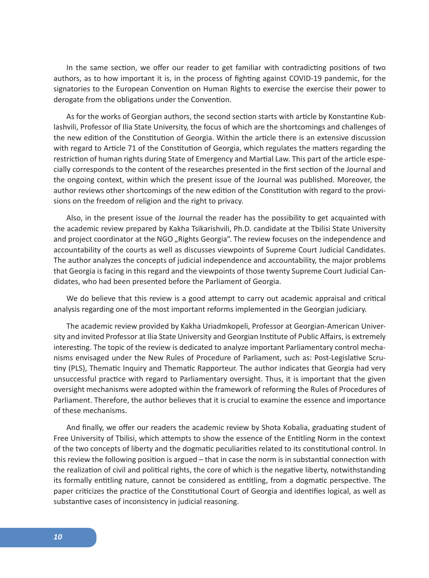In the same section, we offer our reader to get familiar with contradicting positions of two authors, as to how important it is, in the process of fighting against COVID-19 pandemic, for the signatories to the European Convention on Human Rights to exercise the exercise their power to derogate from the obligations under the Convention.

As for the works of Georgian authors, the second section starts with article by Konstantine Kublashvili, Professor of Ilia State University, the focus of which are the shortcomings and challenges of the new edition of the Constitution of Georgia. Within the article there is an extensive discussion with regard to Article 71 of the Constitution of Georgia, which regulates the matters regarding the restriction of human rights during State of Emergency and Martial Law. This part of the article especially corresponds to the content of the researches presented in the first section of the Journal and the ongoing context, within which the present issue of the Journal was published. Moreover, the author reviews other shortcomings of the new edition of the Constitution with regard to the provisions on the freedom of religion and the right to privacy.

Also, in the present issue of the Journal the reader has the possibility to get acquainted with the academic review prepared by Kakha Tsikarishvili, Ph.D. candidate at the Tbilisi State University and project coordinator at the NGO "Rights Georgia". The review focuses on the independence and accountability of the courts as well as discusses viewpoints of Supreme Court Judicial Candidates. The author analyzes the concepts of judicial independence and accountability, the major problems that Georgia is facing in this regard and the viewpoints of those twenty Supreme Court Judicial Candidates, who had been presented before the Parliament of Georgia.

We do believe that this review is a good attempt to carry out academic appraisal and critical analysis regarding one of the most important reforms implemented in the Georgian judiciary.

The academic review provided by Kakha Uriadmkopeli, Professor at Georgian-American University and invited Professor at Ilia State University and Georgian Institute of Public Affairs, is extremely interesting. The topic of the review is dedicated to analyze important Parliamentary control mechanisms envisaged under the New Rules of Procedure of Parliament, such as: Post-Legislative Scrutiny (PLS), Thematic Inquiry and Thematic Rapporteur. The author indicates that Georgia had very unsuccessful practice with regard to Parliamentary oversight. Thus, it is important that the given oversight mechanisms were adopted within the framework of reforming the Rules of Procedures of Parliament. Therefore, the author believes that it is crucial to examine the essence and importance of these mechanisms.

And finally, we offer our readers the academic review by Shota Kobalia, graduating student of Free University of Tbilisi, which attempts to show the essence of the Entitling Norm in the context of the two concepts of liberty and the dogmatic peculiarities related to its constitutional control. In this review the following position is argued – that in case the norm is in substantial connection with the realization of civil and political rights, the core of which is the negative liberty, notwithstanding its formally entitling nature, cannot be considered as entitling, from a dogmatic perspective. The paper criticizes the practice of the Constitutional Court of Georgia and identifies logical, as well as substantive cases of inconsistency in judicial reasoning.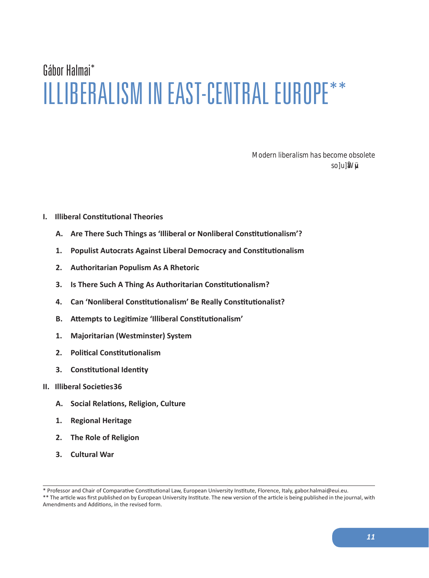# Gábor Halmai\* ILLIBERALISM IN EAST-CENTRAL EUROPE\*\*

*Modern liberalism has become obsolete Vladimir Putin*

#### **I. Illiberal Constitutional Theories**

- **A. Are There Such Things as 'Illiberal or Nonliberal Constitutionalism'?**
- **1. Populist Autocrats Against Liberal Democracy and Constitutionalism**
- **2. Authoritarian Populism As A Rhetoric**
- **3. Is There Such A Thing As Authoritarian Constitutionalism?**
- **4. Can 'Nonliberal Constitutionalism' Be Really Constitutionalist?**
- **B. Attempts to Legitimize 'Illiberal Constitutionalism'**
- **1. Majoritarian (Westminster) System**
- **2. Political Constitutionalism**
- **3. Constitutional Identity**
- **II. Illiberal Societies36**
	- **A. Social Relations, Religion, Culture**
	- **1. Regional Heritage**
	- **2. The Role of Religion**
	- **3. Cultural War**

\*\* The article was first published on by European University Institute. The new version of the article is being published in the journal, with Amendments and Additions, in the revised form.

<sup>\*</sup> Professor and Chair of Comparative Constitutional Law, European University Institute, Florence, Italy, gabor.halmai@eui.eu.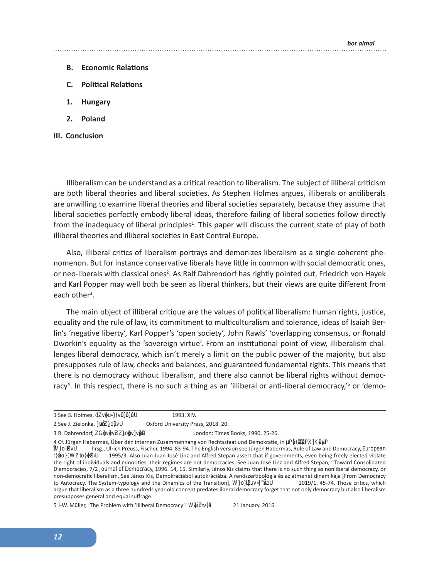- **B. Economic Relations**
- **C. Political Relations**
- **1. Hungary**
- **2. Poland**

#### **III. Conclusion**

Illiberalism can be understand as a critical reaction to liberalism. The subject of illiberal criticism are both liberal theories and liberal societies. As Stephen Holmes argues, illiberals or antiliberals are unwilling to examine liberal theories and liberal societies separately, because they assume that liberal societies perfectly embody liberal ideas, therefore failing of liberal societies follow directly from the inadequacy of liberal principles<sup>1</sup>. This paper will discuss the current state of play of both illiberal theories and illiberal societies in East Central Europe.

Also, illiberal critics of liberalism portrays and demonizes liberalism as a single coherent phenomenon. But for instance conservative liberals have little in common with social democratic ones, or neo-liberals with classical ones<sup>2</sup>. As Ralf Dahrendorf has rightly pointed out, Friedrich von Hayek and Karl Popper may well both be seen as liberal thinkers, but their views are quite different from each other<sup>3</sup>.

The main object of illiberal critique are the values of political liberalism: human rights, justice, equality and the rule of law, its commitment to multiculturalism and tolerance, ideas of Isaiah Berlin's 'negative liberty', Karl Popper's 'open society', John Rawls' 'overlapping consensus, or Ronald Dworkin's equality as the 'sovereign virtue'. From an institutional point of view, illiberalism challenges liberal democracy, which isn't merely a limit on the public power of the majority, but also presupposes rule of law, checks and balances, and guaranteed fundamental rights. This means that there is no democracy without liberalism, and there also cannot be liberal rights without democracy<sup>4</sup>. In this respect, there is no such a thing as an 'illiberal or anti-liberal democracy,'<sup>5</sup> or 'demo-

<sup>1</sup> See S. Holmes, *The Anatomy of Antiliberalism,* 1993. XIV.

<sup>2</sup> See J. Zielonka, *Counter-Revolution,* Oxford University Press, 2018. 20.

<sup>3</sup> R. Dahrendorf, *Reflections on the Revolution in Europe,* London: Times Books, 1990. 25-26.

<sup>4</sup> Cf. Jürgen Habermas, Über den internen Zusammenhang von Rechtsstaat und Demokratie, in *Zum Begriff der Verfassung. Die Ordnung der Politischen,* hrsg., Ulrich Preuss, Fischer, 1994. 83-94. The English version see Jürgen Habermas, Rule of Law and Democracy, *European Journal of Philosophy,* 1995/3. Also Juan Juan José Linz and Alfred Stepan assert that if governments, even being freely elected violate the right of individuals and minorities, their regimes are not democracies. See Juan José Linz and Alfred Stepan, ' Toward Consolidated Diemocracies, 7/2 *Journal of Democracy,* 1996. 14, 15. Similarly, János Kis claims that there is no such thing as nonliberal democracy, or non-democratic liberalism. See János Kis, Demokráciából autokráciába. A rendszertipológia és az átmenet dinamikája [From Democracy to Autocracy. The System-typology and the Dinamics of the Transition], *Politikatudományi Szemle,* 2019/1. 45-74. Those critics, which argue that liberalism as a three hundreds year old concept predates liberal democracy forget that not only democracy but also liberalism presupposes general and equal suffrage.

<sup>5</sup> J-W. Müller, 'The Problem with 'Illiberal Democracy'.' *Project Syndicate.* 21 January. 2016.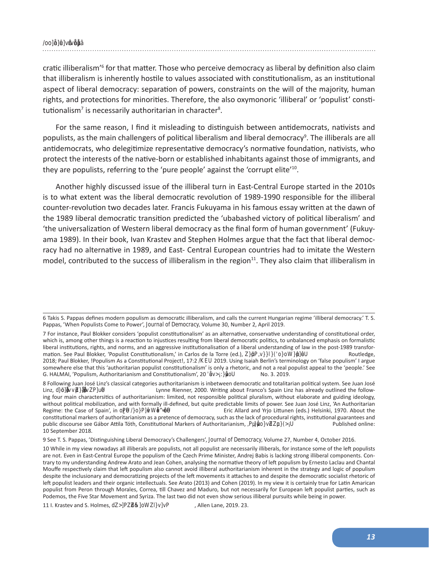#### *Illiberalism in East-Central Europe*

cratic illiberalism'<sup>6</sup> for that matter. Those who perceive democracy as liberal by definition also claim that illiberalism is inherently hostile to values associated with constitutionalism, as an institutional aspect of liberal democracy: separation of powers, constraints on the will of the majority, human rights, and protections for minorities. Therefore, the also oxymonoric 'illiberal' or 'populist' constitutionalism<sup>7</sup> is necessarily authoritarian in character<sup>8</sup>.

For the same reason, I find it misleading to distinguish between antidemocrats, nativists and populists, as the main challengers of political liberalism and liberal democracy<sup>9</sup>. The illiberals are all antidemocrats, who delegitimize representative democracy's normative foundation, nativists, who protect the interests of the native-born or established inhabitants against those of immigrants, and they are populists, referring to the 'pure people' against the 'corrupt elite'<sup>10</sup>.

Another highly discussed issue of the illiberal turn in East-Central Europe started in the 2010s is to what extent was the liberal democratic revolution of 1989-1990 responsible for the illiberal counter-revolution two decades later. Francis Fukuyama in his famous essay written at the dawn of the 1989 liberal democratic transition predicted the 'ubabashed victory of political liberalism' and 'the universalization of Western liberal democracy as the final form of human government' (Fukuyama 1989). In their book, Ivan Krastev and Stephen Holmes argue that the fact that liberal democracy had no alternative in 1989, and East- Central European countries had to imitate the Western model, contributed to the success of illiberalism in the region $11$ . They also claim that illiberalism in

8 Following Juan José Linz's classical categories authoritarianism is inbetween democratic and totalitarian political system. See Juan José Linz, *Totalitarian and Authoritarian Regimes,* Lynne Rienner, 2000. Writing about Franco's Spain Linz has already outlined the following four main charactersitics of authoritarianism: limited, not responsible political pluralism, without elaborate and guiding ideology, without political mobilization, and with formally ill-defined, but quite predictable limits of power. See Juan José Linz, 'An Authoritarian Regime: the Case of Spain', in *Cleavages, Ideologies and Party Systems,* Eric Allard and Yrjo Littunen (eds.) Helsinki, 1970. About the constitutional markers of authoritarianism as a pretence of democracy, such as the lack of procedural rights, institutional guarantees and public discourse see Gábor Attila Tóth, Constitutional Markers of Authoritarianism, *Hague Journal on the Rule of Law,* Published online: 10 September 2018.

9 See T. S. Pappas, 'Distinguishing Liberal Democracy's Challengers', *Journal of Democracy,* Volume 27, Number 4, October 2016.

10 While in my view nowadays all illiberals are populists, not all populist are necessarily illiberals, for instance some of the left populists are not. Even in East-Central Europe the populism of the Czech Prime Minister, Andrej Babis is lacking strong illiberal components. Contrary to my understanding Andrew Arato and Jean Cohen, analysing the normative theory of left populism by Ernesto Laclau and Chantal Mouffe respectively claim that left populism also cannot avoid illiberal authoritarianism inherent in the strategy and logic of populism despite the inclusionary and democratizing projects of the left movements it attaches to and despite the democratic socialist rhetoric of left populist leaders and their organic intellectuals. See Arato (2013) and Cohen (2019). In my view it is certainly true for Latin Amarican populist from Peron through Morales, Correa, till Chavez and Maduro, but not necessarily for European left populist parties, such as Podemos, the Five Star Movement and Syriza. The last two did not even show serious illiberal pursuits while being in power.

11 I. Krastev and S. Holmes, *The Light that Failed: A Reckoning*, Allen Lane, 2019. 23.

<sup>6</sup> Takis S. Pappas defines modern populism as democratic illiberalism, and calls the current Hungarian regime 'illiberal democracy.' T. S. Pappas, 'When Populists Come to Power', *Journal of Democracy,* Volume 30, Number 2, April 2019.

<sup>7</sup> For instance, Paul Blokker considers 'populist constitutionalism' as an alternative, conservative understanding of constitutional order, which is, among other things is a reaction to injustices resulting from liberal democratic politics, to unbalanced emphasis on formalistic liberal institutions, rights, and norms, and an aggressive institutionalisation of a liberal understanding of law in the post-1989 transformation. See Paul Blokker, 'Populist Constitutionalism,' in Carlos de la Torre (ed.), *Routledge Handbook of Global Populism,* Routledge, 2018; Paul Blokker, !Populism As a Constitutional Project!, 17:2 *ICON,* 2019. Using Isaiah Berlin's terminology on 'false populism' I argue somewhere else that this 'authoritarian populist constitutionalism' is only a rhetoric, and not a real populist appeal to the 'people.' See G. HALMAI, 'Populism, Authoritarianism and Constitutionalism', 20 *German Law Journal,* No. 3. 2019.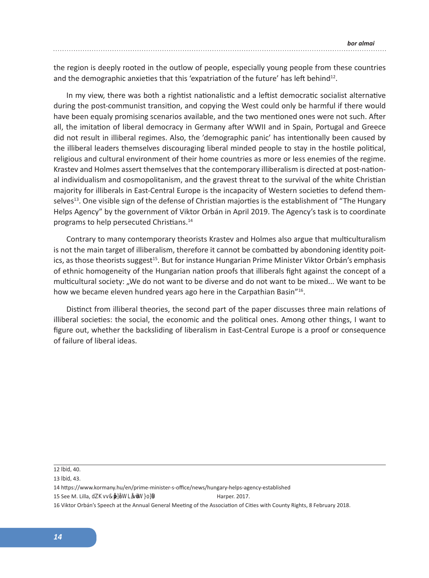the region is deeply rooted in the outlow of people, especially young people from these countries and the demographic anxieties that this 'expatriation of the future' has left behind<sup>12</sup>.

In my view, there was both a rightist nationalistic and a leftist democratic socialist alternative during the post-communist transition, and copying the West could only be harmful if there would have been equaly promising scenarios available, and the two mentioned ones were not such. After all, the imitation of liberal democracy in Germany after WWII and in Spain, Portugal and Greece did not result in illiberal regimes. Also, the 'demographic panic' has intentionally been caused by the illiberal leaders themselves discouraging liberal minded people to stay in the hostile political, religious and cultural environment of their home countries as more or less enemies of the regime. Krastev and Holmes assert themselves that the contemporary illiberalism is directed at post-national individualism and cosmopolitanism, and the gravest threat to the survival of the white Christian majority for illiberals in East-Central Europe is the incapacity of Western societies to defend themselves<sup>13</sup>. One visible sign of the defense of Christian majorties is the establishment of "The Hungary Helps Agency" by the government of Viktor Orbán in April 2019. The Agency's task is to coordinate programs to help persecuted Christians.14

Contrary to many contemporary theorists Krastev and Holmes also argue that multiculturalism is not the main target of illiberalism, therefore it cannot be combatted by abondoning identity poitics, as those theorists suggest<sup>15</sup>. But for instance Hungarian Prime Minister Viktor Orbán's emphasis of ethnic homogeneity of the Hungarian nation proofs that illiberals fight against the concept of a multicultural society: "We do not want to be diverse and do not want to be mixed... We want to be how we became eleven hundred years ago here in the Carpathian Basin"<sup>16</sup>.

Distinct from illiberal theories, the second part of the paper discusses three main relations of illiberal societies: the social, the economic and the political ones. Among other things, I want to figure out, whether the backsliding of liberalism in East-Central Europe is a proof or consequence of failure of liberal ideas.

12 *Ibid,* 40.

<sup>13</sup> *Ibid,* 43.

<sup>14</sup> https://www.kormany.hu/en/prime-minister-s-office/news/hungary-helps-agency-established

<sup>15</sup> See M. Lilla, *The Once and Future Liberal: After Identity Politics,* Harper. 2017.

<sup>16</sup> Viktor Orbán's Speech at the Annual General Meeting of the Association of Cities with County Rights, 8 February 2018.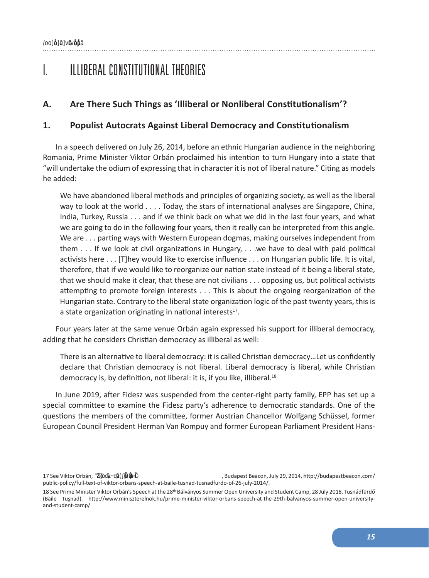# I. ILLIBERAL CONSTITUTIONAL THEORIES

#### **A. Are There Such Things as 'Illiberal or Nonliberal Constitutionalism'?**

#### **1. Populist Autocrats Against Liberal Democracy and Constitutionalism**

In a speech delivered on July 26, 2014, before an ethnic Hungarian audience in the neighboring Romania, Prime Minister Viktor Orbán proclaimed his intention to turn Hungary into a state that "will undertake the odium of expressing that in character it is not of liberal nature." Citing as models he added:

We have abandoned liberal methods and principles of organizing society, as well as the liberal way to look at the world . . . . Today, the stars of international analyses are Singapore, China, India, Turkey, Russia . . . and if we think back on what we did in the last four years, and what we are going to do in the following four years, then it really can be interpreted from this angle. We are . . . parting ways with Western European dogmas, making ourselves independent from them . . . If we look at civil organizations in Hungary, . . .we have to deal with paid political activists here . . . [T]hey would like to exercise influence . . . on Hungarian public life. It is vital, therefore, that if we would like to reorganize our nation state instead of it being a liberal state, that we should make it clear, that these are not civilians . . . opposing us, but political activists attempting to promote foreign interests . . . This is about the ongoing reorganization of the Hungarian state. Contrary to the liberal state organization logic of the past twenty years, this is a state organization originating in national interests<sup>17</sup>.

Four years later at the same venue Orbán again expressed his support for illiberal democracy, adding that he considers Christian democracy as illiberal as well:

There is an alternative to liberal democracy: it is called Christian democracy…Let us confidently declare that Christian democracy is not liberal. Liberal democracy is liberal, while Christian democracy is, by definition, not liberal: it is, if you like, illiberal.18

In June 2019, after Fidesz was suspended from the center-right party family, EPP has set up a special committee to examine the Fidesz party's adherence to democratic standards. One of the questions the members of the committee, former Austrian Chancellor Wolfgang Schüssel, former European Council President Herman Van Rompuy and former European Parliament President Hans-

<sup>17</sup> See Viktor Orbán, *Speech at Băile Tuşnad (Tusnádfürdő) of 26 July 2014*, Budapest Beacon, July 29, 2014, http://budapestbeacon.com/ public-policy/full-text-of-viktor-orbans-speech-at-baile-tusnad-tusnadfurdo-of-26-july-2014/.

<sup>18</sup> See Prime Minister Viktor Orbán's Speech at the 28<sup>th</sup> Bálványos Summer Open University and Student Camp, 28 July 2018. Tusnádfürdő (Băile Tuşnad). http://www.miniszterelnok.hu/prime-minister-viktor-orbans-speech-at-the-29th-balvanyos-summer-open-universityand-student-camp/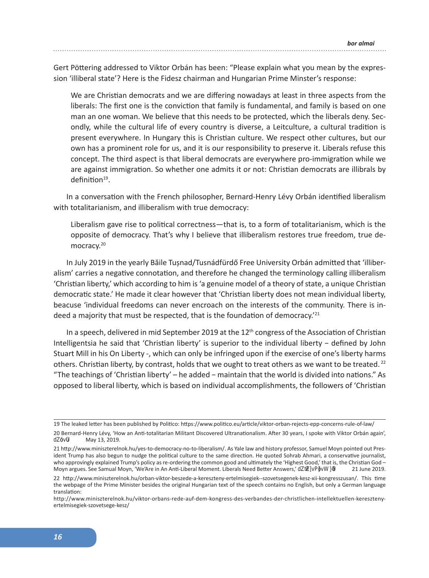Gert Pöttering addressed to Viktor Orbán has been: "Please explain what you mean by the expression 'illiberal state'? Here is the Fidesz chairman and Hungarian Prime Minster's response:

We are Christian democrats and we are differing nowadays at least in three aspects from the liberals: The first one is the conviction that family is fundamental, and family is based on one man an one woman. We believe that this needs to be protected, which the liberals deny. Secondly, while the cultural life of every country is diverse, a Leitculture, a cultural tradition is present everywhere. In Hungary this is Christian culture. We respect other cultures, but our own has a prominent role for us, and it is our responsibility to preserve it. Liberals refuse this concept. The third aspect is that liberal democrats are everywhere pro-immigration while we are against immigration. So whether one admits it or not: Christian democrats are illibrals by  $definition<sup>19</sup>$ .

In a conversation with the French philosopher, Bernard-Henry Lévy Orbán identified liberalism with totalitarianism, and illiberalism with true democracy:

Liberalism gave rise to political correctness—that is, to a form of totalitarianism, which is the opposite of democracy. That's why I believe that illiberalism restores true freedom, true democracy.20

In July 2019 in the yearly Băile Tușnad/Tusnádfürdő Free University Orbán admitted that 'illiberalism' carries a negative connotation, and therefore he changed the terminology calling illiberalism 'Christian liberty,' which according to him is 'a genuine model of a theory of state, a unique Christian democratic state.' He made it clear however that 'Christian liberty does not mean individual liberty, beacuse 'individual freedoms can never encroach on the interests of the community. There is indeed a majority that must be respected, that is the foundation of democracy.<sup>'21</sup>

In a speech, delivered in mid September 2019 at the  $12<sup>th</sup>$  congress of the Association of Christian Intelligentsia he said that 'Christian liberty' is superior to the individual liberty − defined by John Stuart Mill in his On Liberty -, which can only be infringed upon if the exercise of one's liberty harms others. Christian liberty, by contrast, holds that we ought to treat others as we want to be treated.<sup>22</sup> "The teachings of 'Christian liberty' – he added − maintain that the world is divided into nations." As opposed to liberal liberty, which is based on individual accomplishments, the followers of 'Christian

<sup>19</sup> The leaked letter has been published by Politico: https://www.politico.eu/article/viktor-orban-rejects-epp-concerns-rule-of-law/

<sup>20</sup> Bernard-Henry Lévy, 'How an Anti-totalitarian Militant Discovered Ultranationalism. After 30 years, I spoke with Viktor Orbán again', *The Atlantic,* May 13, 2019.

<sup>21</sup> http://www.miniszterelnok.hu/yes-to-democracy-no-to-liberalism/. As Yale law and history professor, Samuel Moyn pointed out President Trump has also begun to nudge the political culture to the same direction. He quoted Sohrab Ahmari, a conservative journalist, who approvingly explained Trump's policy as re-ordering the common good and ultimately the 'Highest Good,' that is, the Christian God – Moyn argues. See Samual Moyn, 'We'Are in An Anti-Liberal Moment. Liberals Need Better Answers,' *The Washington Post,* 21 June 2019.

<sup>22</sup> http://www.miniszterelnok.hu/orban-viktor-beszede-a-kereszteny-ertelmisegiek--szovetsegenek-kesz-xii-kongresszusan/. This time the webpage of the Prime Minister besides the original Hungarian text of the speech contains no English, but only a German language translation:

http://www.miniszterelnok.hu/viktor-orbans-rede-auf-dem-kongress-des-verbandes-der-christlichen-intellektuellen-keresztenyertelmisegiek-szovetsege-kesz/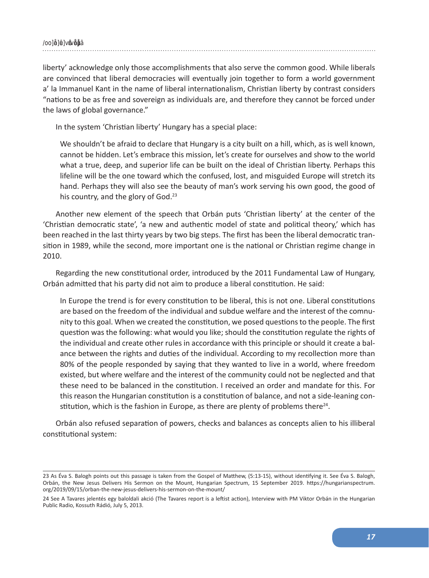liberty' acknowledge only those accomplishments that also serve the common good. While liberals are convinced that liberal democracies will eventually join together to form a world government a' la Immanuel Kant in the name of liberal internationalism, Christian liberty by contrast considers "nations to be as free and sovereign as individuals are, and therefore they cannot be forced under the laws of global governance."

In the system 'Christian liberty' Hungary has a special place:

We shouldn't be afraid to declare that Hungary is a city built on a hill, which, as is well known, cannot be hidden. Let's embrace this mission, let's create for ourselves and show to the world what a true, deep, and superior life can be built on the ideal of Christian liberty. Perhaps this lifeline will be the one toward which the confused, lost, and misguided Europe will stretch its hand. Perhaps they will also see the beauty of man's work serving his own good, the good of his country, and the glory of God.<sup>23</sup>

Another new element of the speech that Orbán puts 'Christian liberty' at the center of the 'Christian democratic state', 'a new and authentic model of state and political theory,' which has been reached in the last thirty years by two big steps. The first has been the liberal democratic transition in 1989, while the second, more important one is the national or Christian regime change in 2010.

Regarding the new constitutional order, introduced by the 2011 Fundamental Law of Hungary, Orbán admitted that his party did not aim to produce a liberal constitution. He said:

In Europe the trend is for every constitution to be liberal, this is not one. Liberal constitutions are based on the freedom of the individual and subdue welfare and the interest of the comnunity to this goal. When we created the constitution, we posed questions to the people. The first question was the following: what would you like; should the constitution regulate the rights of the individual and create other rules in accordance with this principle or should it create a balance between the rights and duties of the individual. According to my recollection more than 80% of the people responded by saying that they wanted to live in a world, where freedom existed, but where welfare and the interest of the community could not be neglected and that these need to be balanced in the constitution. I received an order and mandate for this. For this reason the Hungarian constitution is a constitution of balance, and not a side-leaning constitution, which is the fashion in Europe, as there are plenty of problems there $24$ .

Orbán also refused separation of powers, checks and balances as concepts alien to his illiberal constitutional system:

<sup>23</sup> As Éva S. Balogh points out this passage is taken from the Gospel of Matthew, (5:13-15), without identifying it. See Éva S. Balogh, Orbán, the New Jesus Delivers His Sermon on the Mount, Hungarian Spectrum, 15 September 2019. https://hungarianspectrum. org/2019/09/15/orban-the-new-jesus-delivers-his-sermon-on-the-mount/

<sup>24</sup> See A Tavares jelentés egy baloldali akció (The Tavares report is a leftist action), Interview with PM Viktor Orbán in the Hungarian Public Radio, Kossuth Rádió, July 5, 2013.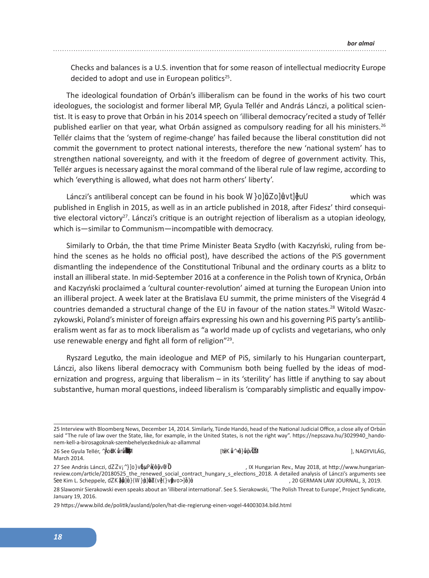Checks and balances is a U.S. invention that for some reason of intellectual mediocrity Europe decided to adopt and use in European politics $25$ .

The ideological foundation of Orbán's illiberalism can be found in the works of his two court ideologues, the sociologist and former liberal MP, Gyula Tellér and András Lánczi, a political scientist. It is easy to prove that Orbán in his 2014 speech on 'illiberal democracy'recited a study of Tellér published earlier on that year, what Orbán assigned as compulsory reading for all his ministers.<sup>26</sup> Tellér claims that the 'system of regime-change' has failed because the liberal constitution did not commit the government to protect national interests, therefore the new 'national system' has to strengthen national sovereignty, and with it the freedom of degree of government activity. This, Tellér argues is necessary against the moral command of the liberal rule of law regime, according to which 'everything is allowed, what does not harm others' liberty'.

Lánczi's antiliberal concept can be found in his book *Political Realism and Wisdom,* which was published in English in 2015, as well as in an article published in 2018, after Fidesz' third consequitive electoral victory<sup>27</sup>. Lánczi's critique is an outright rejection of liberalism as a utopian ideology, which is—similar to Communism—incompatible with democracy.

Similarly to Orbán, the that time Prime Minister Beata Szydło (with Kaczyński, ruling from behind the scenes as he holds no official post), have described the actions of the PiS government dismantling the independence of the Constitutional Tribunal and the ordinary courts as a blitz to install an illiberal state. In mid-September 2016 at a conference in the Polish town of Krynica, Orbán and Kaczyński proclaimed a 'cultural counter-revolution' aimed at turning the European Union into an illiberal project. A week later at the Bratislava EU summit, the prime ministers of the Visegrád 4 countries demanded a structural change of the EU in favour of the nation states.<sup>28</sup> Witold Waszczykowski, Poland's minister of foreign affairs expressing his own and his governing PiS party's antiliberalism went as far as to mock liberalism as "a world made up of cyclists and vegetarians, who only use renewable energy and fight all form of religion"29.

Ryszard Legutko, the main ideologue and MEP of PiS, similarly to his Hungarian counterpart, Lánczi, also likens liberal democracy with Communism both being fuelled by the ideas of modernization and progress, arguing that liberalism – in its 'sterility' has little if anything to say about substantive, human moral questions, indeed liberalism is 'comparably simplistic and equally impov-

<sup>25</sup> Interview with Bloomberg News, December 14, 2014. Similarly, Tünde Handó, head of the National Judicial Office, a close ally of Orbán said "The rule of law over the State, like, for example, in the United States, is not the right way". https://nepszava.hu/3029940\_handonem-kell-a-birosagoknak-szembehelyezkedniuk-az-allammal

<sup>26</sup> See Gyula Tellér, *Született-e Orbán-rendszer 2010 és 2014 között?* [*Was an Orbán System Born between 2010 and 2014?*]*,* NAGYVILÁG, March 2014.

<sup>27</sup> See András Lánczi, *The Renewed Social Contract–Hungary's Elections, 2018*, IX Hungarian Rev., May 2018, at http://www.hungarianreview.com/article/20180525\_the\_renewed\_social\_contract\_hungary\_s\_elections\_2018. A detailed analysis of Lánczi's arguments see *See* Kim L. Scheppele, *The Opportunism of Populists and the Defense of Constitutional Liberalism*, 20 GERMAN LAW JOURNAL, 3, 2019. 28 Slawomir Sierakowski even speaks about an 'illiberal international'. See S. Sierakowski, 'The Polish Threat to Europe', Project Syndicate, January 19, 2016.

<sup>29</sup> https://www.bild.de/politik/ausland/polen/hat-die-regierung-einen-vogel-44003034.bild.html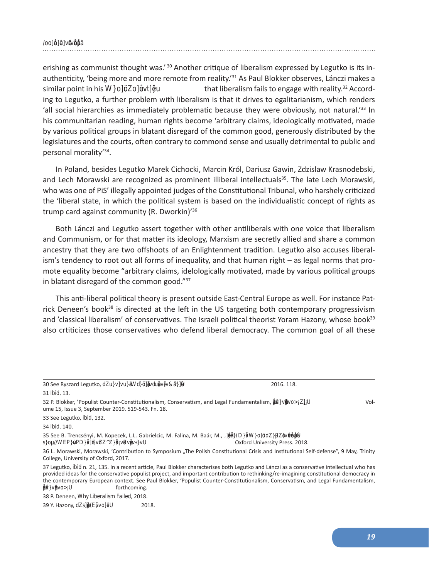erishing as communist thought was.<sup>' 30</sup> Another critique of liberalism expressed by Legutko is its inauthenticity, 'being more and more remote from reality.'<sup>31</sup> As Paul Blokker observes, Lánczi makes a similar point in his *Political Realism and Wisdom* that liberalism fails to engage with reality.32 According to Legutko, a further problem with liberalism is that it drives to egalitarianism, which renders 'all social hierarchies as immediately problematic because they were obviously, not natural.'33 In his communitarian reading, human rights become 'arbitrary claims, ideologically motivated, made by various political groups in blatant disregard of the common good, generously distributed by the legislatures and the courts, often contrary to commond sense and usually detrimental to public and personal morality'34.

In Poland, besides Legutko Marek Cichocki, Marcin Król, Dariusz Gawin, Zdzislaw Krasnodebski, and Lech Morawski are recognized as prominent illiberal intellectuals<sup>35</sup>. The late Lech Morawski, who was one of PiS' illegally appointed judges of the Constitutional Tribunal, who harshely criticized the 'liberal state, in which the political system is based on the individualistic concept of rights as trump card against community (R. Dworkin)'36

Both Lánczi and Legutko assert together with other antiliberals with one voice that liberalism and Communism, or for that matter its ideology, Marxism are secretly allied and share a common ancestry that they are two offshoots of an Enlightenment tradition. Legutko also accuses liberalism's tendency to root out all forms of inequality, and that human right – as legal norms that promote equality become "arbitrary claims, idelologically motivated, made by various political groups in blatant disregard of the common good."37

This anti-liberal political theory is present outside East-Central Europe as well. For instance Patrick Deneen's book<sup>38</sup> is directed at the left in the US targeting both contemporary progressivism and 'classical liberalism' of conservatives. The Israeli political theorist Yoram Hazony, whose book<sup>39</sup> also crtiticizes those conservatives who defend liberal democracy. The common goal of all these

31 *Ibid,* 13.

33 See Legutko, *ibid,* 132.

34 *Ibid,* 140.

<sup>30</sup> See Ryszard Legutko, *The Demon in Democracy: Totalitarian Temptations in Free Societies,* 2016. 118.

<sup>32</sup> P. Blokker, 'Populist Counter-Constitutionalism, Conservatism, and Legal Fundamentalism, *European Constitutional Law Review,* Volume 15, Issue 3, September 2019. 519-543. Fn. 18.

<sup>35</sup> See B. Trencsényi, M. Kopecek, L.L. Gabrielcic, M. Falina, M. Baár, M., *A History of Modern Political Thought in East Central Europe, Volume II: Negotiating Modernity in the 'Short Twentieth Century and Beyond, Oxford University Press. 2018.* 

<sup>36</sup> L. Morawski, Morawski, 'Contribution to Symposium "The Polish Constitutional Crisis and Institutional Self-defense", 9 May, Trinity College, University of Oxford, 2017.

<sup>37</sup> Legutko, *ibid* n. 21, 135. In a recent article, Paul Blokker characterises both Legutko and Lánczi as a conservative intellectual who has provided ideas for the conservative populist project, and important contribution to rethinking/re-imagining constitutional democracy in the contemporary European context. See Paul Blokker, 'Populist Counter-Constitutionalism, Conservatism, and Legal Fundamentalism, *European Constitutional Law,* forthcoming.

<sup>38</sup> P. Deneen, *Why Liberalism Failed*, 2018.

<sup>39</sup> Y. Hazony, *The Virtue of Nationalism,* 2018.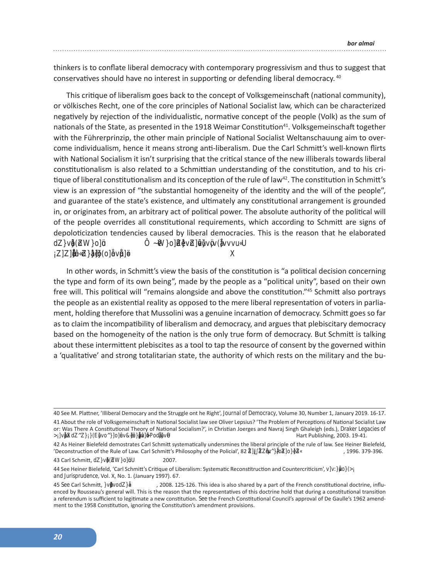thinkers is to conflate liberal democracy with contemporary progressivism and thus to suggest that conservatives should have no interest in supporting or defending liberal democracy. <sup>40</sup>

This critique of liberalism goes back to the concept of Volksgemeinschaft (national community), or völkisches Recht, one of the core principles of National Socialist law, which can be characterized negatively by rejection of the individualistic, normative concept of the people (Volk) as the sum of nationals of the State, as presented in the 1918 Weimar Constitution<sup>41</sup>. Volksgemeinschaft together with the Führerprinzip, the other main principle of National Socialist Weltanschauung aim to overcome individualism, hence it means strong anti-liberalism. Due the Carl Schmitt's well-known flirts with National Socialism it isn't surprising that the critical stance of the new illiberals towards liberal constitutionalism is also related to a Schmittian understanding of the constitution, and to his critique of liberal constitutionalism and its conception of the rule of law<sup>42</sup>. The constitution in Schmitt's view is an expression of "the substantial homogeneity of the identity and the will of the people", and guarantee of the state's existence, and ultimately any constitutional arrangement is grounded in, or originates from, an arbitrary act of political power. The absolute authority of the political will of the people overrides all constitutional requirements, which according to Schmitt are signs of depoloticization tendencies caused by liberal democracies. This is the reason that he elaborated *The concept of the Political43 (Das Politisches) based on the distinction between friend and enemy, which is precisely the opposite of liberal neutrality44.*

In other words, in Schmitt's view the basis of the constitution is "a political decision concerning the type and form of its own being", made by the people as a "political unity", based on their own free will. This political will "remains alongside and above the constitution."45 Schmitt also portrays the people as an existential reality as opposed to the mere liberal representation of voters in parliament, holding therefore that Mussolini was a genuine incarnation of democracy. Schmitt goes so far as to claim the incompatibility of liberalism and democracy, and argues that plebiscitary democracy based on the homogeneity of the nation is the only true form of democracy. But Schmitt is talking about these intermittent plebiscites as a tool to tap the resource of consent by the governed within a 'qualitative' and strong totalitarian state, the authority of which rests on the military and the bu-

<sup>40</sup> See M. Plattner, 'Illiberal Democary and the Struggle ont he Right', *Journal of Democracy*, Volume 30, Number 1, January 2019. 16-17.

<sup>41</sup> About the role of Volksgemeinschaft in National Socialist law see Oliver Lepsius? 'The Problem of Perceptions of National Socialist Law or: Was There A Constitutional Theory of National Socialism?', in Christian Joerges and Navraj Singh Ghaleigh (eds.), *Draker Legacies of*  Law in Europe. The Shadow of National Socialism and Fascism over Europe and its Legal Traditions, Hart Publishing, 2003. 19-41.

<sup>42</sup> As Heiner Bielefeld demostrates Carl Schmitt systematically undersmines the liberal principle of the rule of law. See Heiner Bielefeld, 'Deconstruction of the Rule of Law. Carl Schmitt's Philosophy of the Policial', 82 *Archiv für Rechts- und Sozialphilosophy*, 1996. 379-396.

<sup>43</sup> Carl Schmitt, *The Concept of the Political,* 2007.

<sup>44</sup> See Heiner Bielefeld, 'Carl Schmitt's Critique of Liberalism: Systematic Reconstitruction and Countercriticism', *Canadian Journal of Law and Jurisprudence,* Vol. X, No. 1. (January 1997). 67.

<sup>45</sup> *See* Carl Schmitt, *Constitutional Theory*, 2008. 125-126. This idea is also shared by a part of the French constitutional doctrine, influenced by Rousseau's general will. This is the reason that the representatives of this doctrine hold that during a constitutional transition a referendum is sufficient to legitimate a new constitution. *See* the French Constitutional Council's approval of De Gaulle's 1962 amendment to the 1958 Constitution, ignoring the Constitution's amendment provisions.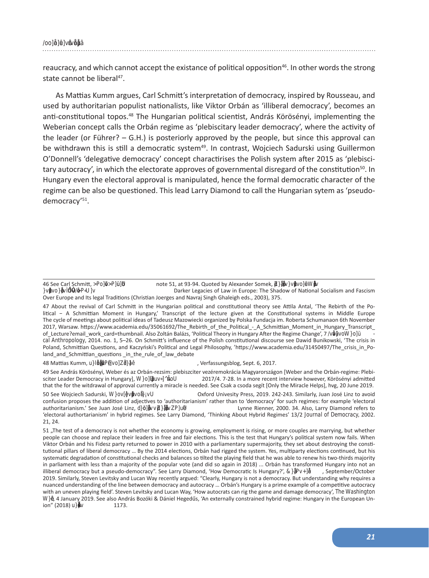reaucracy, and which cannot accept the existance of political opposition<sup>46</sup>. In other words the strong state cannot be liberal<sup>47</sup>.

As Mattias Kumm argues, Carl Schmitt's interpretation of democracy, inspired by Rousseau, and used by authoritarian populist nationalists, like Viktor Orbán as 'illiberal democracy', becomes an anti-constitutional topos.<sup>48</sup> The Hungarian political scientist, András Körösényi, implementing the Weberian concept calls the Orbán regime as 'plebiscitary leader democracy', where the activity of the leader (or Führer? – G.H.) is posteriorly approved by the people, but since this approval can be withdrawn this is still a democratic system<sup>49</sup>. In contrast, Wojciech Sadurski using Guillermon O'Donnell's 'delegative democracy' concept charactirises the Polish system after 2015 as 'plebiscitary autocracy', in which the electorate approves of governmental disregard of the constitution<sup>50</sup>. In Hungary even the electoral approval is manipulated, hence the formal democratic character of the regime can be also be questioned. This lead Larry Diamond to call the Hungarian sytem as 'pseudodemocracy'51.

48 Mattias Kumm, *Demokratie als verfassungsfeindlicher Topos*, Verfassungsblog, Sept. 6, 2017.

49 See András Körösényi, Weber és az Orbán-rezsim: plebiszciter vezéremokrácia Magyarországon [Weber and the Orbán-regime: Plebisciter Leader Democracy in Hungary], *Politikatudományi Szemle,* 2017/4. 7-28. In a more recent interview however, Körösényi admitted that the for the witdrawal of approval currently a miracle is needed. See Csak a csoda segít [Only the Miracle Helps], hvg, 20 June 2019.

50 See Wojciech Sadurski, *Poland's Constitutional Breakdown,* Oxford Univesity Press, 2019. 242-243. Similarly, Juan José Linz to avoid confusion proposes the addition of adjectives to 'authoritarianism' rather than to 'democracy' for such regimes: for example 'electoral authoritarianism.' See Juan José Linz, *Totalitarian and Authoritarian Regimes,* Lynne Rienner, 2000. 34. Also, Larry Diamond refers to 'electoral authortarianism' in hybrid regimes. See Larry Diamond, 'Thinking About Hybrid Regimes' 13/2 *Journal of Democracy,* 2002. 21, 24.

<sup>46</sup> See Carl Schmitt, *Legalität and Legitimität,* note 51, at 93-94. Quoted by Alexander Somek, *Authoritarian Constitutionalism: Austrian Constitutional Doctrine 1933-1938 and Its Legacy, in* Darker Legacies of Law in Europe: The Shadow of National Socialism and Fascism Over Europe and Its legal Traditions (Christian Joerges and Navraj Singh Ghaleigh eds., 2003), 375.

<sup>47</sup> About the revival of Carl Schmitt in the Hungarian political and constitutional theory see Attila Antal, 'The Rebirth of the Political − A Schmittian Moment in Hungary,' Transcript of the lecture given at the Constitutional systems in Middle Europe The cycle of meetings about political ideas of Tadeusz Mazowiecki organized by Polska Fundacja im. Roberta Schumanaon 6th November 2017, Warsaw. https://www.academia.edu/35061692/The\_Rebirth\_of\_the\_Political\_-\_A\_Schmittian\_Moment\_in\_Hungary\_Transcript\_ of\_Lecture?email\_work\_card=thumbnail. Also Zoltán Balázs, 'Political Theory in Hungary After the Regime Change', 7 *International Political Anthropology*, 2014. no. 1, 5–26. On Schmitt's influence of the Polish constitutional discourse see Dawid Bunikowski, 'The crisis in Poland, Schmittian Questions, and Kaczyński's Political and Legal Philosophy, 'https://www.academia.edu/31450497/The\_crisis\_in\_Poland\_and\_Schmittian\_questions \_in\_the\_rule\_of\_law\_debate

<sup>51 &</sup>quot;The test of a democracy is not whether the economy is growing, employment is rising, or more couples are marrying, but whether people can choose and replace their leaders in free and fair elections. This is the test that Hungary's political system now fails. When Viktor Orbán and his Fidesz party returned to power in 2010 with a parliamentary supermajority, they set about destroying the constitutional pillars of liberal democracy … By the 2014 elections, Orbán had rigged the system. Yes, multiparty elections continued, but his systematic degradation of constitutional checks and balances so tilted the playing field that he was able to renew his two-thirds majority in parliament with less than a majority of the popular vote (and did so again in 2018) ... Orbán has transformed Hungary into not an illiberal democracy but a pseudo-democracy". See Larry Diamond, 'How Democratic Is Hungary?', *Foreign Affairs*, September/October 2019. Similarly, Steven Levitsky and Lucan Way recently argued: "Clearly, Hungary is not a democracy. But understanding why requires a nuanced understanding of the line between democracy and autocracy … Orbán's Hungary is a prime example of a competitive autocracy with an uneven playing field'. Steven Levitsky and Lucan Way, 'How autocrats can rig the game and damage democracy', *The Washington Post*, 4 January 2019. See also András Bozóki & Dániel Hegedűs, 'An externally constrained hybrid regime: Hungary in the European Union" (2018) *Democratization* 1173.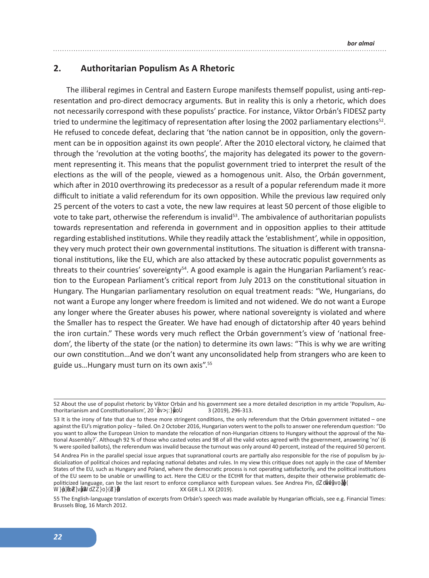#### **2. Authoritarian Populism As A Rhetoric**

The illiberal regimes in Central and Eastern Europe manifests themself populist, using anti-representation and pro-direct democracy arguments. But in reality this is only a rhetoric, which does not necessarily correspond with these populists' practice. For instance, Viktor Orbán's FIDESZ party tried to undermine the legitimacy of representation after losing the 2002 parliamentary elections<sup>52</sup>. He refused to concede defeat, declaring that 'the nation cannot be in opposition, only the government can be in opposition against its own people'. After the 2010 electoral victory, he claimed that through the 'revolution at the voting booths', the majority has delegated its power to the government representing it. This means that the populist government tried to interpret the result of the elections as the will of the people, viewed as a homogenous unit. Also, the Orbán government, which after in 2010 overthrowing its predecessor as a result of a popular referendum made it more difficult to initiate a valid referendum for its own opposition. While the previous law required only 25 percent of the voters to cast a vote, the new law requires at least 50 percent of those eligible to vote to take part, otherwise the referendum is invalid<sup>53</sup>. The ambivalence of authoritarian populists towards representation and referenda in government and in opposition applies to their attitude regarding established institutions. While they readily attack the 'establishment', while in opposition, they very much protect their own governmental institutions. The situation is different with transnational institutions, like the EU, which are also attacked by these autocratic populist governments as threats to their countries' sovereignty<sup>54</sup>. A good example is again the Hungarian Parliament's reaction to the European Parliament's critical report from July 2013 on the constitutional situation in Hungary. The Hungarian parliamentary resolution on equal treatment reads: "We, Hungarians, do not want a Europe any longer where freedom is limited and not widened. We do not want a Europe any longer where the Greater abuses his power, where national sovereignty is violated and where the Smaller has to respect the Greater. We have had enough of dictatorship after 40 years behind the iron curtain." These words very much reflect the Orbán government's view of 'national freedom', the liberty of the state (or the nation) to determine its own laws: "This is why we are writing our own constitution…And we don't want any unconsolidated help from strangers who are keen to guide us…Hungary must turn on its own axis".<sup>55</sup>

<sup>52</sup> About the use of populist rhetoric by Viktor Orbán and his government see a more detailed description in my article 'Populism, Authoritarianism and Constitutionalism', 20 *German Law Journal,* 3 (2019), 296-313.

<sup>53</sup> It is the irony of fate that due to these more stringent conditions, the only referendum that the Orbán government initiated – one against the EU's migration policy − failed. On 2 October 2016, Hungarian voters went to the polls to answer one referendum question: "Do you want to allow the European Union to mandate the relocation of non-Hungarian citizens to Hungary without the approval of the National Assembly?" . Although 92 % of those who casted votes and 98 of all the valid votes agreed with the government, answering 'no' (6 % were spoiled ballots), the referendum was invalid because the turnout was only around 40 percent, instead of the required 50 percent.

<sup>54</sup> Andrea Pin in the parallel special issue argues that supranational courts are partially also responsible for the rise of populism by judicialization of political choices and replacing national debates and rules. In my view this critique does not apply in the case of Member States of the EU, such as Hungary and Poland, where the democratic process is not operating satisfactorily, and the political institutions of the EU seem to be unable or unwilling to act. Here the CJEU or the ECtHR for that matters, despite their otherwise problematic depoliticized language, can be the last resort to enforce compliance with European values. See Andrea Pin, *The Transnational Drivers of Populist Backlash in Europe: The Role of the Courts,* XX GER L.J. XX (2019).

<sup>55</sup> The English-language translation of excerpts from Orbán's speech was made available by Hungarian officials, see e.g. Financial Times: Brussels Blog, 16 March 2012.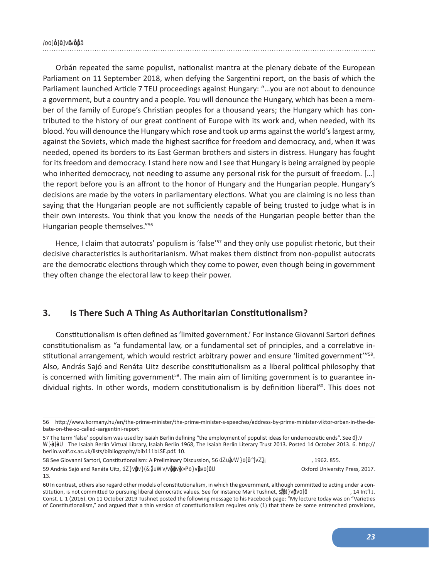Orbán repeated the same populist, nationalist mantra at the plenary debate of the European Parliament on 11 September 2018, when defying the Sargentini report, on the basis of which the Parliament launched Article 7 TEU proceedings against Hungary: "…you are not about to denounce a government, but a country and a people. You will denounce the Hungary, which has been a member of the family of Europe's Christian peoples for a thousand years; the Hungary which has contributed to the history of our great continent of Europe with its work and, when needed, with its blood. You will denounce the Hungary which rose and took up arms against the world's largest army, against the Soviets, which made the highest sacrifice for freedom and democracy, and, when it was needed, opened its borders to its East German brothers and sisters in distress. Hungary has fought for its freedom and democracy. I stand here now and I see that Hungary is being arraigned by people who inherited democracy, not needing to assume any personal risk for the pursuit of freedom. […] the report before you is an affront to the honor of Hungary and the Hungarian people. Hungary's decisions are made by the voters in parliamentary elections. What you are claiming is no less than saying that the Hungarian people are not sufficiently capable of being trusted to judge what is in their own interests. You think that you know the needs of the Hungarian people better than the Hungarian people themselves."56

Hence, I claim that autocrats' populism is 'false'<sup>57</sup> and they only use populist rhetoric, but their decisive characteristics is authoritarianism. What makes them distinct from non-populist autocrats are the democratic elections through which they come to power, even though being in government they often change the electoral law to keep their power.

#### **3. Is There Such A Thing As Authoritarian Constitutionalism?**

Constitutionalism is often defined as 'limited government.' For instance Giovanni Sartori defines constitutionalism as "a fundamental law, or a fundamental set of principles, and a correlative institutional arrangement, which would restrict arbitrary power and ensure 'limited government'"58. Also, András Sajó and Renáta Uitz describe constitutionalism as a liberal political philosophy that is concerned with limiting government<sup>59</sup>. The main aim of limiting government is to guarantee individual rights. In other words, modern constitutionalism is by definition liberal<sup>60</sup>. This does not

<sup>56</sup> http://www.kormany.hu/en/the-prime-minister/the-prime-minister-s-speeches/address-by-prime-minister-viktor-orban-in-the-debate-on-the-so-called-sargentini-report

<sup>57</sup> The term 'false' populism was used by Isaiah Berlin defining "the employment of populist ideas for undemocratic ends". See *To Define Populism,* The Isaiah Berlin Virtual Library, Isaiah Berlin 1968, The Isaiah Berlin Literary Trust 2013. Posted 14 October 2013. 6. http:// berlin.wolf.ox.ac.uk/lists/bibliography/bib111bLSE.pdf. 10.

<sup>58</sup> See Giovanni Sartori, Constitutionalism: A Preliminary Discussion, 56 *The American Political Science Review*, 1962. 855.

<sup>59</sup> András Sajó and Renáta Uitz, The Constitution of Freedom: An Introduction to Legal Constitutionalism, Oxford University Press, 2017. 13.

<sup>60</sup> In contrast, others also regard other models of constitutionalism, in which the government, although committed to acting under a constitution, is not committed to pursuing liberal democratic values. See for instance Mark Tushnet, *Varieties of Constitutionalism*, 14 Int'l J. Const. L. 1 (2016). On 11 October 2019 Tushnet posted the following message to his Facebook page: "My lecture today was on "Varieties of Constitutionalism," and argued that a thin version of constitutionalism requires only (1) that there be some entrenched provisions,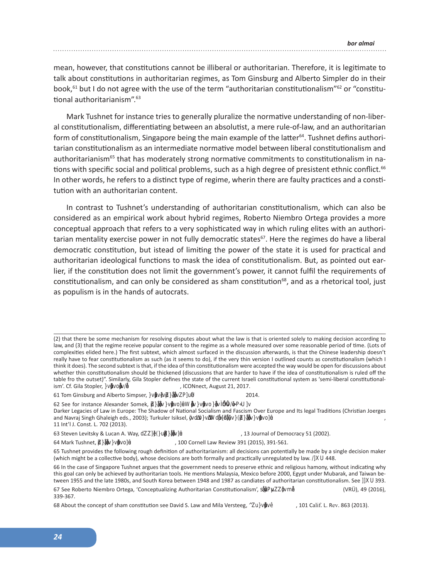mean, however, that constitutions cannot be illiberal or authoritarian. Therefore, it is legitimate to talk about constitutions in authoritarian regimes, as Tom Ginsburg and Alberto Simpler do in their book,<sup>61</sup> but I do not agree with the use of the term "authoritarian constitutionalism"<sup>62</sup> or "constitutional authoritarianism".<sup>63</sup>

Mark Tushnet for instance tries to generally pluralize the normative understanding of non-liberal constitutionalism, differentiating between an absolutist, a mere rule-of-law, and an authoritarian form of constitutionalism, Singapore being the main example of the latter $64$ . Tushnet defins authoritarian constitutionalism as an intermediate normative model between liberal constitutionalism and authoritarianism<sup>65</sup> that has moderately strong normative commitments to constitutionalism in nations with specific social and political problems, such as a high degree of presistent ethnic conflict.<sup>66</sup> In other words, he refers to a distinct type of regime, wherin there are faulty practices and a constitution with an authoritarian content.

In contrast to Tushnet's understanding of authoritarian constitutionalism, which can also be considered as an empirical work about hybrid regimes, Roberto Niembro Ortega provides a more conceptual approach that refers to a very sophisticated way in which ruling elites with an authoritarian mentality exercise power in not fully democratic states<sup>67</sup>. Here the regimes do have a liberal democratic constitution, but istead of limiting the power of the state it is used for practical and authoritarian ideological functions to mask the idea of constitutionalism. But, as pointed out earlier, if the constitution does not limit the government's power, it cannot fulfil the requirements of constitutionalism, and can only be considered as sham constitution<sup>68</sup>, and as a rhetorical tool, just as populism is in the hands of autocrats.

<sup>(2)</sup> that there be some mechanism for resolving disputes about what the law is that is oriented solely to making decision according to law, and (3) that the regime receive popular consent to the regime as a whole measured over some reasonable period of time. (Lots of complexities elided here.) The first subtext, which almost surfaced in the discussion afterwards, is that the Chinese leadership doesn't really have to fear constitutionalism as such (as it seems to do), if the very thin version I outlined counts as constitutionalism (which I think it does). The second subtext is that, if the idea of thin constitutionalism were accepted the way would be open for discussions about whether thin constitutionalism should be thickened (discussions that are harder to have if the idea of constitutionalism is ruled off the table fro the outset)". Similarly, Gila Stopler defines the state of the current Israeli constitutional system as 'semi-liberal constitutionalism'. Cf. Gila Stopler, *Constitutional Capture in Israel*, ICONnect, August 21, 2017.

<sup>61</sup> Tom Ginsburg and Alberto Simpser, *Constitutions in Authoritarian Regimes,* 2014.

<sup>62</sup> See for instance Alexander Somek, *Authoritarian Constitutionalism: Austrian Constitutional Doctrine 1933-1938 and Its Legacy, in* Darker Legacies of Law in Europe: The Shadow of National Socialism and Fascism Over Europe and Its legal Traditions (Christian Joerges and Navraj Singh Ghaleigh eds., 2003); Turkuler Isiksel, *Between Text and Context: Turkey's Tradition of Authoritarian Constitutionalism*, 11 Int'l J. Const. L. 702 (2013).

<sup>63</sup> Steven Levitsky & Lucan A. Way, *The Rise of Competitive Authoritarianism*, 13 Journal of Democracy 51 (2002).

<sup>64</sup> Mark Tushnet, *Authoritarian Constitutionalism*, 100 Cornell Law Review 391 (2015)*,* 391-561.

<sup>65</sup> Tushnet provides the following rough definition of authoritarianism: all decisions can potentially be made by a single decision maker (which might be a collective body), whose decisions are both formally and practically unregulated by law. *Ibid.,* 448.

<sup>66</sup> In the case of Singapore Tushnet argues that the government needs to preserve ethnic and religious hamony, without indicating why this goal can only be achieved by authoritarian tools. He mentions Malaysia, Mexico before 2000, Egypt under Mubarak, and Taiwan between 1955 and the late 1980s, and South Korea between 1948 and 1987 as candiates of authoritarian constitutionalism. See *ibid.,* 393. 67 See Roberto Niembro Ortega, 'Conceptualizing Authoritarian Constitutionalism', *Verfassung und Recht in Übersee* (VRÜ), 49 (2016), 339-367.

<sup>68</sup> About the concept of sham constitution see David S. Law and Mila Versteeg, *Sham Constitutions*, 101 Calif. L. Rev. 863 (2013).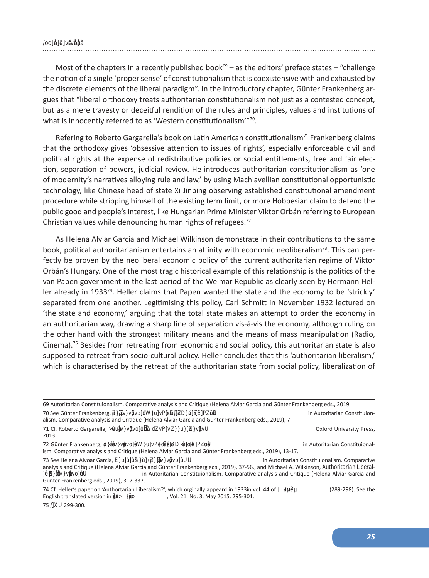Most of the chapters in a recently published book<sup>69</sup> – as the editors' preface states – "challenge" the notion of a single 'proper sense' of constitutionalism that is coexistensive with and exhausted by the discrete elements of the liberal paradigm". In the introductory chapter, Günter Frankenberg argues that "liberal orthodoxy treats authoritarian constitutionalism not just as a contested concept, but as a mere travesty or deceitful rendition of the rules and principles, values and institutions of what is innocently referred to as 'Western constitutionalism'"70.

Refering to Roberto Gargarella's book on Latin American constitutionalism<sup>71</sup> Frankenberg claims that the orthodoxy gives 'obsessive attention to issues of rights', especially enforceable civil and political rights at the expense of redistributive policies or social entitlements, free and fair election, separation of powers, judicial review. He introduces authoritarian constitutionalism as 'one of modernity's narratives alloying rule and law,' by using Machiavellian constitutional opportunistic technology, like Chinese head of state Xi Jinping observing established constitutional amendment procedure while stripping himself of the existing term limit, or more Hobbesian claim to defend the public good and people's interest, like Hungarian Prime Minister Viktor Orbán referring to European Christian values while denouncing human rights of refugees.72

As Helena Alviar Garcia and Michael Wilkinson demonstrate in their contributions to the same book, political authoritarianism entertains an affinity with economic neoliberalism<sup>73</sup>. This can perfectly be proven by the neoliberal economic policy of the current authoritarian regime of Viktor Orbán's Hungary. One of the most tragic historical example of this relationship is the politics of the van Papen government in the last period of the Weimar Republic as clearly seen by Hermann Heller already in 193374. Heller claims that Papen wanted the state and the economy to be 'strickly' separated from one another. Legitimising this policy, Carl Schmitt in November 1932 lectured on 'the state and economy,' arguing that the total state makes an attempt to order the economy in an authoritarian way, drawing a sharp line of separation vis-á-vis the economy, although ruling on the other hand with the strongest military means and the means of mass meanipulation (Radio, Cinema).<sup>75</sup> Besides from retreating from economic and social policy, this authoritarian state is also supposed to retreat from socio-cultural policy. Heller concludes that this 'authoritarian liberalism,' which is characterised by the retreat of the authoritarian state from social policy, liberalization of

75 *Ibid.,* 299-300.

<sup>69</sup> Autoritarian Constituionalism. Comparative analysis and Critique (Helena Alviar Garcia and Günter Frankenberg eds., 2019.

<sup>70</sup> See Günter Frankenberg, *Authoritarian Constitutionalism: Coming to Terms with Modernity's Nightmares,* in Autoritarian Constituionalism. Comparative analysis and Critique (Helena Alviar Garcia and Günter Frankenberg eds., 2019), 7.

<sup>71</sup> Cf. Roberto Gargarella, Latin American Constitutionalism 1810-2010: The Engine Room of the Constitution, Oxford University Press, 2013.

<sup>72</sup> Günter Frankenberg, Authoritarian Constitutionalism: Coming to Terms with Modernity's Nightmares, in Autoritarian Constituionalism. Comparative analysis and Critique (Helena Alviar Garcia and Günter Frankenberg eds., 2019), 13-17.

<sup>73</sup> See Helena Alvoar Garcia, *Neoliberalism As a Form of Auhoritarian Constitutionalism, ,* in Autoritarian Constituionalism. Comparative analysis and Critique (Helena Alviar Garcia and Günter Frankenberg eds., 2019), 37-56., and Michael A. Wilkinson, *Authoritarian Liberalism As Authoritarian Constitutionalism,* in Autoritarian Constituionalism. Comparative analysis and Critique (Helena Alviar Garcia and Günter Frankenberg eds., 2019), 317-337.

<sup>74</sup> Cf. Heller's paper on 'Authortarian Liberalism?', which orginally appeard in 1933in vol. 44 of *Die Neue Rundschau* (289-298). See the English translated version in *European Law Journal*, Vol. 21. No. 3. May 2015. 295-301.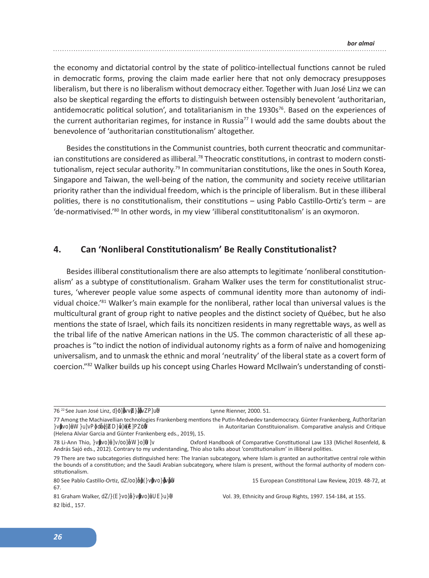the economy and dictatorial control by the state of politico-intellectual functions cannot be ruled in democratic forms, proving the claim made earlier here that not only democracy presupposes liberalism, but there is no liberalism without democracy either. Together with Juan José Linz we can also be skeptical regarding the efforts to distinguish between ostensibly benevolent 'authoritarian, antidemocratic political solution', and totalitarianism in the 1930s<sup>76</sup>. Based on the experiences of the current authoritarian regimes, for instance in Russia<sup>77</sup> I would add the same doubts about the benevolence of 'authoritarian constitutionalism' altogether.

Besides the constitutions in the Communist countries, both current theocratic and communitarian constitutions are considered as illiberal.<sup>78</sup> Theocratic constitutions, in contrast to modern constitutionalism, reject secular authority.<sup>79</sup> In communitarian constitutions, like the ones in South Korea, Singapore and Taiwan, the well-being of the nation, the community and society receive utilitarian priority rather than the individual freedom, which is the principle of liberalism. But in these illiberal polities, there is no constitutionalism, their constitutions – using Pablo Castillo-Ortiz's term − are 'de-normativised.'80 In other words, in my view 'illiberal constitutitonalism' is an oxymoron.

#### **4. Can 'Nonliberal Constitutionalism' Be Really Constitutionalist?**

Besides illiberal constitutionalism there are also attempts to legitimate 'nonliberal constitutionalism' as a subtype of constitutionalism. Graham Walker uses the term for constitutionalist structures, 'wherever people value some aspects of communal identity more than autonomy of individual choice.'81 Walker's main example for the nonliberal, rather local than universal values is the multicultural grant of group right to native peoples and the distinct society of Québec, but he also mentions the state of Israel, which fails its noncitizen residents in many regrettable ways, as well as the tribal life of the native American nations in the US. The common characteristic of all these approaches is "to indict the notion of individual autonomy rights as a form of naïve and homogenizing universalism, and to unmask the ethnic and moral 'neutrality' of the liberal state as a covert form of coercion."82 Walker builds up his concept using Charles Howard McIlwain's understanding of consti-

<sup>76 22</sup> See Juan José Linz, *Totalitarian and Authoritarian Regimes,* Lynne Rienner, 2000. 51.

<sup>77</sup> Among the Machiavellian technologies Frankenberg mentions the Putin-Medvedev tandemocracy. Günter Frankenberg, *Authoritarian Constitutionalism: Coming to Terms with Modernity's Nightmares,* in Autoritarian Constituionalism. Comparative analysis and Critique (Helena Alviar Garcia and Günter Frankenberg eds., 2019), 15.

<sup>78</sup> Li-Ann Thio, *Constitutionalism in Illiberal Polities, in* Oxford Handbook of Comparative Constitutional Law 133 (Michel Rosenfeld, & András Sajó eds., 2012). Contrary to my understanding, Thio also talks about 'constitutionalism' in illiberal polities.

<sup>79</sup> There are two subcategories distinguished here: The Iranian subcategory, where Islam is granted an authoritative central role within the bounds of a constitution; and the Saudi Arabian subcategory, where Islam is present, without the formal authority of modern constitutionalism.

<sup>80</sup> See Pablo Castillo-Ortiz, *The Illiberal Abuse of Constitutional Courts in Europe,* 15 European Constititonal Law Review, 2019. 48-72, at 67.

<sup>81</sup> Graham Walker, *The Idea of Nonliberal Constitutionalism, Nomos,* Vol. 39, Ethnicity and Group Rights, 1997. 154-184, at 155. 82 *Ibid*., 157.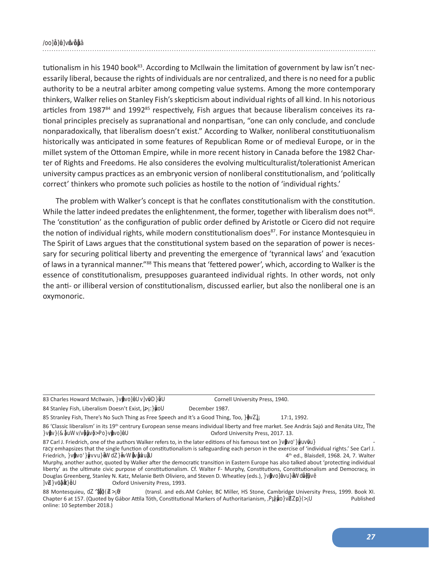tutionalism in his 1940 book<sup>83</sup>. According to McIlwain the limitation of government by law isn't necessarily liberal, because the rights of individuals are nor centralized, and there is no need for a public authority to be a neutral arbiter among competing value systems. Among the more contemporary thinkers, Walker relies on Stanley Fish's skepticism about individual rights of all kind. In his notorious articles from  $1987<sup>84</sup>$  and  $1992<sup>85</sup>$  respectively, Fish argues that because liberalism conceives its rational principles precisely as supranational and nonpartisan, "one can only conclude, and conclude nonparadoxically, that liberalism doesn't exist." According to Walker, nonliberal constitutiuonalism historically was anticipated in some features of Republican Rome or of medieval Europe, or in the millet system of the Ottoman Empire, while in more recent history in Canada before the 1982 Charter of Rights and Freedoms. He also consideres the evolving multiculturalist/tolerationist American university campus practices as an embryonic version of nonliberal constitutionalism, and 'politically correct' thinkers who promote such policies as hostile to the notion of 'individual rights.'

The problem with Walker's concept is that he conflates constitutionalism with the constitution. While the latter indeed predates the enlightenment, the former, together with liberalism does not<sup>86</sup>. The 'constitution' as the configuration of public order defined by Aristotle or Cicero did not require the notion of individual rights, while modern constitutionalism does<sup>87</sup>. For instance Montesquieu in The Spirit of Laws argues that the constitutional system based on the separation of power is necessary for securing political liberty and preventing the emergence of 'tyrannical laws' and 'exacution of laws in a tyrannical manner."88 This means that 'fettered power', which, according to Walker is the essence of constitutionalism, presupposes guaranteed individual rights. In other words, not only the anti- or illiberal version of constitutionalism, discussed earlier, but also the nonliberal one is an oxymonoric.

<sup>83</sup> Charles Howard McIlwain, *Constitutionalism, Ancient and Modern,* Cornell University Press, 1940.

<sup>84</sup> Stanley Fish, Liberalism Doesn't Exist, *Duke Law Journal,* December 1987.

<sup>85</sup> Stranley Fish, There's No Such Thing as Free Speech and It's a Good Thing, Too, *Boston Review* 17:1, 1992.

<sup>86 &#</sup>x27;Classic liberalism' in its 19th centrury European sense means individual liberty and free market. See András Sajó and Renáta Uitz, *The Constitution of Freedom: An Introduction to Legal Constitutionalism,* Oxford University Press, 2017. 13.

<sup>87</sup> Carl J. Friedrich, one of the authors Walker refers to, in the later editions of his famous text on *Constitutional Government and Democracy* emhapsizes that the single function of constitutionalism is safeguarding each person in the exercise of 'individual rights.' See Carl J. Friedrich, Constitutional Governance and Democracy: Theory and Practice in Europe and America, 4<sup>th</sup> ed., Blaisdell, 1968. 24, 7. Walter Murphy, another author, quoted by Walker after the democratic transition in Eastern Europe has also talked about 'protecting individual liberty' as the ultimate civic purpose of constitutionalism. Cf. Walter F- Murphy, Constitutions, Constitutionalism and Democracy, in Douglas Greenberg, Stanley N. Katz, Melanie Beth Oliviero, and Steven D. Wheatley (eds.), *Constitutionalism and Democracy: Transitions in the Contemporary World,* Oxford University Press, 1993.

<sup>88</sup> Montesquieu, *The Spirit of the Laws,* (transl. and eds.AM Cohler, BC Miller, HS Stone, Cambridge University Press, 1999. Book XI. Chapter 6 at 157. (Quoted by Gábor Attila Tóth, Constitutional Markers of Authoritarianism, *Hague Journal on the Rule of Law,* Published online: 10 September 2018.)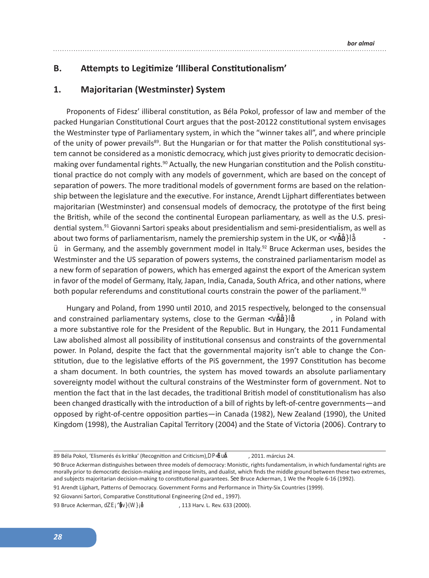#### **B. Attempts to Legitimize 'Illiberal Constitutionalism'**

#### **1. Majoritarian (Westminster) System**

Proponents of Fidesz' illiberal constitution, as Béla Pokol, professor of law and member of the packed Hungarian Constitutional Court argues that the post-20122 constitutional system envisages the Westminster type of Parliamentary system, in which the "winner takes all", and where principle of the unity of power prevails<sup>89</sup>. But the Hungarian or for that matter the Polish constitutional system cannot be considered as a monistic democracy, which just gives priority to democratic decisionmaking over fundamental rights.<sup>90</sup> Actually, the new Hungarian constitution and the Polish constitutional practice do not comply with any models of government, which are based on the concept of separation of powers. The more traditional models of government forms are based on the relationship between the legislature and the executive. For instance, Arendt Lijphart differentiates between majoritarian (Westminster) and consensual models of democracy, the prototype of the first being the British, while of the second the continental European parliamentary, as well as the U.S. presidential system.<sup>91</sup> Giovanni Sartori speaks about presidentialism and semi-presidentialism, as well as about two forms of parliamentarism, namely the premiership system in the UK, or *Kanzlerdemokra*tie in Germany, and the assembly government model in Italy.<sup>92</sup> Bruce Ackerman uses, besides the Westminster and the US separation of powers systems, the constrained parliamentarism model as a new form of separation of powers, which has emerged against the export of the American system in favor of the model of Germany, Italy, Japan, India, Canada, South Africa, and other nations, where both popular referendums and constitutional courts constrain the power of the parliament.<sup>93</sup>

Hungary and Poland, from 1990 until 2010, and 2015 respectively, belonged to the consensual and constrained parliamentary systems, close to the German *Kanzlerdemokratie*, in Poland with a more substantive role for the President of the Republic. But in Hungary, the 2011 Fundamental Law abolished almost all possibility of institutional consensus and constraints of the governmental power. In Poland, despite the fact that the governmental majority isn't able to change the Constitution, due to the legislative efforts of the PiS government, the 1997 Constitution has become a sham document. In both countries, the system has moved towards an absolute parliamentary sovereignty model without the cultural constrains of the Westminster form of government. Not to mention the fact that in the last decades, the traditional British model of constitutionalism has also been changed drastically with the introduction of a bill of rights by left-of-centre governments—and opposed by right-of-centre opposition parties—in Canada (1982), New Zealand (1990), the United Kingdom (1998), the Australian Capital Territory (2004) and the State of Victoria (2006). Contrary to

<sup>89</sup> Béla Pokol, 'Elismerés és kritika' (Recognition and Criticism), *Magyar Nemzet*, 2011. március 24.

<sup>90</sup> Bruce Ackerman distinguishes between three models of democracy: Monistic, rights fundamentalism, in which fundamental rights are morally prior to democratic decision-making and impose limits, and dualist, which finds the middle ground between these two extremes, and subjects majoritarian decision-making to constitutional guarantees. *See* Bruce Ackerman, 1 We the People 6-16 (1992).

<sup>91</sup> Arendt Lijphart, Patterns of Democracy. Government Forms and Performance in Thirty-Six Countries (1999).

<sup>92</sup> Giovanni Sartori, Comparative Constitutional Engineering (2nd ed., 1997).

<sup>93</sup> Bruce Ackerman, *The New Separation of Powers*, 113 Harv. L. Rev. 633 (2000).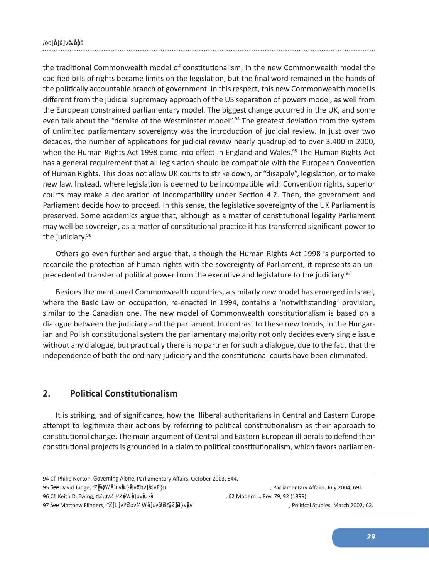the traditional Commonwealth model of constitutionalism, in the new Commonwealth model the codified bills of rights became limits on the legislation, but the final word remained in the hands of the politically accountable branch of government. In this respect, this new Commonwealth model is different from the judicial supremacy approach of the US separation of powers model, as well from the European constrained parliamentary model. The biggest change occurred in the UK, and some even talk about the "demise of the Westminster model".<sup>94</sup> The greatest deviation from the system of unlimited parliamentary sovereignty was the introduction of judicial review. In just over two decades, the number of applications for judicial review nearly quadrupled to over 3,400 in 2000, when the Human Rights Act 1998 came into effect in England and Wales.<sup>95</sup> The Human Rights Act has a general requirement that all legislation should be compatible with the European Convention of Human Rights. This does not allow UK courts to strike down, or "disapply", legislation, or to make new law. Instead, where legislation is deemed to be incompatible with Convention rights, superior courts may make a declaration of incompatibility under Section 4.2. Then, the government and Parliament decide how to proceed. In this sense, the legislative sovereignty of the UK Parliament is preserved. Some academics argue that, although as a matter of constitutional legality Parliament may well be sovereign, as a matter of constitutional practice it has transferred significant power to the judiciary.<sup>96</sup>

Others go even further and argue that, although the Human Rights Act 1998 is purported to reconcile the protection of human rights with the sovereignty of Parliament, it represents an unprecedented transfer of political power from the executive and legislature to the judiciary.<sup>97</sup>

Besides the mentioned Commonwealth countries, a similarly new model has emerged in Israel, where the Basic Law on occupation, re-enacted in 1994, contains a 'notwithstanding' provision, similar to the Canadian one. The new model of Commonwealth constitutionalism is based on a dialogue between the judiciary and the parliament. In contrast to these new trends, in the Hungarian and Polish constitutional system the parliamentary majority not only decides every single issue without any dialogue, but practically there is no partner for such a dialogue, due to the fact that the independence of both the ordinary judiciary and the constitutional courts have been eliminated.

#### **2. Political Constitutionalism**

It is striking, and of significance, how the illiberal authoritarians in Central and Eastern Europe attempt to legitimize their actions by referring to political constitutionalism as their approach to constitutional change. The main argument of Central and Eastern European illiberals to defend their constitutional projects is grounded in a claim to political constitutionalism, which favors parliamen-

<sup>94</sup> Cf. Philip Norton, *Governing Alone*, Parliamentary Affairs*,* October 2003, 544.

<sup>95</sup> *See* David Judge, *Whatever Happened to Parliamentary Democracy in the United Kingdom*, Parliamentary Affairs*,* July 2004, 691.

<sup>96</sup> Cf. Keith D. Ewing, *The Human Rights Act and Parliamentary Democracy*, 62 Modern L. Rev. 79, 92 (1999).

<sup>97</sup> *See* Matthew Flinders, *Shifting the Balance? Parliament, the Executive and the British Constitution*, Political Studies, March 2002, 62.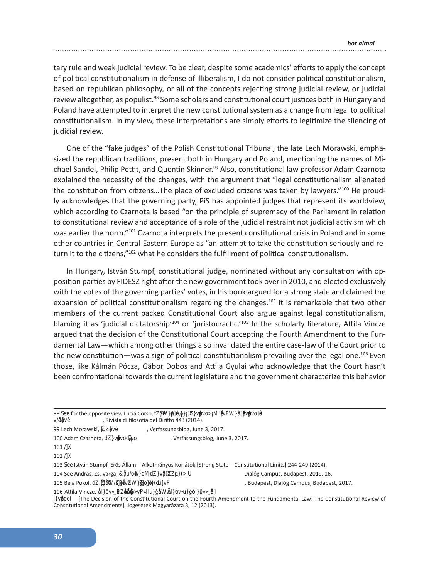tary rule and weak judicial review. To be clear, despite some academics' efforts to apply the concept of political constitutionalism in defense of illiberalism, I do not consider political constitutionalism, based on republican philosophy, or all of the concepts rejecting strong judicial review, or judicial review altogether, as populist.<sup>98</sup> Some scholars and constitutional court justices both in Hungary and Poland have attempted to interpret the new constitutional system as a change from legal to political constitutionalism. In my view, these interpretations are simply efforts to legitimize the silencing of judicial review.

One of the "fake judges" of the Polish Constitutional Tribunal, the late Lech Morawski, emphasized the republican traditions, present both in Hungary and Poland, mentioning the names of Michael Sandel, Philip Pettit, and Quentin Skinner.<sup>99</sup> Also, constitutional law professor Adam Czarnota explained the necessity of the changes, with the argument that "legal constitutionalism alienated the constitution from citizens...The place of excluded citizens was taken by lawyers."100 He proudly acknowledges that the governing party, PiS has appointed judges that represent its worldview, which according to Czarnota is based "on the principle of supremacy of the Parliament in relation to constitutional review and acceptance of a role of the judicial restraint not judicial activism which was earlier the norm."<sup>101</sup> Czarnota interprets the present constitutional crisis in Poland and in some other countries in Central-Eastern Europe as "an attempt to take the constitution seriously and return it to the citizens,"102 what he considers the fulfillment of political constitutionalism.

In Hungary, István Stumpf, constitutional judge, nominated without any consultation with opposition parties by FIDESZ right after the new government took over in 2010, and elected exclusively with the votes of the governing parties' votes, in his book argued for a strong state and claimed the expansion of political constitutionalism regarding the changes.<sup>103</sup> It is remarkable that two other members of the current packed Constitutional Court also argue against legal constitutionalism, blaming it as 'judicial dictatorship'<sup>104</sup> or 'juristocractic.<sup>'105</sup> In the scholarly literature, Attila Vincze argued that the decision of the Constitutional Court accepting the Fourth Amendment to the Fundamental Law—which among other things also invalidated the entire case-law of the Court prior to the new constitution—was a sign of political constitutionalism prevailing over the legal one.<sup>106</sup> Even those, like Kálmán Pócza, Gábor Dobos and Attila Gyulai who acknowledge that the Court hasn't been confrontational towards the current legislature and the government characterize this behavior

<sup>98</sup> *See* for the opposite view Lucia Corso, *What Does Populism Have to Do with Constitutional Law? Discussing Populist Constitutionalism and Its Assumptions*, Rivista di filosofia del Diritto 443 (2014).

<sup>99</sup> Lech Morawski, *A Critical Response*, Verfassungsblog, June 3, 2017.

<sup>100</sup> Adam Czarnota, *The Constitutional Tribunal*, Verfassungsblog, June 3, 2017.

<sup>101</sup> *Ibid.*

<sup>102</sup> *Ibid.*

<sup>103</sup> *See* István Stumpf, Erős Állam – Alkotmányos Korlátok [Strong State – Constitutional Limits] 244-249 (2014).

<sup>104</sup> See András. Zs. Varga, *From Ideal to Idol? The Concept of the Rule of Law,* Dialóg Campus, Budapest, 2019. 16.

<sup>105</sup> Béla Pokol, *The Juristocratic State: Its Victory and the Possibility of Taming*. Budapest, Dialóg Campus, Budapest, 2017.

<sup>106</sup> Attila Vincze, *Az Alkotmánybíróság határozata az Alaptörvény negyedik módosításáról: az alkotmánymódosítás alkotmánybírósági kontrollja* [The Decision of the Constitutional Court on the Fourth Amendment to the Fundamental Law: The Constitutional Review of Constitutional Amendments], Jogesetek Magyarázata 3, 12 (2013).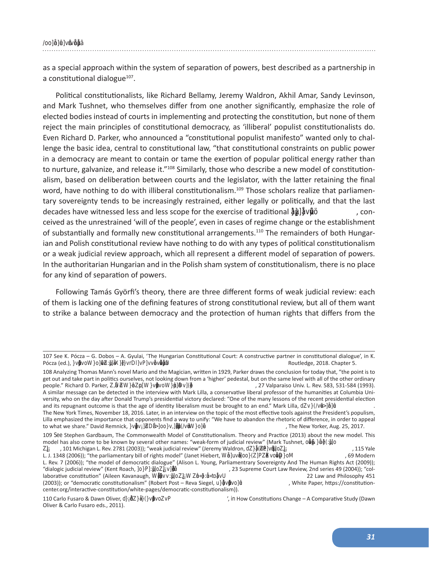as a special approach within the system of separation of powers, best described as a partnership in a constitutional dialogue<sup>107</sup>.

Political constitutionalists, like Richard Bellamy, Jeremy Waldron, Akhil Amar, Sandy Levinson, and Mark Tushnet, who themselves differ from one another significantly, emphasize the role of elected bodies instead of courts in implementing and protecting the constitution, but none of them reject the main principles of constitutional democracy, as 'illiberal' populist constitutionalists do. Even Richard D. Parker, who announced a "constitutional populist manifesto" wanted only to challenge the basic idea, central to constitutional law, "that constitutional constraints on public power in a democracy are meant to contain or tame the exertion of popular political energy rather than to nurture, galvanize, and release it."<sup>108</sup> Similarly, those who describe a new model of constitutionalism, based on deliberation between courts and the legislator, with the latter retaining the final word, have nothing to do with illiberal constitutionalism.<sup>109</sup> Those scholars realize that parliamentary sovereignty tends to be increasingly restrained, either legally or politically, and that the last decades have witnessed less and less scope for the exercise of traditional *pouvoir constituant*, conceived as the unrestrained 'will of the people', even in cases of regime change or the establishment of substantially and formally new constitutional arrangements.110 The remainders of both Hungarian and Polish constitutional review have nothing to do with any types of political constitutionalism or a weak judicial review approach, which all represent a different model of separation of powers. In the authoritarian Hungarian and in the Polish sham system of constitutionalism, there is no place for any kind of separation of powers.

Following Tamás Györfi's theory, there are three different forms of weak judicial review: each of them is lacking one of the defining features of strong constitutional review, but all of them want to strike a balance between democracy and the protection of human rights that differs from the

<sup>107</sup> See K. Pócza – G. Dobos – A. Gyulai, 'The Hungarian Constitutional Court: A constructive partner in constitutional dialogue', in K. Pócza (ed.), *Constitutional Politics and the Judiciary. Decision-Making in Central and Eastern Europe,* Routledge, 2018. Chapter 5.

<sup>108</sup> Analyzing Thomas Mann's novel Mario and the Magician, written in 1929, Parker draws the conclusion for today that, "the point is to get out and take part in politics ourselves, not looking down from a 'higher' pedestal, but on the same level with all of the other ordinary people." Richard D. Parker, 'Here, the People Rule': A Constitutional Populist Manifesto, 27 Valparaiso Univ. L. Rev. 583, 531-584 (1993). A similar message can be detected in the interview with Mark Lilla, a conservative liberal professor of the humanities at Columbia University, who on the day after Donald Trump's presidential victory declared: "One of the many lessons of the recent presidential election and its repugnant outcome is that the age of identity liberalism must be brought to an end." Mark Lilla, *The End of Identity Liberalism*. The New York Times, November 18, 2016. Later, in an interview on the topic of the most effective tools against the President's populism, Lilla emphasized the importance that opponents find a way to unify: "We have to abandon the rhetoric of difference, in order to appeal to what we share." David Remnick, *A Conversation with Mark Lilla on His Critique of Identity Politics*, The New Yorker, Aug. 25, 2017.

<sup>109</sup> *See* Stephen Gardbaum, The Commonwealth Model of Constitutionalism. Theory and Practice (2013) about the new model. This model has also come to be known by several other names: "weak-form of judicial review" (Mark Tushnet, *Alternative Forms of Judicial Review*, 101 Michigan L. Rev. 2781 (2003)); "weak judicial review" (Jeremy Waldron, *The Core of the Case Against Judicial Review*, 115 Yale L. J. 1348 (2006)); "the parliamentary bill of rights model" (Janet Hiebert, *Parliamentary Bill of Rights. An Alternative Model?*, 69 Modern L. Rev. 7 (2006)); "the model of democratic dialogue" (Alison L. Young, Parliamentrary Sovereignty And The Human Rights Act (2009)); "dialogic judicial review" (Kent Roach, *Dialogic Judicial Review and its Critics*, 23 Supreme Court Law Review, 2nd series 49 (2004)); "collaborative constitution" (Aileen Kavanaugh, Participation and Judicial Review: A Reply to Jeremy Waldron, 22 Law and Philosophy 451 (2003)); or "democratic constitutionalism" (Robert Post – Reva Siegel, *Democratic Constitutionalism*, White Paper, https://constitutioncenter.org/interactive-constitution/white-pages/democratic-constitutionalism)).

<sup>110</sup> Carlo Fusaro & Dawn Oliver, *Towards a Theory of Constitutional Change*', *in* How Constitutions Change – A Comparative Study (Dawn Oliver & Carlo Fusaro eds., 2011).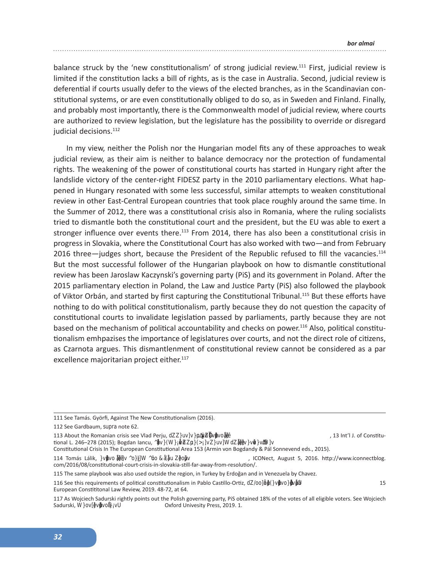balance struck by the 'new constitutionalism' of strong judicial review.111 First, judicial review is limited if the constitution lacks a bill of rights, as is the case in Australia. Second, judicial review is deferential if courts usually defer to the views of the elected branches, as in the Scandinavian constitutional systems, or are even constitutionally obliged to do so, as in Sweden and Finland. Finally, and probably most importantly, there is the Commonwealth model of judicial review, where courts are authorized to review legislation, but the legislature has the possibility to override or disregard judicial decisions.<sup>112</sup>

In my view, neither the Polish nor the Hungarian model fits any of these approaches to weak judicial review, as their aim is neither to balance democracy nor the protection of fundamental rights. The weakening of the power of constitutional courts has started in Hungary right after the landslide victory of the center-right FIDESZ party in the 2010 parliamentary elections. What happened in Hungary resonated with some less successful, similar attempts to weaken constitutional review in other East-Central European countries that took place roughly around the same time. In the Summer of 2012, there was a constitutional crisis also in Romania, where the ruling socialists tried to dismantle both the constitutional court and the president, but the EU was able to exert a stronger influence over events there.<sup>113</sup> From 2014, there has also been a constitutional crisis in progress in Slovakia, where the Constitutional Court has also worked with two—and from February 2016 three—judges short, because the President of the Republic refused to fill the vacancies.<sup>114</sup> But the most successful follower of the Hungarian playbook on how to dismantle constitutional review has been Jaroslaw Kaczynski's governing party (PiS) and its government in Poland. After the 2015 parliamentary election in Poland, the Law and Justice Party (PiS) also followed the playbook of Viktor Orbán, and started by first capturing the Constitutional Tribunal.<sup>115</sup> But these efforts have nothing to do with political constitutionalism, partly because they do not question the capacity of constitutional courts to invalidate legislation passed by parliaments, partly because they are not based on the mechanism of political accountability and checks on power.116 Also, political constitutionalism emhpazises the importance of legislatures over courts, and not the direct role of citizens, as Czarnota argues. This dismantlenment of constitutional review cannot be considered as a par excellence majoritarian project either.<sup>117</sup>

<sup>111</sup> See Tamás. Györfi, Against The New Constitutionalism (2016).

<sup>112</sup> See Gardbaum, *supra* note 62.

<sup>113</sup> About the Romanian crisis see Vlad Perju, *The Romanian double executive and the 2012 constitutional crisis*, 13 Int'l J. of Constitutional L. 246–278 (2015); Bogdan Iancu, *Separation of Powers and the Rule of Law in Romania: The Crisis in Concepts and Contexts, in*  Constitutional Crisis In The European Constitutional Area 153 (Armin von Bogdandy & Pál Sonnevend eds., 2015).

<sup>114</sup> Tomás Lálik, *Constitutional Crisis in Slovakia: Still Far from Resolution*, ICONect, August 5, 2016. http://www.iconnectblog. com/2016/08/constitutional-court-crisis-in-slovakia-still-far-away-from-resolution/.

<sup>115</sup> The same playbook was also used outside the region, in Turkey by Erdoğan and in Venezuela by Chavez.

<sup>116</sup> See this requirements of political constitutionalism in Pablo Castillo-Ortiz, *The Illiberal Abuse of Constitutional Courts in Europe,* 15 European Constititonal Law Review, 2019. 48-72, at 64.

<sup>117</sup> As Wojciech Sadurski rightly points out the Polish governing party, PiS obtained 18% of the votes of all eligible voters. See Wojciech Sadurski, *Poland's Constitutional Breakdown,* Oxford Univesity Press, 2019. 1.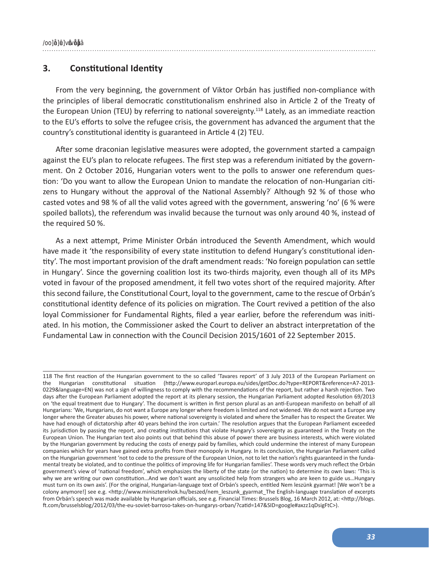#### **3. Constitutional Identity**

From the very beginning, the government of Viktor Orbán has justified non-compliance with the principles of liberal democratic constitutionalism enshrined also in Article 2 of the Treaty of the European Union (TEU) by referring to national sovereignty.<sup>118</sup> Lately, as an immediate reaction to the EU's efforts to solve the refugee crisis, the government has advanced the argument that the country's constitutional identity is guaranteed in Article 4 (2) TEU.

After some draconian legislative measures were adopted, the government started a campaign against the EU's plan to relocate refugees. The first step was a referendum initiated by the government. On 2 October 2016, Hungarian voters went to the polls to answer one referendum question: 'Do you want to allow the European Union to mandate the relocation of non-Hungarian citizens to Hungary without the approval of the National Assembly?' Although 92 % of those who casted votes and 98 % of all the valid votes agreed with the government, answering 'no' (6 % were spoiled ballots), the referendum was invalid because the turnout was only around 40 %, instead of the required 50 %.

As a next attempt, Prime Minister Orbán introduced the Seventh Amendment, which would have made it 'the responsibility of every state institution to defend Hungary's constitutional identity'. The most important provision of the draft amendment reads: 'No foreign population can settle in Hungary'. Since the governing coalition lost its two-thirds majority, even though all of its MPs voted in favour of the proposed amendment, it fell two votes short of the required majority. After this second failure, the Constitutional Court, loyal to the government, came to the rescue of Orbán's constitutional identity defence of its policies on migration. The Court revived a petition of the also loyal Commissioner for Fundamental Rights, filed a year earlier, before the referendum was initiated. In his motion, the Commissioner asked the Court to deliver an abstract interpretation of the Fundamental Law in connection with the Council Decision 2015/1601 of 22 September 2015.

<sup>118</sup> The first reaction of the Hungarian government to the so called 'Tavares report' of 3 July 2013 of the European Parliament on the Hungarian constitutional situation (http://www.europarl.europa.eu/sides/getDoc.do?type=REPORT&reference=A7-2013- 0229&language=EN) was not a sign of willingness to comply with the recommendations of the report, but rather a harsh rejection. Two days after the European Parliament adopted the report at its plenary session, the Hungarian Parliament adopted Resolution 69/2013 on 'the equal treatment due to Hungary'. The document is written in first person plural as an anti-European manifesto on behalf of all Hungarians: 'We, Hungarians, do not want a Europe any longer where freedom is limited and not widened. We do not want a Europe any longer where the Greater abuses his power, where national sovereignty is violated and where the Smaller has to respect the Greater. We have had enough of dictatorship after 40 years behind the iron curtain.' The resolution argues that the European Parliament exceeded its jurisdiction by passing the report, and creating institutions that violate Hungary's sovereignty as guaranteed in the Treaty on the European Union. The Hungarian text also points out that behind this abuse of power there are business interests, which were violated by the Hungarian government by reducing the costs of energy paid by families, which could undermine the interest of many European companies which for years have gained extra profits from their monopoly in Hungary. In its conclusion, the Hungarian Parliament called on the Hungarian government 'not to cede to the pressure of the European Union, not to let the nation's rights guaranteed in the fundamental treaty be violated, and to continue the politics of improving life for Hungarian families'. These words very much reflect the Orbán government's view of 'national freedom', which emphasizes the liberty of the state (or the nation) to determine its own laws: 'This is why we are writing our own constitution…And we don't want any unsolicited help from strangers who are keen to guide us…Hungary must turn on its own axis'. (For the original, Hungarian-language text of Orbán's speech, entitled Nem leszünk gyarmat! [We won't be a colony anymore!] see e.g. <http://www.miniszterelnok.hu/beszed/nem\_leszunk\_gyarmat\_The English-language translation of excerpts from Orbán's speech was made available by Hungarian officials, see e.g. Financial Times: Brussels Blog, 16 March 2012, at: <http://blogs. ft.com/brusselsblog/2012/03/the-eu-soviet-barroso-takes-on-hungarys-orban/?catid=147&SID=google#axzz1qDsigFtC>).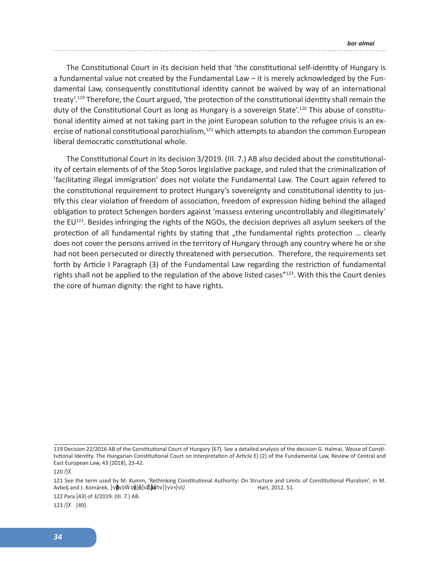The Constitutional Court in its decision held that 'the constitutional self-identity of Hungary is a fundamental value not created by the Fundamental Law – it is merely acknowledged by the Fundamental Law, consequently constitutional identity cannot be waived by way of an international treaty'.119 Therefore, the Court argued, 'the protection of the constitutional identity shall remain the duty of the Constitutional Court as long as Hungary is a sovereign State'.120 This abuse of constitutional identity aimed at not taking part in the joint European solution to the refugee crisis is an exercise of national constitutional parochialism,<sup>121</sup> which attempts to abandon the common European liberal democratic constitutional whole.

The Constitutional Court in its decision 3/2019. (III. 7.) AB also decided about the constitutionality of certain elements of of the Stop Soros legislative package, and ruled that the criminalization of 'facilitating illegal immigration' does not violate the Fundamental Law. The Court again refered to the constitutional requirement to protect Hungary's sovereignty and constitutional identity to justify this clear violation of freedom of association, freedom of expression hiding behind the allaged obligation to protect Schengen borders against 'massess entering uncontrollably and illegitimately' the EU<sup>122</sup>. Besides infringing the rights of the NGOs, the decision deprives all asylum seekers of the protection of all fundamental rights by stating that "the fundamental rights protection ... clearly does not cover the persons arrived in the territory of Hungary through any country where he or she had not been persecuted or directly threatened with persecution. Therefore, the requirements set forth by Article I Paragraph (3) of the Fundamental Law regarding the restriction of fundamental rights shall not be applied to the regulation of the above listed cases"<sup>123</sup>. With this the Court denies the core of human dignity: the right to have rights.

123 *Ibid.* [49].

<sup>119</sup> Decision 22/2016 AB of the Constitutional Court of Hungary [67]. See a detailed analysis of the decision G. Halmai, 'Abuse of Constitutional Identity. The Hungarian Constitutional Court on Interpretation of Article E) (2) of the Fundamental Law, Review of Central and East European Law, 43 (2018), 23-42.

<sup>120</sup> *Ibid.* 

<sup>121</sup> See the term used by M. Kumm, 'Rethinking Constitutional Authority: On Structure and Limits of Constitutional Pluralism', in M. Avbelj and J. Komárek, *Constitutional Pluralism in the European Union and Beyond*, Hart, 2012. 51.

<sup>122</sup> Para [43] of 3/2019. (III. 7.) AB.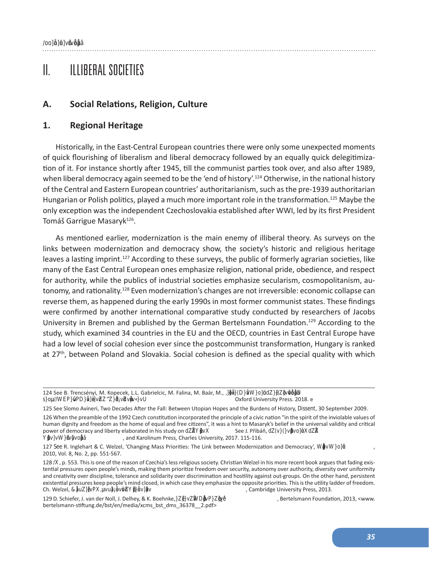## II. ILLIBERAL SOCIETIES

#### **A. Social Relations, Religion, Culture**

#### **1. Regional Heritage**

Historically, in the East-Central European countries there were only some unexpected moments of quick flourishing of liberalism and liberal democracy followed by an equally quick delegitimization of it. For instance shortly after 1945, till the communist parties took over, and also after 1989, when liberal democracy again seemed to be the 'end of history'.<sup>124</sup> Otherwise, in the national history of the Central and Eastern European countries' authoritarianism, such as the pre-1939 authoritarian Hungarian or Polish politics, played a much more important role in the transformation.125 Maybe the only exception was the independent Czechoslovakia established after WWI, led by its first President Tomáš Garrigue Masaryk<sup>126</sup>.

As mentioned earlier, modernization is the main enemy of illiberal theory. As surveys on the links between modernization and democracy show, the society's historic and religious heritage leaves a lasting imprint.<sup>127</sup> According to these surveys, the public of formerly agrarian societies, like many of the East Central European ones emphasize religion, national pride, obedience, and respect for authority, while the publics of industrial societies emphasize secularism, cosmopolitanism, autonomy, and rationality.<sup>128</sup> Even modernization's changes are not irreversible: economic collapse can reverse them, as happened during the early 1990s in most former communist states. These findings were confirmed by another international comparative study conducted by researchers of Jacobs University in Bremen and published by the German Bertelsmann Foundation.129 According to the study, which examined 34 countries in the EU and the OECD, countries in East Central Europe have had a low level of social cohesion ever since the postcommunist transformation, Hungary is ranked at 27<sup>th</sup>, between Poland and Slovakia. Social cohesion is defined as the special quality with which

<sup>124</sup> See B. Trencsényi, M. Kopecek, L.L. Gabrielcic, M. Falina, M. Baár, M., *A History of Modern Political Thought in East Central Europe,*  Volume II: Negotiating Modernity in the 'Short Twentieth Century and Beyond, Oxford University Press. 2018. e

<sup>125</sup> See Slomo Avineri, Two Decades After the Fall: Between Utopian Hopes and the Burdens of History, *Dissent,* 30 September 2009.

<sup>126</sup> When the preamble of the 1992 Czech constitution incorporated the principle of a civic nation "in the spirit of the inviolable values of human dignity and freedom as the home of equal and free citizens", it was a hint to Masaryk's belief in the universal validity and critical power of democracy and liberty elaborated in his study on *The Czech Question.* See J. Přibáň, *The Defence of Constitutionalism. The Czech Question in Post-national Europe*, and Karolinum Press, Charles University, 2017. 115-116.

<sup>127</sup> *See* R. Inglehart & C. Welzel*,* 'Changing Mass Priorities: The Link between Modernization and Democracy', *Perspectives on Politics*, 2010, Vol. 8, No. 2, pp. 551-567.

<sup>128</sup> *Id.*, p. 553. This is one of the reason of Czechia's less religious society. Christian Welzel in his more recent book argues that fading existential pressures open people's minds, making them prioritize freedom over security, autonomy over authority, diversity over uniformity and creativity over discipline, tolerance and solidarity over discrimination and hostility against out-groups. On the other hand, persistent existential pressures keep people's mind closed, in which case they emphasize the opposite priorities. This is the utility ladder of freedom. Ch. Welzel, *Freedom Rising. Human Empowerment and the Quest for Emancipation*, Cambridge University Press, 2013.

<sup>129</sup> D. Schiefer, J. van der Noll, J. Delhey, & K. Boehnke, *Cohesion Radar: Measuring Cohesiveness*, Bertelsmann Foundation, 2013, <www. bertelsmann-stiftung.de/bst/en/media/xcms\_bst\_dms\_36378\_\_2.pdf>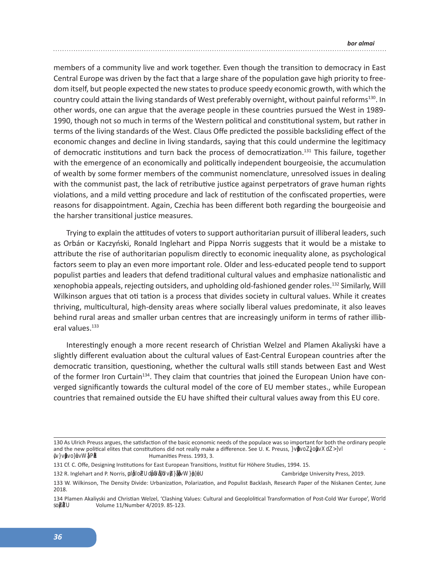members of a community live and work together. Even though the transition to democracy in East Central Europe was driven by the fact that a large share of the population gave high priority to freedom itself, but people expected the new states to produce speedy economic growth, with which the country could attain the living standards of West preferably overnight, without painful reforms<sup>130</sup>. In other words, one can argue that the average people in these countries pursued the West in 1989- 1990, though not so much in terms of the Western political and constitutional system, but rather in terms of the living standards of the West. Claus Offe predicted the possible backsliding effect of the economic changes and decline in living standards, saying that this could undermine the legitimacy of democratic institutions and turn back the process of democratization.131 This failure, together with the emergence of an economically and politically independent bourgeoisie, the accumulation of wealth by some former members of the communist nomenclature, unresolved issues in dealing with the communist past, the lack of retributive justice against perpetrators of grave human rights violations, and a mild vetting procedure and lack of restitution of the confiscated properties, were reasons for disappointment. Again, Czechia has been different both regarding the bourgeoisie and the harsher transitional justice measures.

Trying to explain the attitudes of voters to support authoritarian pursuit of illiberal leaders, such as Orbán or Kaczyński, Ronald Inglehart and Pippa Norris suggests that it would be a mistake to attribute the rise of authoritarian populism directly to economic inequality alone, as psychological factors seem to play an even more important role. Older and less-educated people tend to support populist parties and leaders that defend traditional cultural values and emphasize nationalistic and xenophobia appeals, rejecting outsiders, and upholding old-fashioned gender roles.132 Similarly, Will Wilkinson argues that oti tation is a process that divides society in cultural values. While it creates thriving, multicultural, high-density areas where socially liberal values predominate, it also leaves behind rural areas and smaller urban centres that are increasingly uniform in terms of rather illiberal values.133

Interestingly enough a more recent research of Christian Welzel and Plamen Akaliyski have a slightly different evaluation about the cultural values of East-Central European countries after the democratic transition, questioning, whether the cultural walls still stands between East and West of the former Iron Curtain<sup>134</sup>. They claim that countries that joined the European Union have converged significantly towards the cultural model of the core of EU member states., while European countries that remained outside the EU have shifted their cultural values away from this EU core.

<sup>130</sup> As Ulrich Preuss argues, the satisfaction of the basic economic needs of the populace was so important for both the ordinary people and the new political elites that constitutions did not really make a difference. See U. K. Preuss, *Constitutional Revolution. The Link Between Constitutionalism and Progress.* Humanities Press. 1993, 3.

<sup>131</sup> Cf. C. Offe, Designing Institutions for East European Transitions, Institut für Höhere Studies, 1994. 15.

<sup>132</sup> R. Inglehart and P. Norris, *Culktural Backlash, Trump, Brexit, and Authoritarian Populism,* Cambridge University Press, 2019.

<sup>133</sup> W. Wilkinson, The Density Divide: Urbanization, Polarization, and Populist Backlash, Research Paper of the Niskanen Center, June 2018.

<sup>134</sup> Plamen Akaliyski and Christian Welzel, 'Clashing Values: Cultural and Geoplolitical Transformation of Post-Cold War Europe', *World Values Research,* Volume 11/Number 4/2019. 85-123.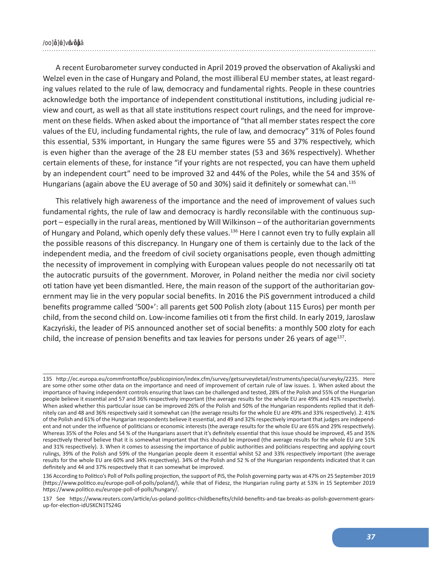A recent Eurobarometer survey conducted in April 2019 proved the observation of Akaliyski and Welzel even in the case of Hungary and Poland, the most illiberal EU member states, at least regarding values related to the rule of law, democracy and fundamental rights. People in these countries acknowledge both the importance of independent constitutional institutions, including judicial review and court, as well as that all state institutions respect court rulings, and the need for improvement on these fields. When asked about the importance of "that all member states respect the core values of the EU, including fundamental rights, the rule of law, and democracy" 31% of Poles found this essential, 53% important, in Hungary the same figures were 55 and 37% respectively, which is even higher than the average of the 28 EU member states (53 and 36% respectively). Whether certain elements of these, for instance "if your rights are not respected, you can have them upheld by an independent court" need to be improved 32 and 44% of the Poles, while the 54 and 35% of Hungarians (again above the EU average of 50 and 30%) said it definitely or somewhat can.135

This relatively high awareness of the importance and the need of improvement of values such fundamental rights, the rule of law and democracy is hardly reconsilable with the continuous support – especially in the rural areas, mentioned by Will Wilkinson – of the authoritarian governments of Hungary and Poland, which openly defy these values.<sup>136</sup> Here I cannot even try to fully explain all the possible reasons of this discrepancy. In Hungary one of them is certainly due to the lack of the independent media, and the freedom of civil society organisations people, even though admitting the necessity of improvement in complying with European values people do not necessarily oti tat the autocratic pursuits of the government. Morover, in Poland neither the media nor civil society oti tation have yet been dismantled. Here, the main reason of the support of the authoritarian government may lie in the very popular social benefits. In 2016 the PiS government introduced a child benefits programme called '500+': all parents get 500 Polish zloty (about 115 Euros) per month per child, from the second child on. Low-income families oti t from the first child. In early 2019, Jaroslaw Kaczyński, the leader of PiS announced another set of social benefits: a monthly 500 zloty for each child, the increase of pension benefits and tax leavies for persons under 26 years of age<sup>137</sup>.

<sup>135</sup> http://ec.europa.eu/commfrontoffice/publicopinion/index.cfm/survey/getsurveydetail/instruments/special/surveyky/2235. Here are some other some other data on the importance and need of improvement of certain rule of law issues. 1. When asked about the importance of having independent controls ensuring that laws can be challenged and tested, 28% of the Polish and 55% of the Hungarian people believe it essential and 57 and 36% respectively important (the average results for the whole EU are 49% and 41% respectively). When asked whether this particular issue can be improved 26% of the Polish and 50% of the Hungarian respondents replied that it definitely can and 48 and 36% respectively said it somewhat can (the average results for the whole EU are 49% and 33% respectively). 2. 41% of the Polish and 61% of the Hungarian respondents believe it essential, and 49 and 32% respectively important that judges are independent and not under the influence of politicians or economic interests (the average results for the whole EU are 65% and 29% respectively). Whereas 35% of the Poles and 54 % of the Hungarians assert that it's definitely essential that this issue should be improved, 45 and 35% respectively thereof believe that it is somewhat important that this should be improved (the average results for the whole EU are 51% and 31% respectively). 3. When it comes to assessing the importance of public authorities and politicians respecting and applying court rulings, 39% of the Polish and 59% of the Hungarian people deem it essential whilst 52 and 33% respectively important (the average results for the whole EU are 60% and 34% respectively). 34% of the Polish and 52 % of the Hungarian respondents indicated that it can definitely and 44 and 37% respectively that it can somewhat be improved.

<sup>136</sup> According to Politico's Poll of Polls polling projection, the support of PiS, the Polish governing party was at 47% on 25 September 2019 (https://www.politico.eu/europe-poll-of-polls/poland/), while that of Fidesz, the Hungarian ruling party at 53% in 15 September 2019 https://www.politico.eu/europe-poll-of-polls/hungary/.

<sup>137</sup> See https://www.reuters.com/article/us-poland-politics-childbenefits/child-benefits-and-tax-breaks-as-polish-government-gearsup-for-election-idUSKCN1TS24G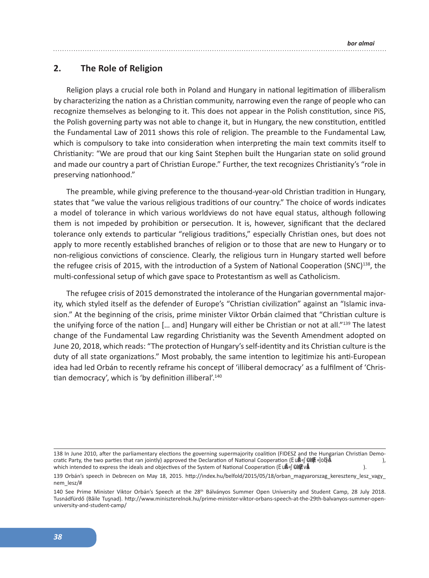#### **2. The Role of Religion**

Religion plays a crucial role both in Poland and Hungary in national legitimation of illiberalism by characterizing the nation as a Christian community, narrowing even the range of people who can recognize themselves as belonging to it. This does not appear in the Polish constitution, since PiS, the Polish governing party was not able to change it, but in Hungary, the new constitution, entitled the Fundamental Law of 2011 shows this role of religion. The preamble to the Fundamental Law, which is compulsory to take into consideration when interpreting the main text commits itself to Christianity: "We are proud that our king Saint Stephen built the Hungarian state on solid ground and made our country a part of Christian Europe." Further, the text recognizes Christianity's "role in preserving nationhood."

The preamble, while giving preference to the thousand-year-old Christian tradition in Hungary, states that "we value the various religious traditions of our country." The choice of words indicates a model of tolerance in which various worldviews do not have equal status, although following them is not impeded by prohibition or persecution. It is, however, significant that the declared tolerance only extends to particular "religious traditions," especially Christian ones, but does not apply to more recently established branches of religion or to those that are new to Hungary or to non-religious convictions of conscience. Clearly, the religious turn in Hungary started well before the refugee crisis of 2015, with the introduction of a System of National Cooperation (SNC)<sup>138</sup>, the multi-confessional setup of which gave space to Protestantism as well as Catholicism.

The refugee crisis of 2015 demonstrated the intolerance of the Hungarian governmental majority, which styled itself as the defender of Europe's "Christian civilization" against an "Islamic invasion." At the beginning of the crisis, prime minister Viktor Orbán claimed that "Christian culture is the unifying force of the nation [... and] Hungary will either be Christian or not at all."139 The latest change of the Fundamental Law regarding Christianity was the Seventh Amendment adopted on June 20, 2018, which reads: "The protection of Hungary's self-identity and its Christian culture is the duty of all state organizations." Most probably, the same intention to legitimize his anti-European idea had led Orbán to recently reframe his concept of 'illiberal democracy' as a fulfilment of 'Christian democracy', which is 'by definition illiberal'.<sup>140</sup>

<sup>138</sup> In June 2010, after the parliamentary elections the governing supermajority coalition (FIDESZ and the Hungarian Christian Democratic Party, the two parties that ran jointly) approved the Declaration of National Cooperation (*Nemzeti Együttműködés Nyilatkozata*), which intended to express the ideals and objectives of the System of National Cooperation (*Nemzeti Együttműködés Rendszere*).

<sup>139</sup> Orbán's speech in Debrecen on May 18, 2015. http://index.hu/belfold/2015/05/18/orban\_magyarorszag\_kereszteny\_lesz\_vagy\_ nem\_lesz/#

<sup>140</sup> See Prime Minister Viktor Orbán's Speech at the 28<sup>th</sup> Bálványos Summer Open University and Student Camp, 28 July 2018. Tusnádfürdő (Băile Tuşnad). http://www.miniszterelnok.hu/prime-minister-viktor-orbans-speech-at-the-29th-balvanyos-summer-openuniversity-and-student-camp/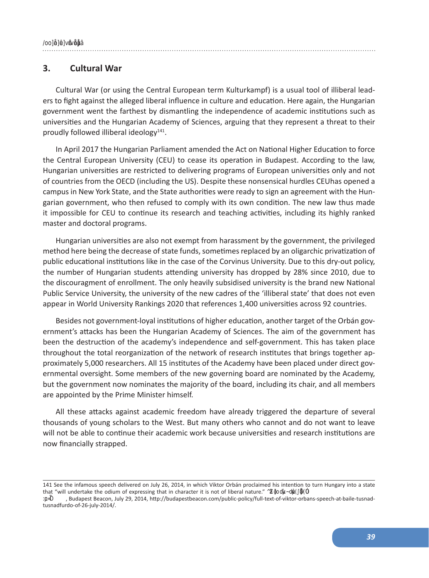#### **3. Cultural War**

Cultural War (or using the Central European term Kulturkampf) is a usual tool of illiberal leaders to fight against the alleged liberal influence in culture and education. Here again, the Hungarian government went the farthest by dismantling the independence of academic institutions such as universities and the Hungarian Academy of Sciences, arguing that they represent a threat to their proudly followed illiberal ideology<sup>141</sup>.

In April 2017 the Hungarian Parliament amended the Act on National Higher Education to force the Central European University (CEU) to cease its operation in Budapest. According to the law, Hungarian universities are restricted to delivering programs of European universities only and not of countries from the OECD (including the US). Despite these nonsensical hurdles CEUhas opened a campus in New York State, and the State authorities were ready to sign an agreement with the Hungarian government, who then refused to comply with its own condition. The new law thus made it impossible for CEU to continue its research and teaching activities, including its highly ranked master and doctoral programs.

Hungarian universities are also not exempt from harassment by the government, the privileged method here being the decrease of state funds, sometimes replaced by an oligarchic privatization of public educational institutions like in the case of the Corvinus University. Due to this dry-out policy, the number of Hungarian students attending university has dropped by 28% since 2010, due to the discouragment of enrollment. The only heavily subsidised university is the brand new National Public Service University, the university of the new cadres of the 'illiberal state' that does not even appear in World University Rankings 2020 that references 1,400 universities across 92 countries.

Besides not government-loyal institutions of higher education, another target of the Orbán government's attacks has been the Hungarian Academy of Sciences. The aim of the government has been the destruction of the academy's independence and self-government. This has taken place throughout the total reorganization of the network of research institutes that brings together approximately 5,000 researchers. All 15 institutes of the Academy have been placed under direct governmental oversight. Some members of the new governing board are nominated by the Academy, but the government now nominates the majority of the board, including its chair, and all members are appointed by the Prime Minister himself.

All these attacks against academic freedom have already triggered the departure of several thousands of young scholars to the West. But many others who cannot and do not want to leave will not be able to continue their academic work because universities and research institutions are now financially strapped.

<sup>141</sup> See the infamous speech delivered on July 26, 2014, in which Viktor Orbán proclaimed his intention to turn Hungary into a state that "will undertake the odium of expressing that in character it is not of liberal nature." *Speech at Băile Tuşnad (Tusnádfürdő) of 26 July 2014*, Budapest Beacon, July 29, 2014, http://budapestbeacon.com/public-policy/full-text-of-viktor-orbans-speech-at-baile-tusnadtusnadfurdo-of-26-july-2014/.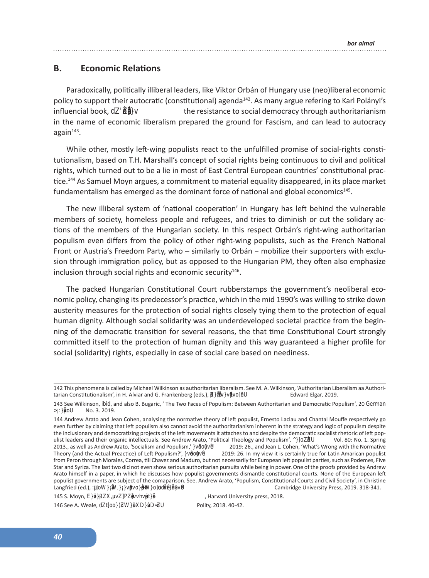#### **B. Economic Relations**

Paradoxically, politically illiberal leaders, like Viktor Orbán of Hungary use (neo)liberal economic policy to support their autocratic (constitutional) agenda<sup>142</sup>. As many argue refering to Karl Polányi's influencial book, *The Great Repression* the resistance to social democracy through authoritarianism in the name of economic liberalism prepared the ground for Fascism, and can lead to autocracy again $143$ .

While other, mostly left-wing populists react to the unfulfilled promise of social-rights constitutionalism, based on T.H. Marshall's concept of social rights being continuous to civil and political rights, which turned out to be a lie in most of East Central European countries' constitutional practice.144 As Samuel Moyn argues, a commitment to material equality disappeared, in its place market fundamentalism has emerged as the dominant force of national and global economics<sup>145</sup>.

The new illiberal system of 'national cooperation' in Hungary has left behind the vulnerable members of society, homeless people and refugees, and tries to diminish or cut the solidary actions of the members of the Hungarian society. In this respect Orbán's right-wing authoritarian populism even differs from the policy of other right-wing populists, such as the French National Front or Austria's Freedom Party, who – similarly to Orbán − mobilize their supporters with exclusion through immigration policy, but as opposed to the Hungarian PM, they often also emphasize inclusion through social rights and economic security $146$ .

The packed Hungarian Constitutional Court rubberstamps the government's neoliberal economic policy, changing its predecessor's practice, which in the mid 1990's was willing to strike down austerity measures for the protection of social rights closely tying them to the protection of equal human dignity. Although social solidarity was an underdeveloped societal practice from the beginning of the democratic transition for several reasons, the that time Constitutional Court strongly committed itself to the protection of human dignity and this way guaranteed a higher profile for social (solidarity) rights, especially in case of social care based on neediness.

145 S. Moyn, *Not Enough. Human Rights in an Unequal World*, Harvard University press, 2018.

146 See A. Weale, *The Will of the People. A Modern Myth,* Polity, 2018. 40-42.

<sup>142</sup> This phenomena is called by Michael Wilkinson as authoritarian liberalism. See M. A. Wilkinson, 'Authoritarian Liberalism aa Authoritarian Constitutionalism', in H. Alviar and G. Frankenberg (eds.), *Authoritarian Constitutionalism,* Edward Elgar, 2019.

<sup>143</sup> See Wilkinson, *ibid,* and also B. Bugaric, ' The Two Faces of Populism: Between Authoritarian and Democratic Populism', 20 *German Law Journal,* No. 3. 2019.

<sup>144</sup> Andrew Arato and Jean Cohen, analysing the normative theory of left populist, Ernesto Laclau and Chantal Mouffe respectively go even further by claiming that left populism also cannot avoid the authoritarianism inherent in the strategy and logic of populism despite the inclusionary and democratizing projects of the left movements it attaches to and despite the democratic socialist rhetoric of left populist leaders and their organic intellectuals. See Andrew Arato, 'Political Theology and Populism', *Social Research,* Vol. 80: No. 1. Spring 2013., as well as Andrew Arato, 'Socialism and Populism,' *Constellations,* 2019: 26., and Jean L. Cohen, 'What's Wrong with the Normative Theory (and the Actual Preactice) of Left Populism?', *Constellations,* 2019: 26. In my view it is certainly true for Latin Amarican populist from Peron through Morales, Correa, till Chavez and Maduro, but not necessarily for European left populist parties, such as Podemes, Five Star and Syriza. The last two did not even show serious authoritarian pursuits while being in power. One of the proofs provided by Andrew Arato himself in a paper, in which he discusses how populist governments dismantle constitutional courts. None of the European left populist governments are subject of the comaparison. See. Andrew Arato, 'Populism, Constitutional Courts and Civil Society', in Christine Langfried (ed.), Judicial Power: How Constitutional Courts Affect Political Transformations, Cambridge University Press, 2019. 318-341.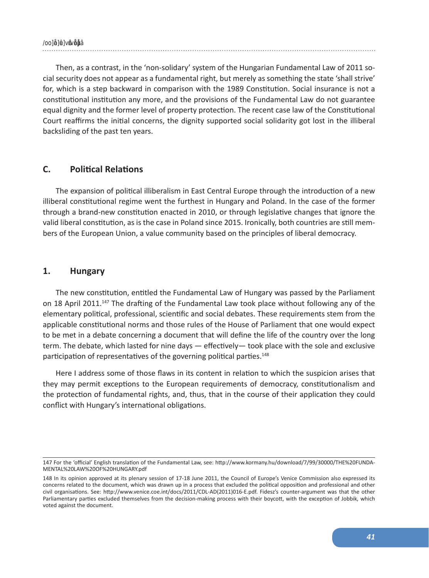Then, as a contrast, in the 'non-solidary' system of the Hungarian Fundamental Law of 2011 social security does not appear as a fundamental right, but merely as something the state 'shall strive' for, which is a step backward in comparison with the 1989 Constitution. Social insurance is not a constitutional institution any more, and the provisions of the Fundamental Law do not guarantee equal dignity and the former level of property protection. The recent case law of the Constitutional Court reaffirms the initial concerns, the dignity supported social solidarity got lost in the illiberal backsliding of the past ten years.

#### **C. Political Relations**

The expansion of political illiberalism in East Central Europe through the introduction of a new illiberal constitutional regime went the furthest in Hungary and Poland. In the case of the former through a brand-new constitution enacted in 2010, or through legislative changes that ignore the valid liberal constitution, as is the case in Poland since 2015. Ironically, both countries are still members of the European Union, a value community based on the principles of liberal democracy.

#### **1. Hungary**

The new constitution, entitled the Fundamental Law of Hungary was passed by the Parliament on 18 April 2011.<sup>147</sup> The drafting of the Fundamental Law took place without following any of the elementary political, professional, scientific and social debates. These requirements stem from the applicable constitutional norms and those rules of the House of Parliament that one would expect to be met in a debate concerning a document that will define the life of the country over the long term. The debate, which lasted for nine days — effectively— took place with the sole and exclusive participation of representatives of the governing political parties.<sup>148</sup>

Here I address some of those flaws in its content in relation to which the suspicion arises that they may permit exceptions to the European requirements of democracy, constitutionalism and the protection of fundamental rights, and, thus, that in the course of their application they could conflict with Hungary's international obligations.

<sup>147</sup> For the 'official' English translation of the Fundamental Law, see: http://www.kormany.hu/download/7/99/30000/THE%20FUNDA-MENTAL%20LAW%20OF%20HUNGARY.pdf

<sup>148</sup> In its opinion approved at its plenary session of 17-18 June 2011, the Council of Europe's Venice Commission also expressed its concerns related to the document, which was drawn up in a process that excluded the political opposition and professional and other civil organisations. See: http://www.venice.coe.int/docs/2011/CDL-AD(2011)016-E.pdf. Fidesz's counter-argument was that the other Parliamentary parties excluded themselves from the decision-making process with their boycott, with the exception of Jobbik, which voted against the document.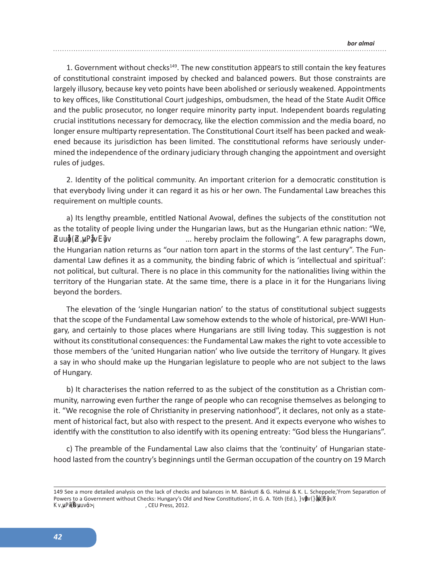1. Government without checks149. The new constitution *appears* to still contain the key features of constitutional constraint imposed by checked and balanced powers. But those constraints are largely illusory, because key veto points have been abolished or seriously weakened. Appointments to key offices, like Constitutional Court judgeships, ombudsmen, the head of the State Audit Office and the public prosecutor, no longer require minority party input. Independent boards regulating crucial institutions necessary for democracy, like the election commission and the media board, no longer ensure multiparty representation. The Constitutional Court itself has been packed and weakened because its jurisdiction has been limited. The constitutional reforms have seriously undermined the independence of the ordinary judiciary through changing the appointment and oversight rules of judges.

2. Identity of the political community. An important criterion for a democratic constitution is that everybody living under it can regard it as his or her own. The Fundamental Law breaches this requirement on multiple counts.

a) Its lengthy preamble, entitled National Avowal, defines the subjects of the constitution not as the totality of people living under the Hungarian laws, but as the Hungarian ethnic nation: "*We, the members of the Hungarian Nation* ... hereby proclaim the following". A few paragraphs down, the Hungarian nation returns as "our nation torn apart in the storms of the last century". The Fundamental Law defines it as a community, the binding fabric of which is 'intellectual and spiritual': not political, but cultural. There is no place in this community for the nationalities living within the territory of the Hungarian state. At the same time, there is a place in it for the Hungarians living beyond the borders.

The elevation of the 'single Hungarian nation' to the status of constitutional subject suggests that the scope of the Fundamental Law somehow extends to the whole of historical, pre-WWI Hungary, and certainly to those places where Hungarians are still living today. This suggestion is not without its constitutional consequences: the Fundamental Law makes the right to vote accessible to those members of the 'united Hungarian nation' who live outside the territory of Hungary. It gives a say in who should make up the Hungarian legislature to people who are not subject to the laws of Hungary.

b) It characterises the nation referred to as the subject of the constitution as a Christian community, narrowing even further the range of people who can recognise themselves as belonging to it. "We recognise the role of Christianity in preserving nationhood", it declares, not only as a statement of historical fact, but also with respect to the present. And it expects everyone who wishes to identify with the constitution to also identify with its opening entreaty: "God bless the Hungarians".

c) The preamble of the Fundamental Law also claims that the 'continuity' of Hungarian statehood lasted from the country's beginnings until the German occupation of the country on 19 March

<sup>149</sup> See a more detailed analysis on the lack of checks and balances in M. Bánkuti & G. Halmai & K. L. Scheppele,'From Separation of Powers to a Government without Checks: Hungary's Old and New Constitutions', *in* G. A. Tóth (Ed.), *Constitution for a Disunited Nation. On Hungary's 2011 Fundamental Law*, CEU Press, 2012.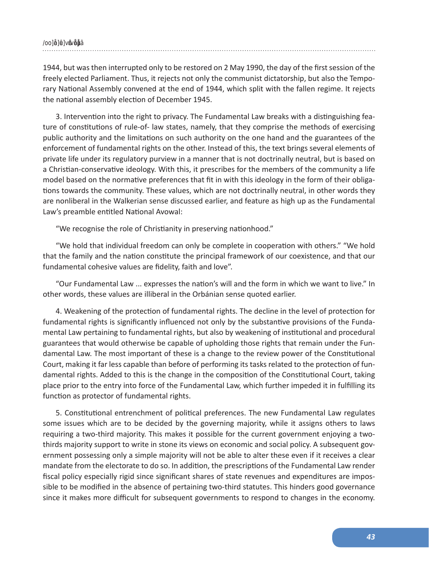1944, but was then interrupted only to be restored on 2 May 1990, the day of the first session of the freely elected Parliament. Thus, it rejects not only the communist dictatorship, but also the Temporary National Assembly convened at the end of 1944, which split with the fallen regime. It rejects the national assembly election of December 1945.

3. Intervention into the right to privacy. The Fundamental Law breaks with a distinguishing feature of constitutions of rule-of- law states, namely, that they comprise the methods of exercising public authority and the limitations on such authority on the one hand and the guarantees of the enforcement of fundamental rights on the other. Instead of this, the text brings several elements of private life under its regulatory purview in a manner that is not doctrinally neutral, but is based on a Christian-conservative ideology. With this, it prescribes for the members of the community a life model based on the normative preferences that fit in with this ideology in the form of their obligations towards the community. These values, which are not doctrinally neutral, in other words they are nonliberal in the Walkerian sense discussed earlier, and feature as high up as the Fundamental Law's preamble entitled National Avowal:

"We recognise the role of Christianity in preserving nationhood."

"We hold that individual freedom can only be complete in cooperation with others." "We hold that the family and the nation constitute the principal framework of our coexistence, and that our fundamental cohesive values are fidelity, faith and love".

"Our Fundamental Law ... expresses the nation's will and the form in which we want to live." In other words, these values are illiberal in the Orbánian sense quoted earlier.

4. Weakening of the protection of fundamental rights. The decline in the level of protection for fundamental rights is significantly influenced not only by the substantive provisions of the Fundamental Law pertaining to fundamental rights, but also by weakening of institutional and procedural guarantees that would otherwise be capable of upholding those rights that remain under the Fundamental Law. The most important of these is a change to the review power of the Constitutional Court, making it far less capable than before of performing its tasks related to the protection of fundamental rights. Added to this is the change in the composition of the Constitutional Court, taking place prior to the entry into force of the Fundamental Law, which further impeded it in fulfilling its function as protector of fundamental rights.

5. Constitutional entrenchment of political preferences. The new Fundamental Law regulates some issues which are to be decided by the governing majority, while it assigns others to laws requiring a two-third majority. This makes it possible for the current government enjoying a twothirds majority support to write in stone its views on economic and social policy. A subsequent government possessing only a simple majority will not be able to alter these even if it receives a clear mandate from the electorate to do so. In addition, the prescriptions of the Fundamental Law render fiscal policy especially rigid since significant shares of state revenues and expenditures are impossible to be modified in the absence of pertaining two-third statutes. This hinders good governance since it makes more difficult for subsequent governments to respond to changes in the economy.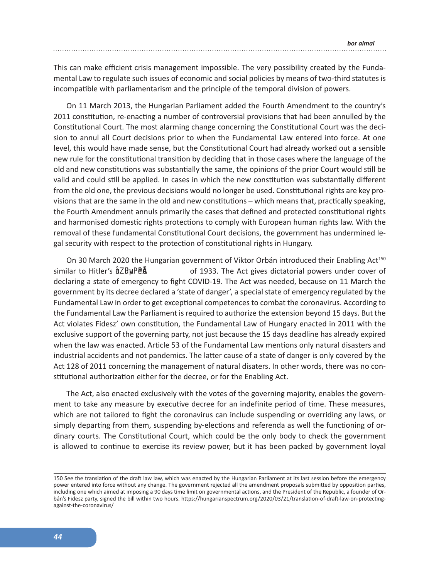This can make efficient crisis management impossible. The very possibility created by the Fundamental Law to regulate such issues of economic and social policies by means of two-third statutes is incompatible with parliamentarism and the principle of the temporal division of powers.

On 11 March 2013, the Hungarian Parliament added the Fourth Amendment to the country's 2011 constitution, re-enacting a number of controversial provisions that had been annulled by the Constitutional Court. The most alarming change concerning the Constitutional Court was the decision to annul all Court decisions prior to when the Fundamental Law entered into force. At one level, this would have made sense, but the Constitutional Court had already worked out a sensible new rule for the constitutional transition by deciding that in those cases where the language of the old and new constitutions was substantially the same, the opinions of the prior Court would still be valid and could still be applied. In cases in which the new constitution was substantially different from the old one, the previous decisions would no longer be used. Constitutional rights are key provisions that are the same in the old and new constitutions – which means that, practically speaking, the Fourth Amendment annuls primarily the cases that defined and protected constitutional rights and harmonised domestic rights protections to comply with European human rights law. With the removal of these fundamental Constitutional Court decisions, the government has undermined legal security with respect to the protection of constitutional rights in Hungary.

On 30 March 2020 the Hungarian government of Viktor Orbán introduced their Enabling Act<sup>150</sup> similar to Hitler's *Ermächtigungsgesetz* of 1933. The Act gives dictatorial powers under cover of declaring a state of emergency to fight COVID-19. The Act was needed, because on 11 March the government by its decree declared a 'state of danger', a special state of emergency regulated by the Fundamental Law in order to get exceptional competences to combat the coronavirus. According to the Fundamental Law the Parliament is required to authorize the extension beyond 15 days. But the Act violates Fidesz' own constitution, the Fundamental Law of Hungary enacted in 2011 with the exclusive support of the governing party, not just because the 15 days deadline has already expired when the law was enacted. Article 53 of the Fundamental Law mentions only natural disasters and industrial accidents and not pandemics. The latter cause of a state of danger is only covered by the Act 128 of 2011 concerning the management of natural disaters. In other words, there was no constitutional authorization either for the decree, or for the Enabling Act.

The Act, also enacted exclusively with the votes of the governing majority, enables the government to take any measure by executive decree for an indefinite period of time. These measures, which are not tailored to fight the coronavirus can include suspending or overriding any laws, or simply departing from them, suspending by-elections and referenda as well the functioning of ordinary courts. The Constitutional Court, which could be the only body to check the government is allowed to continue to exercise its review power, but it has been packed by government loyal

<sup>150</sup> See the translation of the draft law law, which was enacted by the Hungarian Parliament at its last session before the emergency power entered into force without any change. The government rejected all the amendment proposals submitted by opposition parties, including one which aimed at imposing a 90 days time limit on governmental actions, and the President of the Republic, a founder of Orbán's Fidesz party, signed the bill within two hours. https://hungarianspectrum.org/2020/03/21/translation-of-draft-law-on-protectingagainst-the-coronavirus/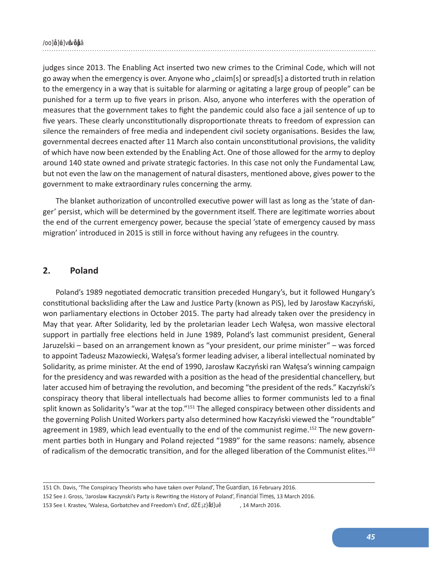judges since 2013. The Enabling Act inserted two new crimes to the Criminal Code, which will not go away when the emergency is over. Anyone who "claim[s] or spread[s] a distorted truth in relation to the emergency in a way that is suitable for alarming or agitating a large group of people" can be punished for a term up to five years in prison. Also, anyone who interferes with the operation of measures that the government takes to fight the pandemic could also face a jail sentence of up to five years. These clearly unconstitutionally disproportionate threats to freedom of expression can silence the remainders of free media and independent civil society organisations. Besides the law, governmental decrees enacted after 11 March also contain unconstitutional provisions, the validity of which have now been extended by the Enabling Act. One of those allowed for the army to deploy around 140 state owned and private strategic factories. In this case not only the Fundamental Law, but not even the law on the management of natural disasters, mentioned above, gives power to the government to make extraordinary rules concerning the army.

The blanket authorization of uncontrolled executive power will last as long as the 'state of danger' persist, which will be determined by the government itself. There are legitimate worries about the end of the current emergency power, because the special 'state of emergency caused by mass migration' introduced in 2015 is still in force without having any refugees in the country.

#### **2. Poland**

Poland's 1989 negotiated democratic transition preceded Hungary's, but it followed Hungary's constitutional backsliding after the Law and Justice Party (known as PiS), led by Jarosław Kaczyński, won parliamentary elections in October 2015. The party had already taken over the presidency in May that year. After Solidarity, led by the proletarian leader Lech Wałęsa, won massive electoral support in partially free elections held in June 1989, Poland's last communist president, General Jaruzelski – based on an arrangement known as "your president, our prime minister" – was forced to appoint Tadeusz Mazowiecki, Wałęsa's former leading adviser, a liberal intellectual nominated by Solidarity, as prime minister. At the end of 1990, Jarosław Kaczyński ran Wałęsa's winning campaign for the presidency and was rewarded with a position as the head of the presidential chancellery, but later accused him of betraying the revolution, and becoming "the president of the reds." Kaczyński's conspiracy theory that liberal intellectuals had become allies to former communists led to a final split known as Solidarity's "war at the top."<sup>151</sup> The alleged conspiracy between other dissidents and the governing Polish United Workers party also determined how Kaczyński viewed the "roundtable" agreement in 1989, which lead eventually to the end of the communist regime.<sup>152</sup> The new government parties both in Hungary and Poland rejected "1989" for the same reasons: namely, absence of radicalism of the democratic transition, and for the alleged liberation of the Communist elites.<sup>153</sup>

151 Ch. Davis, 'The Conspiracy Theorists who have taken over Poland', *The Guardian*, 16 February 2016.

<sup>152</sup> See J. Gross, 'Jaroslaw Kaczynski's Party is Rewriting the History of Poland', *Financial Times*, 13 March 2016.

<sup>153</sup> See I. Krastev, 'Walesa, Gorbatchev and Freedom's End', *The New York Times*, 14 March 2016.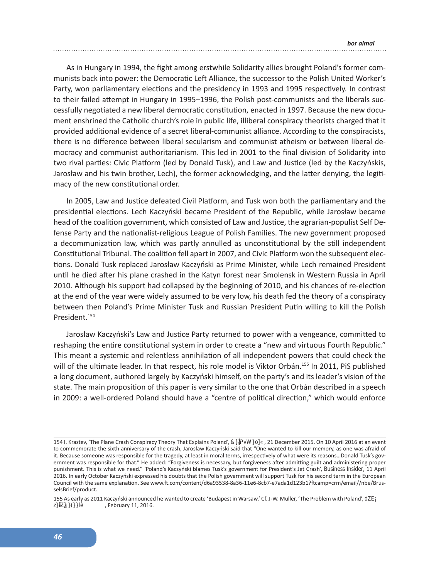As in Hungary in 1994, the fight among erstwhile Solidarity allies brought Poland's former communists back into power: the Democratic Left Alliance, the successor to the Polish United Worker's Party, won parliamentary elections and the presidency in 1993 and 1995 respectively. In contrast to their failed attempt in Hungary in 1995–1996, the Polish post-communists and the liberals successfully negotiated a new liberal democratic constitution, enacted in 1997. Because the new document enshrined the Catholic church's role in public life, illiberal conspiracy theorists charged that it provided additional evidence of a secret liberal-communist alliance. According to the conspiracists, there is no difference between liberal secularism and communist atheism or between liberal democracy and communist authoritarianism. This led in 2001 to the final division of Solidarity into two rival parties: Civic Platform (led by Donald Tusk), and Law and Justice (led by the Kaczyńskis, Jarosław and his twin brother, Lech), the former acknowledging, and the latter denying, the legitimacy of the new constitutional order.

In 2005, Law and Justice defeated Civil Platform, and Tusk won both the parliamentary and the presidential elections. Lech Kaczyński became President of the Republic, while Jarosław became head of the coalition government, which consisted of Law and Justice, the agrarian-populist Self Defense Party and the nationalist-religious League of Polish Families. The new government proposed a decommunization law, which was partly annulled as unconstitutional by the still independent Constitutional Tribunal. The coalition fell apart in 2007, and Civic Platform won the subsequent elections. Donald Tusk replaced Jarosław Kaczyński as Prime Minister, while Lech remained President until he died after his plane crashed in the Katyn forest near Smolensk in Western Russia in April 2010. Although his support had collapsed by the beginning of 2010, and his chances of re-election at the end of the year were widely assumed to be very low, his death fed the theory of a conspiracy between then Poland's Prime Minister Tusk and Russian President Putin willing to kill the Polish President.154

Jarosław Kaczyński's Law and Justice Party returned to power with a vengeance, committed to reshaping the entire constitutional system in order to create a "new and virtuous Fourth Republic." This meant a systemic and relentless annihilation of all independent powers that could check the will of the ultimate leader. In that respect, his role model is Viktor Orbán.<sup>155</sup> In 2011, PiS published a long document, authored largely by Kaczyński himself, on the party's and its leader's vision of the state. The main proposition of this paper is very similar to the one that Orbán described in a speech in 2009: a well-ordered Poland should have a "centre of political direction," which would enforce

<sup>154</sup> I. Krastev, 'The Plane Crash Conspiracy Theory That Explains Poland', *Foreign Policy*, 21 December 2015. On 10 April 2016 at an event to commemorate the sixth anniversary of the crash, Jarosław Kaczyński said that "One wanted to kill our memory, as one was afraid of it. Because someone was responsible for the tragedy, at least in moral terms, irrespectively of what were its reasons…Donald Tusk's government was responsible for that." He added: "Forgiveness is necessary, but forgiveness after admitting guilt and administering proper punishment. This is what we need." 'Poland's Kaczyński blames Tusk's government for President's Jet Crash', *Business Insider*, 11 April 2016. In early October Kaczyński expressed his doubts that the Polish government will support Tusk for his second term in the European Council with the same explanation. See www.ft.com/content/d6a93538-8a36-11e6-8cb7-e7ada1d123b1?ftcamp=crm/email//nbe/BrusselsBrief/product.

<sup>155</sup> As early as 2011 Kaczyński announced he wanted to create 'Budapest in Warsaw.' Cf. J-W. Müller, 'The Problem with Poland', *The New York Review of Books*, February 11, 2016.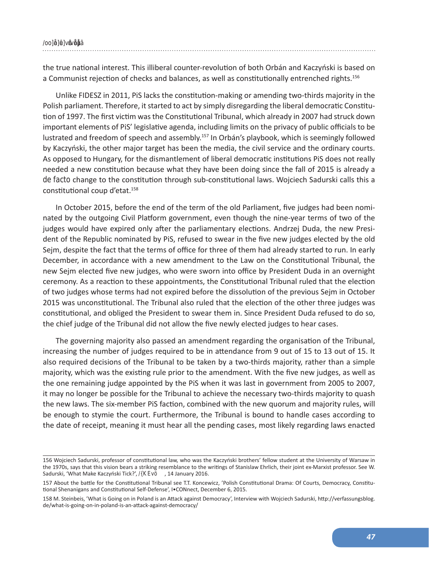the true national interest. This illiberal counter-revolution of both Orbán and Kaczyński is based on a Communist rejection of checks and balances, as well as constitutionally entrenched rights.<sup>156</sup>

Unlike FIDESZ in 2011, PiS lacks the constitution-making or amending two-thirds majority in the Polish parliament. Therefore, it started to act by simply disregarding the liberal democratic Constitution of 1997. The first victim was the Constitutional Tribunal, which already in 2007 had struck down important elements of PiS' legislative agenda, including limits on the privacy of public officials to be lustrated and freedom of speech and assembly.<sup>157</sup> In Orbán's playbook, which is seemingly followed by Kaczyński, the other major target has been the media, the civil service and the ordinary courts. As opposed to Hungary, for the dismantlement of liberal democratic institutions PiS does not really needed a new constitution because what they have been doing since the fall of 2015 is already a *de facto* change to the constitution through sub-constitutional laws. Wojciech Sadurski calls this a constitutional coup d'etat.158

In October 2015, before the end of the term of the old Parliament, five judges had been nominated by the outgoing Civil Platform government, even though the nine-year terms of two of the judges would have expired only after the parliamentary elections. Andrzej Duda, the new President of the Republic nominated by PiS, refused to swear in the five new judges elected by the old Sejm, despite the fact that the terms of office for three of them had already started to run. In early December, in accordance with a new amendment to the Law on the Constitutional Tribunal, the new Sejm elected five new judges, who were sworn into office by President Duda in an overnight ceremony. As a reaction to these appointments, the Constitutional Tribunal ruled that the election of two judges whose terms had not expired before the dissolution of the previous Sejm in October 2015 was unconstitutional. The Tribunal also ruled that the election of the other three judges was constitutional, and obliged the President to swear them in. Since President Duda refused to do so, the chief judge of the Tribunal did not allow the five newly elected judges to hear cases.

The governing majority also passed an amendment regarding the organisation of the Tribunal, increasing the number of judges required to be in attendance from 9 out of 15 to 13 out of 15. It also required decisions of the Tribunal to be taken by a two-thirds majority, rather than a simple majority, which was the existing rule prior to the amendment. With the five new judges, as well as the one remaining judge appointed by the PiS when it was last in government from 2005 to 2007, it may no longer be possible for the Tribunal to achieve the necessary two-thirds majority to quash the new laws. The six-member PiS faction, combined with the new quorum and majority rules, will be enough to stymie the court. Furthermore, the Tribunal is bound to handle cases according to the date of receipt, meaning it must hear all the pending cases, most likely regarding laws enacted

<sup>156</sup> Wojciech Sadurski, professor of constitutional law, who was the Kaczyński brothers' fellow student at the University of Warsaw in the 1970s, says that this vision bears a striking resemblance to the writings of Stanislaw Ehrlich, their joint ex-Marxist professor. See W. Sadurski, 'What Make Kaczyński Tick?', *I•CONnect*, 14 January 2016.

<sup>157</sup> About the battle for the Constitutional Tribunal see T.T. Koncewicz, 'Polish Constitutional Drama: Of Courts, Democracy, Constitutional Shenanigans and Constitutional Self-Defense', I•CONnect, December 6, 2015.

<sup>158</sup> M. Steinbeis, 'What is Going on in Poland is an Attack against Democracy', Interview with Wojciech Sadurski, http://verfassungsblog. de/what-is-going-on-in-poland-is-an-attack-against-democracy/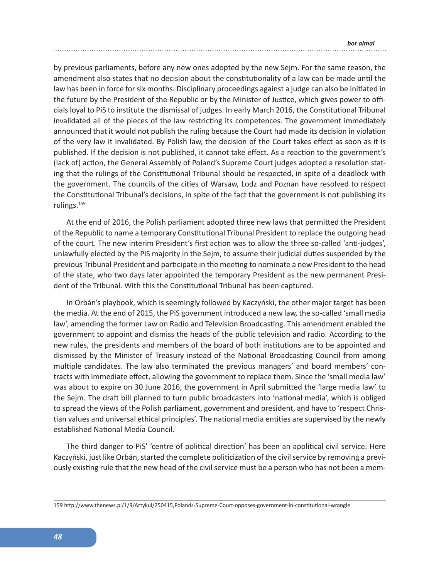by previous parliaments, before any new ones adopted by the new Sejm. For the same reason, the amendment also states that no decision about the constitutionality of a law can be made until the law has been in force for six months. Disciplinary proceedings against a judge can also be initiated in the future by the President of the Republic or by the Minister of Justice, which gives power to officials loyal to PiS to institute the dismissal of judges. In early March 2016, the Constitutional Tribunal invalidated all of the pieces of the law restricting its competences. The government immediately announced that it would not publish the ruling because the Court had made its decision in violation of the very law it invalidated. By Polish law, the decision of the Court takes effect as soon as it is published. If the decision is not published, it cannot take effect. As a reaction to the government's (lack of) action, the General Assembly of Poland's Supreme Court judges adopted a resolution stating that the rulings of the Constitutional Tribunal should be respected, in spite of a deadlock with the government. The councils of the cities of Warsaw, Lodz and Poznan have resolved to respect the Constitutional Tribunal's decisions, in spite of the fact that the government is not publishing its rulings.159

At the end of 2016, the Polish parliament adopted three new laws that permitted the President of the Republic to name a temporary Constitutional Tribunal President to replace the outgoing head of the court. The new interim President's first action was to allow the three so-called 'anti-judges', unlawfully elected by the PiS majority in the Sejm, to assume their judicial duties suspended by the previous Tribunal President and participate in the meeting to nominate a new President to the head of the state, who two days later appointed the temporary President as the new permanent President of the Tribunal. With this the Constitutional Tribunal has been captured.

In Orbán's playbook, which is seemingly followed by Kaczyński, the other major target has been the media. At the end of 2015, the PiS government introduced a new law, the so-called 'small media law', amending the former Law on Radio and Television Broadcasting. This amendment enabled the government to appoint and dismiss the heads of the public television and radio. According to the new rules, the presidents and members of the board of both institutions are to be appointed and dismissed by the Minister of Treasury instead of the National Broadcasting Council from among multiple candidates. The law also terminated the previous managers' and board members' contracts with immediate effect, allowing the government to replace them. Since the 'small media law' was about to expire on 30 June 2016, the government in April submitted the 'large media law' to the Sejm. The draft bill planned to turn public broadcasters into 'national media', which is obliged to spread the views of the Polish parliament, government and president, and have to 'respect Christian values and universal ethical principles'. The national media entities are supervised by the newly established National Media Council.

The third danger to PiS' 'centre of political direction' has been an apolitical civil service. Here Kaczyński, just like Orbán, started the complete politicization of the civil service by removing a previously existing rule that the new head of the civil service must be a person who has not been a mem-

<sup>159</sup> http://www.thenews.pl/1/9/Artykul/250415,Polands-Supreme-Court-opposes-government-in-constitutional-wrangle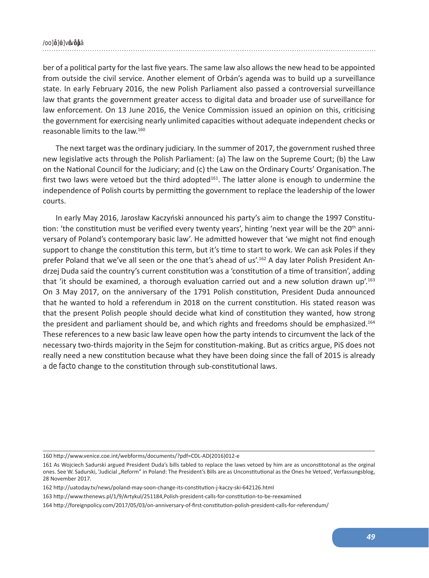ber of a political party for the last five years. The same law also allows the new head to be appointed from outside the civil service. Another element of Orbán's agenda was to build up a surveillance state. In early February 2016, the new Polish Parliament also passed a controversial surveillance law that grants the government greater access to digital data and broader use of surveillance for law enforcement. On 13 June 2016, the Venice Commission issued an opinion on this, criticising the government for exercising nearly unlimited capacities without adequate independent checks or reasonable limits to the law.160

The next target was the ordinary judiciary. In the summer of 2017, the government rushed three new legislative acts through the Polish Parliament: (a) The law on the Supreme Court; (b) the Law on the National Council for the Judiciary; and (c) the Law on the Ordinary Courts' Organisation. The first two laws were vetoed but the third adopted<sup>161</sup>. The latter alone is enough to undermine the independence of Polish courts by permitting the government to replace the leadership of the lower courts.

In early May 2016, Jarosław Kaczyński announced his party's aim to change the 1997 Constitution: 'the constitution must be verified every twenty years', hinting 'next year will be the  $20<sup>th</sup>$  anniversary of Poland's contemporary basic law'. He admitted however that 'we might not find enough support to change the constitution this term, but it's time to start to work. We can ask Poles if they prefer Poland that we've all seen or the one that's ahead of us'.162 A day later Polish President Andrzej Duda said the country's current constitution was a 'constitution of a time of transition', adding that 'it should be examined, a thorough evaluation carried out and a new solution drawn up'.163 On 3 May 2017, on the anniversary of the 1791 Polish constitution, President Duda announced that he wanted to hold a referendum in 2018 on the current constitution. His stated reason was that the present Polish people should decide what kind of constitution they wanted, how strong the president and parliament should be, and which rights and freedoms should be emphasized.<sup>164</sup> These references to a new basic law leave open how the party intends to circumvent the lack of the necessary two-thirds majority in the Sejm for constitution-making. But as critics argue, PiS does not really need a new constitution because what they have been doing since the fall of 2015 is already a *de facto* change to the constitution through sub-constitutional laws.

<sup>160</sup> http://www.venice.coe.int/webforms/documents/?pdf=CDL-AD(2016)012-e

<sup>161</sup> As Wojciech Sadurski argued President Duda's bills tabled to replace the laws vetoed by him are as unconstitotonal as the orginal ones. See W. Sadurski, 'Judicial "Reform" in Poland: The President's Bills are as Unconstitutional as the Ones he Vetoed', Verfassungsblog, 28 November 2017.

<sup>162</sup> http://uatoday.tv/news/poland-may-soon-change-its-constitution-j-kaczy-ski-642126.html

<sup>163</sup> http://www.thenews.pl/1/9/Artykul/251184,Polish-president-calls-for-constitution-to-be-reexamined

<sup>164</sup> http://foreignpolicy.com/2017/05/03/on-anniversary-of-first-constitution-polish-president-calls-for-referendum/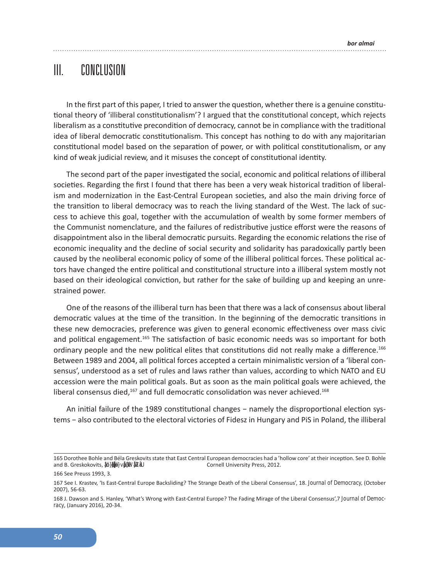# III. CONCLUSION

In the first part of this paper, I tried to answer the question, whether there is a genuine constitutional theory of 'illiberal constitutionalism'? I argued that the constitutional concept, which rejects liberalism as a constitutive precondition of democracy, cannot be in compliance with the traditional idea of liberal democratic constitutionalism. This concept has nothing to do with any majoritarian constitutional model based on the separation of power, or with political constitutionalism, or any kind of weak judicial review, and it misuses the concept of constitutional identity.

The second part of the paper investigated the social, economic and political relations of illiberal societies. Regarding the first I found that there has been a very weak historical tradition of liberalism and modernization in the East-Central European societies, and also the main driving force of the transition to liberal democracy was to reach the living standard of the West. The lack of success to achieve this goal, together with the accumulation of wealth by some former members of the Communist nomenclature, and the failures of redistributive justice efforst were the reasons of disappointment also in the liberal democratic pursuits. Regarding the economic relations the rise of economic inequality and the decline of social security and solidarity has paradoxically partly been caused by the neoliberal economic policy of some of the illiberal political forces. These political actors have changed the entire political and constitutional structure into a illiberal system mostly not based on their ideological conviction, but rather for the sake of building up and keeping an unrestrained power.

One of the reasons of the illiberal turn has been that there was a lack of consensus about liberal democratic values at the time of the transition. In the beginning of the democratic transitions in these new democracies, preference was given to general economic effectiveness over mass civic and political engagement.<sup>165</sup> The satisfaction of basic economic needs was so important for both ordinary people and the new political elites that constitutions did not really make a difference.166 Between 1989 and 2004, all political forces accepted a certain minimalistic version of a 'liberal consensus', understood as a set of rules and laws rather than values, according to which NATO and EU accession were the main political goals. But as soon as the main political goals were achieved, the liberal consensus died,<sup>167</sup> and full democratic consolidation was never achieved.<sup>168</sup>

An initial failure of the 1989 constitutional changes − namely the disproportional election systems − also contributed to the electoral victories of Fidesz in Hungary and PiS in Poland, the illiberal

<sup>165</sup> Dorothee Bohle and Béla Greskovits state that East Central European democracies had a 'hollow core' at their inception. See D. Bohle and B. Greskokovits, *Capitalist Diversity on Europe's Periphery,* Cornell University Press, 2012.

<sup>166</sup> See Preuss 1993, 3.

<sup>167</sup> See I. Krastev, 'Is East-Central Europe Backsliding? The Strange Death of the Liberal Consensus', 18. *Journal of Democracy,* (October 2007), 56-63.

<sup>168</sup> J. Dawson and S. Hanley, 'What's Wrong with East-Central Europe? The Fading Mirage of the Liberal Consensus',7 *Journal of Democracy*, (January 2016), 20-34.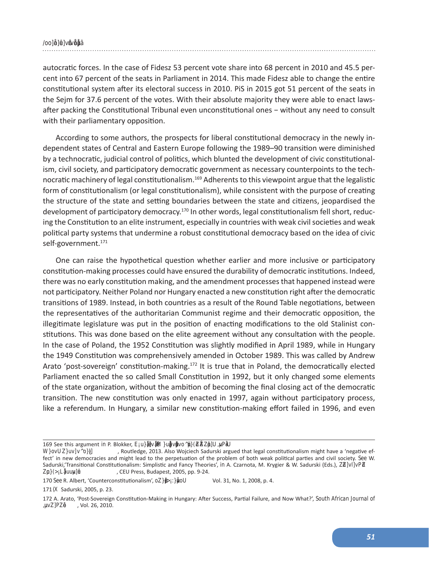autocratic forces. In the case of Fidesz 53 percent vote share into 68 percent in 2010 and 45.5 percent into 67 percent of the seats in Parliament in 2014. This made Fidesz able to change the entire constitutional system after its electoral success in 2010. PiS in 2015 got 51 percent of the seats in the Sejm for 37.6 percent of the votes. With their absolute majority they were able to enact lawsafter packing the Constitutional Tribunal even unconstitutional ones − without any need to consult with their parliamentary opposition.

According to some authors, the prospects for liberal constitutional democracy in the newly independent states of Central and Eastern Europe following the 1989–90 transition were diminished by a technocratic, judicial control of politics, which blunted the development of civic constitutionalism, civil society, and participatory democratic government as necessary counterpoints to the technocratic machinery of legal constitutionalism.<sup>169</sup> Adherents to this viewpoint argue that the legalistic form of constitutionalism (or legal constitutionalism), while consistent with the purpose of creating the structure of the state and setting boundaries between the state and citizens, jeopardised the development of participatory democracy.<sup>170</sup> In other words, legal constitutionalism fell short, reducing the Constitution to an elite instrument, especially in countries with weak civil societies and weak political party systems that undermine a robust constitutional democracy based on the idea of civic self-government.<sup>171</sup>

One can raise the hypothetical question whether earlier and more inclusive or participatory constitution-making processes could have ensured the durability of democratic institutions. Indeed, there was no early constitution making, and the amendment processes that happened instead were not participatory. Neither Poland nor Hungary enacted a new constitution right after the democratic transitions of 1989. Instead, in both countries as a result of the Round Table negotiations, between the representatives of the authoritarian Communist regime and their democratic opposition, the illegitimate legislature was put in the position of enacting modifications to the old Stalinist constitutions. This was done based on the elite agreement without any consultation with the people. In the case of Poland, the 1952 Constitution was slightly modified in April 1989, while in Hungary the 1949 Constitution was comprehensively amended in October 1989. This was called by Andrew Arato 'post-sovereign' constitution-making.172 It is true that in Poland, the democratically elected Parliament enacted the so called Small Constitution in 1992, but it only changed some elements of the state organization, without the ambition of becoming the final closing act of the democratic transition. The new constitution was only enacted in 1997, again without participatory process, like a referendum. In Hungary, a similar new constitution-making effort failed in 1996, and even

<sup>169</sup> See this argument *in* P. Blokker, *New Democracies in Crises? A Comparative Constitutional Study of the Czech Republic, Hungary, Poland, Romania and Slovakia*, Routledge, 2013. Also Wojciech Sadurski argued that legal constitutionalism might have a 'negative effect' in new democracies and might lead to the perpetuation of the problem of both weak political parties and civil society. *See* W. Sadurski,'Transitional Constitutionalism: Simplistic and Fancy Theories', *in* A. Czarnota, M. Krygier & W. Sadurski (Eds.), *Rethinking the Rule of Law After Communism*, CEU Press, Budapest, 2005, pp. 9-24.

<sup>170</sup> *See* R. Albert, 'Counterconstitutionalism', *Dalhousie Law Journal,* Vol. 31, No. 1, 2008, p. 4.

<sup>171</sup> *Cf.* Sadurski, 2005, p. 23.

<sup>172</sup> A. Arato, 'Post-Sovereign Constitution-Making in Hungary: After Success, Partial Failure, and Now What?', *South African Journal of Human Rights*, Vol. 26, 2010.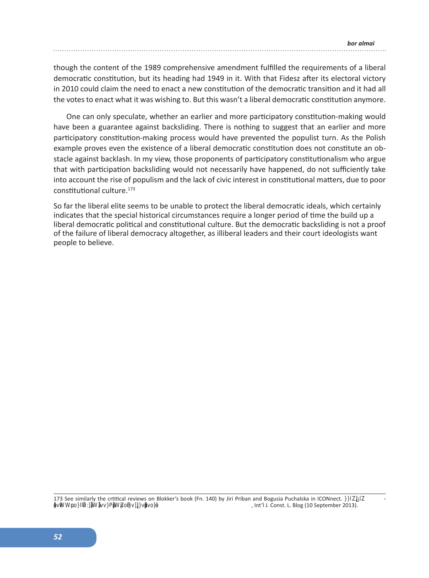though the content of the 1989 comprehensive amendment fulfilled the requirements of a liberal democratic constitution, but its heading had 1949 in it. With that Fidesz after its electoral victory in 2010 could claim the need to enact a new constitution of the democratic transition and it had all the votes to enact what it was wishing to. But this wasn't a liberal democratic constitution anymore.

One can only speculate, whether an earlier and more participatory constitution-making would have been a guarantee against backsliding. There is nothing to suggest that an earlier and more participatory constitution-making process would have prevented the populist turn. As the Polish example proves even the existence of a liberal democratic constitution does not constitute an obstacle against backlash. In my view, those proponents of participatory constitutionalism who argue that with participation backsliding would not necessarily have happened, do not sufficiently take into account the rise of populism and the lack of civic interest in constitutional matters, due to poor constitutional culture.173

So far the liberal elite seems to be unable to protect the liberal democratic ideals, which certainly indicates that the special historical circumstances require a longer period of time the build up a liberal democratic political and constitutional culture. But the democratic backsliding is not a proof of the failure of liberal democracy altogether, as illiberal leaders and their court ideologists want people to believe.

173 See similarly the crtitical reviews on Blokker's book (Fn. 140) by Jiri Priban and Bogusia Puchalska in ICONnect. *Book Review/Response: Paul Blokker, Jiri Priban and Bogusia Puchalska on Civic Constitutionalism*, Int'l J. Const. L. Blog (10 September 2013).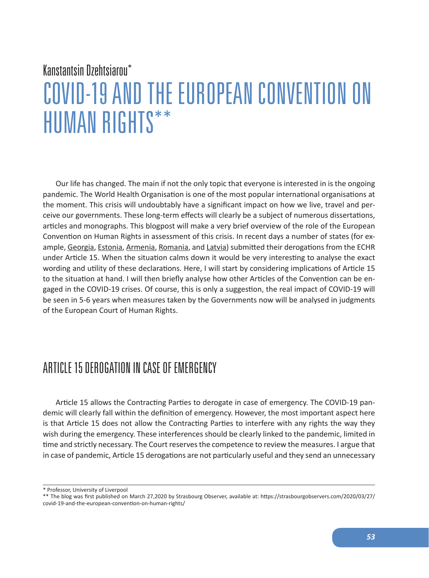# Kanstantsin Dzehtsiarou\* COVID-19 AND THE EUROPEAN CONVENTION ON HUMAN RIGHTS\*\*

Our life has changed. The main if not the only topic that everyone is interested in is the ongoing pandemic. The World Health Organisation is one of the most popular international organisations at the moment. This crisis will undoubtably have a significant impact on how we live, travel and perceive our governments. These long-term effects will clearly be a subject of numerous dissertations, articles and monographs. This blogpost will make a very brief overview of the role of the European Convention on Human Rights in assessment of this crisis. In recent days a number of states (for example, Georgia, Estonia, Armenia, Romania, and Latvia) submitted their derogations from the ECHR under Article 15. When the situation calms down it would be very interesting to analyse the exact wording and utility of these declarations. Here, I will start by considering implications of Article 15 to the situation at hand. I will then briefly analyse how other Articles of the Convention can be engaged in the COVID-19 crises. Of course, this is only a suggestion, the real impact of COVID-19 will be seen in 5-6 years when measures taken by the Governments now will be analysed in judgments of the European Court of Human Rights.

# ARTICLE 15 DEROGATION IN CASE OF EMERGENCY

Article 15 allows the Contracting Parties to derogate in case of emergency. The COVID-19 pandemic will clearly fall within the definition of emergency. However, the most important aspect here is that Article 15 does not allow the Contracting Parties to interfere with any rights the way they wish during the emergency. These interferences should be clearly linked to the pandemic, limited in time and strictly necessary. The Court reserves the competence to review the measures. I argue that in case of pandemic, Article 15 derogations are not particularly useful and they send an unnecessary

\* Professor, University of Liverpool

<sup>\*\*</sup> The blog was first published on March 27,2020 by Strasbourg Observer, available at: https://strasbourgobservers.com/2020/03/27/ covid-19-and-the-european-convention-on-human-rights/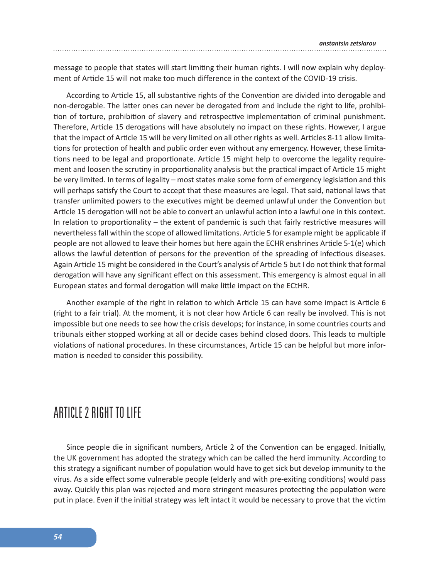message to people that states will start limiting their human rights. I will now explain why deployment of Article 15 will not make too much difference in the context of the COVID-19 crisis.

According to Article 15, all substantive rights of the Convention are divided into derogable and non-derogable. The latter ones can never be derogated from and include the right to life, prohibition of torture, prohibition of slavery and retrospective implementation of criminal punishment. Therefore, Article 15 derogations will have absolutely no impact on these rights. However, I argue that the impact of Article 15 will be very limited on all other rights as well. Articles 8-11 allow limitations for protection of health and public order even without any emergency. However, these limitations need to be legal and proportionate. Article 15 might help to overcome the legality requirement and loosen the scrutiny in proportionality analysis but the practical impact of Article 15 might be very limited. In terms of legality – most states make some form of emergency legislation and this will perhaps satisfy the Court to accept that these measures are legal. That said, national laws that transfer unlimited powers to the executives might be deemed unlawful under the Convention but Article 15 derogation will not be able to convert an unlawful action into a lawful one in this context. In relation to proportionality – the extent of pandemic is such that fairly restrictive measures will nevertheless fall within the scope of allowed limitations. Article 5 for example might be applicable if people are not allowed to leave their homes but here again the ECHR enshrines Article 5-1(e) which allows the lawful detention of persons for the prevention of the spreading of infectious diseases. Again Article 15 might be considered in the Court's analysis of Article 5 but I do not think that formal derogation will have any significant effect on this assessment. This emergency is almost equal in all European states and formal derogation will make little impact on the ECtHR.

Another example of the right in relation to which Article 15 can have some impact is Article 6 (right to a fair trial). At the moment, it is not clear how Article 6 can really be involved. This is not impossible but one needs to see how the crisis develops; for instance, in some countries courts and tribunals either stopped working at all or decide cases behind closed doors. This leads to multiple violations of national procedures. In these circumstances, Article 15 can be helpful but more information is needed to consider this possibility.

## ARTICLE 2 RIGHT TO LIFE

Since people die in significant numbers, Article 2 of the Convention can be engaged. Initially, the UK government has adopted the strategy which can be called the herd immunity. According to this strategy a significant number of population would have to get sick but develop immunity to the virus. As a side effect some vulnerable people (elderly and with pre-exiting conditions) would pass away. Quickly this plan was rejected and more stringent measures protecting the population were put in place. Even if the initial strategy was left intact it would be necessary to prove that the victim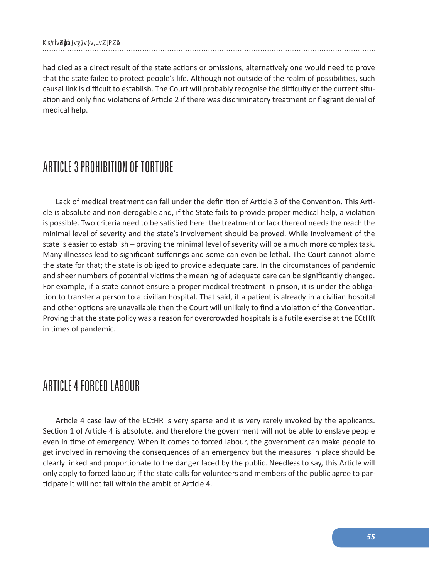*COVID-19 and the European Convention on Human Rights*

had died as a direct result of the state actions or omissions, alternatively one would need to prove that the state failed to protect people's life. Although not outside of the realm of possibilities, such causal link is difficult to establish. The Court will probably recognise the difficulty of the current situation and only find violations of Article 2 if there was discriminatory treatment or flagrant denial of medical help.

## ARTICLE 3 PROHIBITION OF TORTURE

Lack of medical treatment can fall under the definition of Article 3 of the Convention. This Article is absolute and non-derogable and, if the State fails to provide proper medical help, a violation is possible. Two criteria need to be satisfied here: the treatment or lack thereof needs the reach the minimal level of severity and the state's involvement should be proved. While involvement of the state is easier to establish – proving the minimal level of severity will be a much more complex task. Many illnesses lead to significant sufferings and some can even be lethal. The Court cannot blame the state for that; the state is obliged to provide adequate care. In the circumstances of pandemic and sheer numbers of potential victims the meaning of adequate care can be significantly changed. For example, if a state cannot ensure a proper medical treatment in prison, it is under the obligation to transfer a person to a civilian hospital. That said, if a patient is already in a civilian hospital and other options are unavailable then the Court will unlikely to find a violation of the Convention. Proving that the state policy was a reason for overcrowded hospitals is a futile exercise at the ECtHR in times of pandemic.

## ARTICLE 4 FORCED LABOUR

Article 4 case law of the ECtHR is very sparse and it is very rarely invoked by the applicants. Section 1 of Article 4 is absolute, and therefore the government will not be able to enslave people even in time of emergency. When it comes to forced labour, the government can make people to get involved in removing the consequences of an emergency but the measures in place should be clearly linked and proportionate to the danger faced by the public. Needless to say, this Article will only apply to forced labour; if the state calls for volunteers and members of the public agree to participate it will not fall within the ambit of Article 4.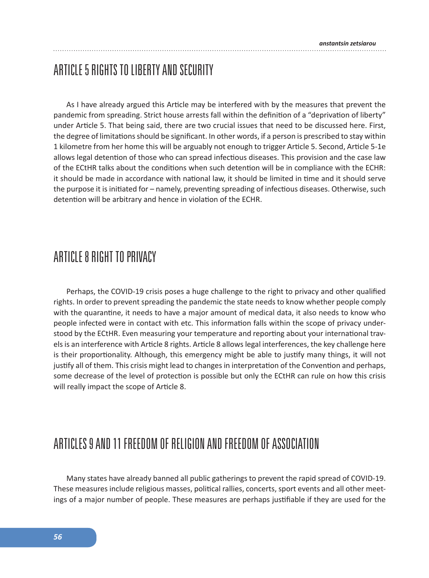## ARTICLE 5 RIGHTS TO LIBERTY AND SECURITY

As I have already argued this Article may be interfered with by the measures that prevent the pandemic from spreading. Strict house arrests fall within the definition of a "deprivation of liberty" under Article 5. That being said, there are two crucial issues that need to be discussed here. First, the degree of limitations should be significant. In other words, if a person is prescribed to stay within 1 kilometre from her home this will be arguably not enough to trigger Article 5. Second, Article 5-1e allows legal detention of those who can spread infectious diseases. This provision and the case law of the ECtHR talks about the conditions when such detention will be in compliance with the ECHR: it should be made in accordance with national law, it should be limited in time and it should serve the purpose it is initiated for – namely, preventing spreading of infectious diseases. Otherwise, such detention will be arbitrary and hence in violation of the ECHR.

### ARTICLE 8 RIGHT TO PRIVACY

Perhaps, the COVID-19 crisis poses a huge challenge to the right to privacy and other qualified rights. In order to prevent spreading the pandemic the state needs to know whether people comply with the quarantine, it needs to have a major amount of medical data, it also needs to know who people infected were in contact with etc. This information falls within the scope of privacy understood by the ECtHR. Even measuring your temperature and reporting about your international travels is an interference with Article 8 rights. Article 8 allows legal interferences, the key challenge here is their proportionality. Although, this emergency might be able to justify many things, it will not justify all of them. This crisis might lead to changes in interpretation of the Convention and perhaps, some decrease of the level of protection is possible but only the ECtHR can rule on how this crisis will really impact the scope of Article 8.

# ARTICLES 9 AND 11 FREEDOM OF RELIGION AND FREEDOM OF ASSOCIATION

Many states have already banned all public gatherings to prevent the rapid spread of COVID-19. These measures include religious masses, political rallies, concerts, sport events and all other meetings of a major number of people. These measures are perhaps justifiable if they are used for the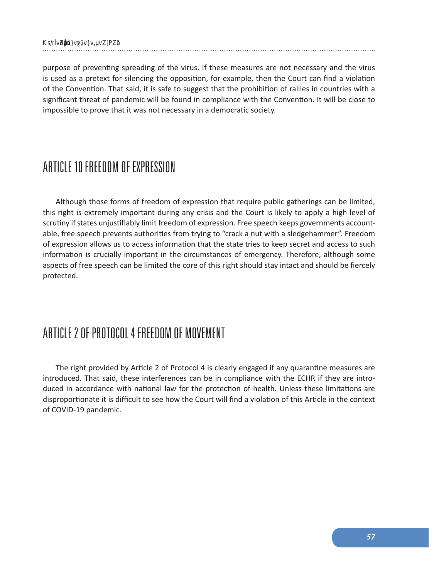*COVID-19 and the European Convention on Human Rights*

purpose of preventing spreading of the virus. If these measures are not necessary and the virus is used as a pretext for silencing the opposition, for example, then the Court can find a violation of the Convention. That said, it is safe to suggest that the prohibition of rallies in countries with a significant threat of pandemic will be found in compliance with the Convention. It will be close to impossible to prove that it was not necessary in a democratic society.

#### ARTICLE 10 FREEDOM OF EXPRESSION

Although those forms of freedom of expression that require public gatherings can be limited, this right is extremely important during any crisis and the Court is likely to apply a high level of scrutiny if states unjustifiably limit freedom of expression. Free speech keeps governments accountable, free speech prevents authorities from trying to "crack a nut with a sledgehammer". Freedom of expression allows us to access information that the state tries to keep secret and access to such information is crucially important in the circumstances of emergency. Therefore, although some aspects of free speech can be limited the core of this right should stay intact and should be fiercely protected.

# ARTICLE 2 OF PROTOCOL 4 FREEDOM OF MOVEMENT

The right provided by Article 2 of Protocol 4 is clearly engaged if any quarantine measures are introduced. That said, these interferences can be in compliance with the ECHR if they are introduced in accordance with national law for the protection of health. Unless these limitations are disproportionate it is difficult to see how the Court will find a violation of this Article in the context of COVID-19 pandemic.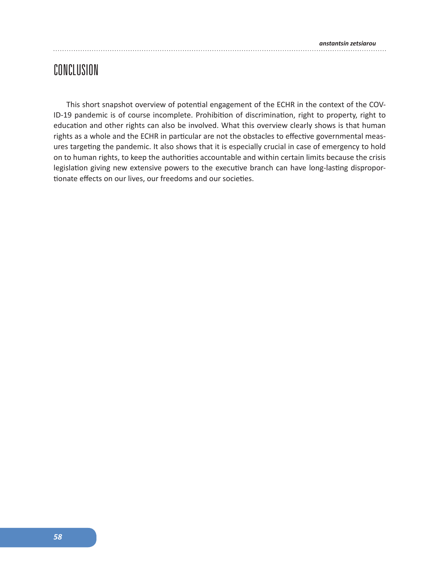## CONCLUSION

This short snapshot overview of potential engagement of the ECHR in the context of the COV-ID-19 pandemic is of course incomplete. Prohibition of discrimination, right to property, right to education and other rights can also be involved. What this overview clearly shows is that human rights as a whole and the ECHR in particular are not the obstacles to effective governmental measures targeting the pandemic. It also shows that it is especially crucial in case of emergency to hold on to human rights, to keep the authorities accountable and within certain limits because the crisis legislation giving new extensive powers to the executive branch can have long-lasting disproportionate effects on our lives, our freedoms and our societies.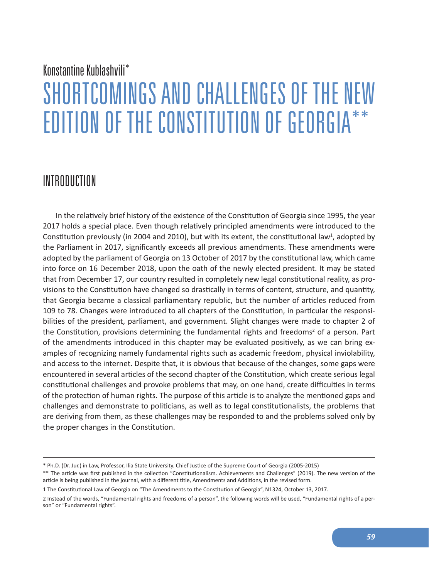# Konstantine Kublashvili\* SHORTCOMINGS AND CHALLENGES OF THE NEW EDITION OF THE CONSTITUTION OF GEORGIA\*\*

#### INTRODUCTION

In the relatively brief history of the existence of the Constitution of Georgia since 1995, the year 2017 holds a special place. Even though relatively principled amendments were introduced to the Constitution previously (in 2004 and 2010), but with its extent, the constitutional law<sup>1</sup>, adopted by the Parliament in 2017, significantly exceeds all previous amendments. These amendments were adopted by the parliament of Georgia on 13 October of 2017 by the constitutional law, which came into force on 16 December 2018, upon the oath of the newly elected president. It may be stated that from December 17, our country resulted in completely new legal constitutional reality, as provisions to the Constitution have changed so drastically in terms of content, structure, and quantity, that Georgia became a classical parliamentary republic, but the number of articles reduced from 109 to 78. Changes were introduced to all chapters of the Constitution, in particular the responsibilities of the president, parliament, and government. Slight changes were made to chapter 2 of the Constitution, provisions determining the fundamental rights and freedoms<sup>2</sup> of a person. Part of the amendments introduced in this chapter may be evaluated positively, as we can bring examples of recognizing namely fundamental rights such as academic freedom, physical inviolability, and access to the internet. Despite that, it is obvious that because of the changes, some gaps were encountered in several articles of the second chapter of the Constitution, which create serious legal constitutional challenges and provoke problems that may, on one hand, create difficulties in terms of the protection of human rights. The purpose of this article is to analyze the mentioned gaps and challenges and demonstrate to politicians, as well as to legal constitutionalists, the problems that are deriving from them, as these challenges may be responded to and the problems solved only by the proper changes in the Constitution.

<sup>\*</sup> Ph.D. (Dr. Jur.) in Law, Professor, Ilia State University. Chief Justice of the Supreme Court of Georgia (2005-2015)

<sup>\*\*</sup> The article was first published in the collection "Constitutionalism. Achievements and Challenges" (2019). The new version of the article is being published in the journal, with a different title, Amendments and Additions, in the revised form.

<sup>1</sup> The Constitutional Law of Georgia on "The Amendments to the Constitution of Georgia", N1324, October 13, 2017.

<sup>2</sup> Instead of the words, "Fundamental rights and freedoms of a person", the following words will be used, "Fundamental rights of a person" or "Fundamental rights".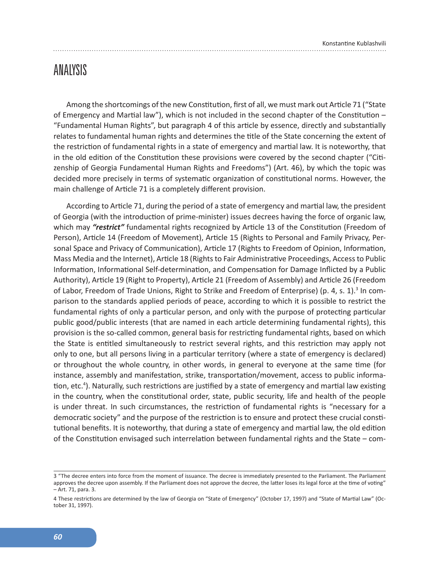### ANALYSIS

Among the shortcomings of the new Constitution, first of all, we must mark out Article 71 ("State of Emergency and Martial law"), which is not included in the second chapter of the Constitution – "Fundamental Human Rights", but paragraph 4 of this article by essence, directly and substantially relates to fundamental human rights and determines the title of the State concerning the extent of the restriction of fundamental rights in a state of emergency and martial law. It is noteworthy, that in the old edition of the Constitution these provisions were covered by the second chapter ("Citizenship of Georgia Fundamental Human Rights and Freedoms") (Art. 46), by which the topic was decided more precisely in terms of systematic organization of constitutional norms. However, the main challenge of Article 71 is a completely different provision.

According to Article 71, during the period of a state of emergency and martial law, the president of Georgia (with the introduction of prime-minister) issues decrees having the force of organic law, which may *"restrict"* fundamental rights recognized by Article 13 of the Constitution (Freedom of Person), Article 14 (Freedom of Movement), Article 15 (Rights to Personal and Family Privacy, Personal Space and Privacy of Communication), Article 17 (Rights to Freedom of Opinion, Information, Mass Media and the Internet), Article 18 (Rights to Fair Administrative Proceedings, Access to Public Information, Informational Self-determination, and Compensation for Damage Inflicted by a Public Authority), Article 19 (Right to Property), Article 21 (Freedom of Assembly) and Article 26 (Freedom of Labor, Freedom of Trade Unions, Right to Strike and Freedom of Enterprise) (p. 4, s. 1).<sup>3</sup> In comparison to the standards applied periods of peace, according to which it is possible to restrict the fundamental rights of only a particular person, and only with the purpose of protecting particular public good/public interests (that are named in each article determining fundamental rights), this provision is the so-called common, general basis for restricting fundamental rights, based on which the State is entitled simultaneously to restrict several rights, and this restriction may apply not only to one, but all persons living in a particular territory (where a state of emergency is declared) or throughout the whole country, in other words, in general to everyone at the same time (for instance, assembly and manifestation, strike, transportation/movement, access to public information, etc.<sup>4</sup>). Naturally, such restrictions are justified by a state of emergency and martial law existing in the country, when the constitutional order, state, public security, life and health of the people is under threat. In such circumstances, the restriction of fundamental rights is "necessary for a democratic society" and the purpose of the restriction is to ensure and protect these crucial constitutional benefits. It is noteworthy, that during a state of emergency and martial law, the old edition of the Constitution envisaged such interrelation between fundamental rights and the State – com-

<sup>3 &</sup>quot;The decree enters into force from the moment of issuance. The decree is immediately presented to the Parliament. The Parliament approves the decree upon assembly. If the Parliament does not approve the decree, the latter loses its legal force at the time of voting" – Art. 71, para. 3.

<sup>4</sup> These restrictions are determined by the law of Georgia on "State of Emergency" (October 17, 1997) and "State of Martial Law" (October 31, 1997).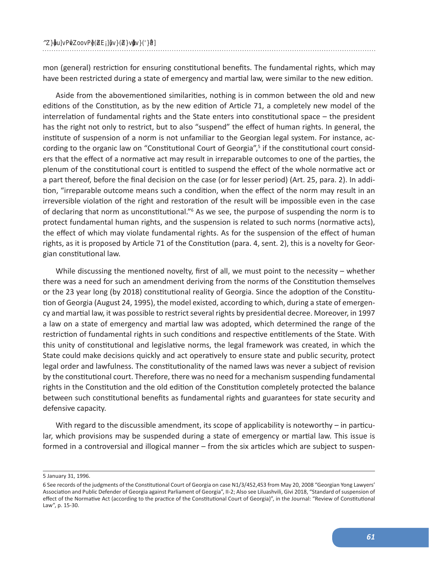mon (general) restriction for ensuring constitutional benefits. The fundamental rights, which may have been restricted during a state of emergency and martial law, were similar to the new edition.

Aside from the abovementioned similarities, nothing is in common between the old and new editions of the Constitution, as by the new edition of Article 71, a completely new model of the interrelation of fundamental rights and the State enters into constitutional space – the president has the right not only to restrict, but to also "suspend" the effect of human rights. In general, the institute of suspension of a norm is not unfamiliar to the Georgian legal system. For instance, according to the organic law on "Constitutional Court of Georgia",<sup>5</sup> if the constitutional court considers that the effect of a normative act may result in irreparable outcomes to one of the parties, the plenum of the constitutional court is entitled to suspend the effect of the whole normative act or a part thereof, before the final decision on the case (or for lesser period) (Art. 25, para. 2). In addition, "irreparable outcome means such a condition, when the effect of the norm may result in an irreversible violation of the right and restoration of the result will be impossible even in the case of declaring that norm as unconstitutional."<sup>6</sup> As we see, the purpose of suspending the norm is to protect fundamental human rights, and the suspension is related to such norms (normative acts), the effect of which may violate fundamental rights. As for the suspension of the effect of human rights, as it is proposed by Article 71 of the Constitution (para. 4, sent. 2), this is a novelty for Georgian constitutional law.

While discussing the mentioned novelty, first of all, we must point to the necessity – whether there was a need for such an amendment deriving from the norms of the Constitution themselves or the 23 year long (by 2018) constitutional reality of Georgia. Since the adoption of the Constitution of Georgia (August 24, 1995), the model existed, according to which, during a state of emergency and martial law, it was possible to restrict several rights by presidential decree. Moreover, in 1997 a law on a state of emergency and martial law was adopted, which determined the range of the restriction of fundamental rights in such conditions and respective entitlements of the State. With this unity of constitutional and legislative norms, the legal framework was created, in which the State could make decisions quickly and act operatively to ensure state and public security, protect legal order and lawfulness. The constitutionality of the named laws was never a subject of revision by the constitutional court. Therefore, there was no need for a mechanism suspending fundamental rights in the Constitution and the old edition of the Constitution completely protected the balance between such constitutional benefits as fundamental rights and guarantees for state security and defensive capacity.

With regard to the discussible amendment, its scope of applicability is noteworthy – in particular, which provisions may be suspended during a state of emergency or martial law. This issue is formed in a controversial and illogical manner – from the six articles which are subject to suspen-

5 January 31, 1996.

<sup>6</sup> See records of the judgments of the Constitutional Court of Georgia on case N1/3/452,453 from May 20, 2008 "Georgian Yong Lawyers' Association and Public Defender of Georgia against Parliament of Georgia", II-2; Also see Liluashvili, Givi 2018, "Standard of suspension of effect of the Normative Act (according to the practice of the Constitutional Court of Georgia)", in the Journal: "Review of Constitutional Law", p. 15-30.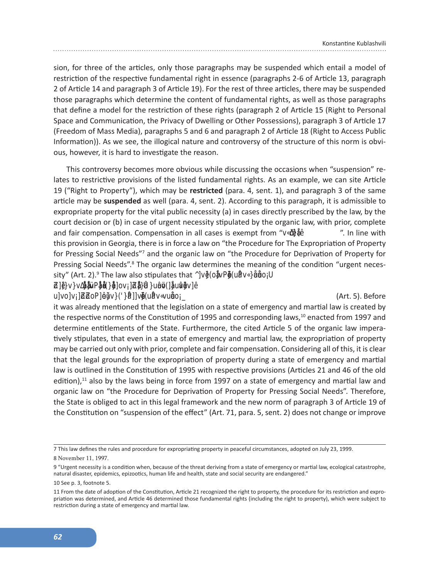sion, for three of the articles, only those paragraphs may be suspended which entail a model of restriction of the respective fundamental right in essence (paragraphs 2-6 of Article 13, paragraph 2 of Article 14 and paragraph 3 of Article 19). For the rest of three articles, there may be suspended those paragraphs which determine the content of fundamental rights, as well as those paragraphs that define a model for the restriction of these rights (paragraph 2 of Article 15 (Right to Personal Space and Communication, the Privacy of Dwelling or Other Possessions), paragraph 3 of Article 17 (Freedom of Mass Media), paragraphs 5 and 6 and paragraph 2 of Article 18 (Right to Access Public Information)). As we see, the illogical nature and controversy of the structure of this norm is obvious, however, it is hard to investigate the reason.

This controversy becomes more obvious while discussing the occasions when "suspension" relates to restrictive provisions of the listed fundamental rights. As an example, we can site Article 19 ("Right to Property"), which may be **restricted** (para. 4, sent. 1), and paragraph 3 of the same article may be **suspended** as well (para. 4, sent. 2). According to this paragraph, it is admissible to expropriate property for the vital public necessity (a) in cases directly prescribed by the law, by the court decision or (b) in case of urgent necessity stipulated by the organic law, with prior, complete and fair compensation. Compensation in all cases is exempt from "*any taxes or fees*". In line with this provision in Georgia, there is in force a law on "the Procedure for The Expropriation of Property for Pressing Social Needs"<sup>7</sup> and the organic law on "the Procedure for Deprivation of Property for Pressing Social Needs".<sup>8</sup> The organic law determines the meaning of the condition "urgent necessity" (Art. 2).<sup>9</sup> The law also stipulates that "in case of declaring a state of emergency or martial law, *the decision on expropriating property for social need with prior, complete and fair compensation is made in line with the legislation of Georgia in a state of emergency and martial law"* (Art. 5). Before it was already mentioned that the legislation on a state of emergency and martial law is created by the respective norms of the Constitution of 1995 and corresponding laws,<sup>10</sup> enacted from 1997 and determine entitlements of the State. Furthermore, the cited Article 5 of the organic law imperatively stipulates, that even in a state of emergency and martial law, the expropriation of property may be carried out only with prior, complete and fair compensation. Considering all of this, it is clear that the legal grounds for the expropriation of property during a state of emergency and martial law is outlined in the Constitution of 1995 with respective provisions (Articles 21 and 46 of the old edition), $11$  also by the laws being in force from 1997 on a state of emergency and martial law and organic law on "the Procedure for Deprivation of Property for Pressing Social Needs". Therefore, the State is obliged to act in this legal framework and the new norm of paragraph 3 of Article 19 of the Constitution on "suspension of the effect" (Art. 71, para. 5, sent. 2) does not change or improve

<sup>7</sup> This law defines the rules and procedure for expropriating property in peaceful circumstances, adopted on July 23, 1999. 8 November 11, 1997.

<sup>9 &</sup>quot;Urgent necessity is a condition when, because of the threat deriving from a state of emergency or martial law, ecological catastrophe, natural disaster, epidemics, epizootics, human life and health, state and social security are endangered."

<sup>10</sup> See p. 3, footnote 5.

<sup>11</sup> From the date of adoption of the Constitution, Article 21 recognized the right to property, the procedure for its restriction and expropriation was determined, and Article 46 determined those fundamental rights (including the right to property), which were subject to restriction during a state of emergency and martial law.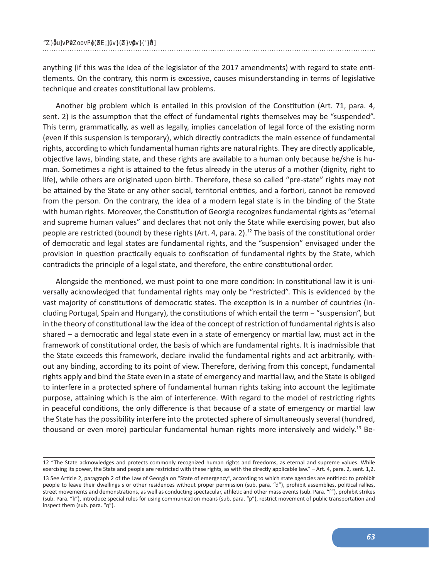anything (if this was the idea of the legislator of the 2017 amendments) with regard to state entitlements. On the contrary, this norm is excessive, causes misunderstanding in terms of legislative technique and creates constitutional law problems.

Another big problem which is entailed in this provision of the Constitution (Art. 71, para. 4, sent. 2) is the assumption that the effect of fundamental rights themselves may be "suspended". This term, grammatically, as well as legally, implies cancelation of legal force of the existing norm (even if this suspension is temporary), which directly contradicts the main essence of fundamental rights, according to which fundamental human rights are natural rights. They are directly applicable, objective laws, binding state, and these rights are available to a human only because he/she is human. Sometimes a right is attained to the fetus already in the uterus of a mother (dignity, right to life), while others are originated upon birth. Therefore, these so called "pre-state" rights may not be attained by the State or any other social, territorial entities, and a fortiori, cannot be removed from the person. On the contrary, the idea of a modern legal state is in the binding of the State with human rights. Moreover, the Constitution of Georgia recognizes fundamental rights as "eternal and supreme human values" and declares that not only the State while exercising power, but also people are restricted (bound) by these rights (Art. 4, para. 2).12 The basis of the constitutional order of democratic and legal states are fundamental rights, and the "suspension" envisaged under the provision in question practically equals to confiscation of fundamental rights by the State, which contradicts the principle of a legal state, and therefore, the entire constitutional order.

Alongside the mentioned, we must point to one more condition: In constitutional law it is universally acknowledged that fundamental rights may only be "restricted". This is evidenced by the vast majority of constitutions of democratic states. The exception is in a number of countries (including Portugal, Spain and Hungary), the constitutions of which entail the term − "suspension", but in the theory of constitutional law the idea of the concept of restriction of fundamental rights is also shared – a democratic and legal state even in a state of emergency or martial law, must act in the framework of constitutional order, the basis of which are fundamental rights. It is inadmissible that the State exceeds this framework, declare invalid the fundamental rights and act arbitrarily, without any binding, according to its point of view. Therefore, deriving from this concept, fundamental rights apply and bind the State even in a state of emergency and martial law, and the State is obliged to interfere in a protected sphere of fundamental human rights taking into account the legitimate purpose, attaining which is the aim of interference. With regard to the model of restricting rights in peaceful conditions, the only difference is that because of a state of emergency or martial law the State has the possibility interfere into the protected sphere of simultaneously several (hundred, thousand or even more) particular fundamental human rights more intensively and widely.<sup>13</sup> Be-

<sup>12 &</sup>quot;The State acknowledges and protects commonly recognized human rights and freedoms, as eternal and supreme values. While exercising its power, the State and people are restricted with these rights, as with the directly applicable law." – Art. 4, para. 2, sent. 1,2.

<sup>13</sup> See Article 2, paragraph 2 of the Law of Georgia on "State of emergency", according to which state agencies are entitled: to prohibit people to leave their dwellings s or other residences without proper permission (sub. para. "d"), prohibit assemblies, political rallies, street movements and demonstrations, as well as conducting spectacular, athletic and other mass events (sub. Para. "f"), prohibit strikes (sub. Para. "k"), introduce special rules for using communication means (sub. para. "p"), restrict movement of public transportation and inspect them (sub. para. "q").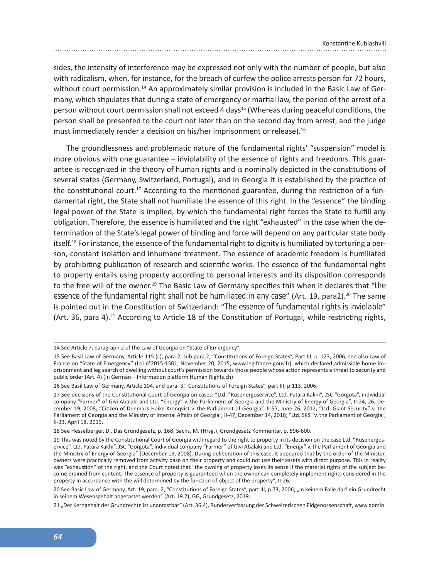sides, the intensity of interference may be expressed not only with the number of people, but also with radicalism, when, for instance, for the breach of curfew the police arrests person for 72 hours, without court permission.<sup>14</sup> An approximately similar provision is included in the Basic Law of Germany, which stipulates that during a state of emergency or martial law, the period of the arrest of a person without court permission shall not exceed 4 days<sup>15</sup> (Whereas during peaceful conditions, the person shall be presented to the court not later than on the second day from arrest, and the judge must immediately render a decision on his/her imprisonment or release).<sup>16</sup>

The groundlessness and problematic nature of the fundamental rights' "suspension" model is more obvious with one guarantee – inviolability of the essence of rights and freedoms. This guarantee is recognized in the theory of human rights and is nominally depicted in the constitutions of several states (Germany, Switzerland, Portugal), and in Georgia it is established by the practice of the constitutional court.<sup>17</sup> According to the mentioned guarantee, during the restriction of a fundamental right, the State shall not humiliate the essence of this right. In the "essence" the binding legal power of the State is implied, by which the fundamental right forces the State to fulfill any obligation. Therefore, the essence is humiliated and the right "exhausted" in the case when the determination of the State's legal power of binding and force will depend on any particular state body itself.<sup>18</sup> For instance, the essence of the fundamental right to dignity is humiliated by torturing a person, constant isolation and inhumane treatment. The essence of academic freedom is humiliated by prohibiting publication of research and scientific works. The essence of the fundamental right to property entails using property according to personal interests and its disposition corresponds to the free will of the owner.19 The Basic Law of Germany specifies this when it declares that "*the*  essence of the fundamental right shall not be humiliated in any case" (Art. 19, para2).<sup>20</sup> The same is pointed out in the Constitution of Switzerland: "*The essence of fundamental rights is inviolable*" (Art. 36, para 4).<sup>21</sup> According to Article 18 of the Constitution of Portugal, while restricting rights,

16 See Basil Law of Germany, Article 104, and para. 3," Constitutions of Foreign States", part III, p.113, 2006.

<sup>14</sup> See Article 7, paragraph 2 of the Law of Georgia on "State of Emergency".

<sup>15</sup> See Basil Law of Germany, Article 115 (c), para.2, sub.para.2, "Constitutions of Foreign States", Part III, p. 123, 2006; see also Law of France on "State of Emergency" (Loi n°2015-1501, November 20, 2015, www.legifrance.gouv.fr), which declared admissible home imprisonment and leg search of dwelling without court's permission towards those people whose action represents a threat to security and public order (Art. 4) (In German – Information platform Human Rights.ch)

<sup>17</sup> See decisions of the Constitutional Court of Georgia on cases: "Ltd. "Rusenergoservice", Ltd. Patara Kakhi", JSC "Gorgota", individual company "Farmer" of Givi Abalaki and Ltd. "Energy" v. the Parliament of Georgia and the Ministry of Energy of Georgia", II-24, 26, December 19, 2008; "Citizen of Denmark Haike Kronqvist v. the Parliament of Georgia", II-57, June 26, 2012; "Ltd. Giant Security" v. the Parliament of Georgia and the Ministry of Internal Affairs of Georgia", II-47, December 14, 2018; "Ltd. SKS" v. the Parliament of Georgia", II-33, April 18, 2019.

<sup>18</sup> See Hesselberger, D., Das Grundgesetz, p. 168; Sachs, M. (Hrsg.), Grundgesetz Kommentar, p. 596-600.

<sup>19</sup> This was noted by the Constitutional Court of Georgia with regard to the right to property in its decision on the case Ltd. "Rusenergoservice", Ltd. Patara Kakhi", JSC "Gorgota", individual company "Farmer" of Givi Abalaki and Ltd. "Energy" v. the Parliament of Georgia and the Ministry of Energy of Georgia" (December 19, 2008). During deliberation of this case, it appeared that by the order of the Minister, owners were practically removed from activity base on their property and could not use their assets with direct purpose. This in reality was "exhaustion" of the right, and the Court noted that "the owning of property loses its sense if the material rights of the subject become drained from content. The essence of property is guaranteed when the owner can completely implement rights considered in the property in accordance with the will determined by the function of object of the property", II-26.

<sup>20</sup> See Basic Law of Germany, Art. 19, para. 2, "Constitutions of Foreign States", part III, p.73, 2006; "In keinem Falle darf ein Grundrecht in seinem Wesensgehalt angetastet werden" (Art. 19.2), GG, Grundgesetz, 2019.

<sup>21 &</sup>quot;Der Kerngehalt der Grundrechte ist unantastbar" (Art. 36.4), Bundesverfassung der Schweizerischen Eidgenossenschaft, www.admin.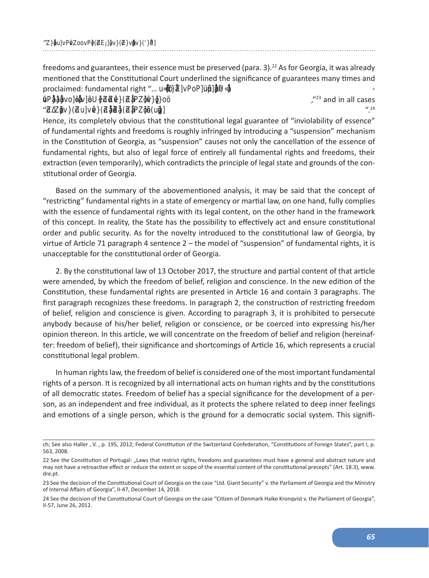*Shortcomings and Challenges of the New Edition of the Constitution of Georgia*

freedoms and guarantees, their essence must be preserved (para,  $3$ ),  $^{22}$  As for Georgia, it was already mentioned that the Constitutional Court underlined the significance of guarantees many times and proclaimed: fundamental right "… *may be restricted for reaching legitimate public purpose, by protecting proportionality principle, so that the essence of the right is not violated,"<sup>23</sup> and in all cases* "*the exhaustion of the main essence of the protected sphere of the right itself must be avoided*".24 Hence, its completely obvious that the constitutional legal guarantee of "inviolability of essence" of fundamental rights and freedoms is roughly infringed by introducing a "suspension" mechanism in the Constitution of Georgia, as "suspension" causes not only the cancellation of the essence of fundamental rights, but also of legal force of entirely all fundamental rights and freedoms, their extraction (even temporarily), which contradicts the principle of legal state and grounds of the constitutional order of Georgia.

Based on the summary of the abovementioned analysis, it may be said that the concept of "restricting" fundamental rights in a state of emergency or martial law, on one hand, fully complies with the essence of fundamental rights with its legal content, on the other hand in the framework of this concept. In reality, the State has the possibility to effectively act and ensure constitutional order and public security. As for the novelty introduced to the constitutional law of Georgia, by virtue of Article 71 paragraph 4 sentence 2 – the model of "suspension" of fundamental rights, it is unacceptable for the constitutional order of Georgia.

2. By the constitutional law of 13 October 2017, the structure and partial content of that article were amended, by which the freedom of belief, religion and conscience. In the new edition of the Constitution, these fundamental rights are presented in Article 16 and contain 3 paragraphs. The first paragraph recognizes these freedoms. In paragraph 2, the construction of restricting freedom of belief, religion and conscience is given. According to paragraph 3, it is prohibited to persecute anybody because of his/her belief, religion or conscience, or be coerced into expressing his/her opinion thereon. In this article, we will concentrate on the freedom of belief and religion (hereinafter: freedom of belief), their significance and shortcomings of Article 16, which represents a crucial constitutional legal problem.

In human rights law, the freedom of belief is considered one of the most important fundamental rights of a person. It is recognized by all international acts on human rights and by the constitutions of all democratic states. Freedom of belief has a special significance for the development of a person, as an independent and free individual, as it protects the sphere related to deep inner feelings and emotions of a single person, which is the ground for a democratic social system. This signifi-

ch; See also Haller , V. , p. 195, 2012; Federal Constitution of the Switzerland Confederation, "Constitutions of Foreign States", part I, p. 563, 2008.

<sup>22</sup> See the Constitution of Portugal: "Laws that restrict rights, freedoms and guarantees must have a general and abstract nature and may not have a retroactive effect or reduce the extent or scope of the essential content of the constitutional precepts" (Art. 18.3), www. dre.pt.

<sup>23</sup> See the decision of the Constitutional Court of Georgia on the case "Ltd. Giant Security" v. the Parliament of Georgia and the Ministry of Internal Affairs of Georgia", II-47, December 14, 2018.

<sup>24</sup> See the decision of the Constitutional Court of Georgia on the case "Citizen of Denmark Haike Kronqvist v. the Parliament of Georgia", II-57, June 26, 2012.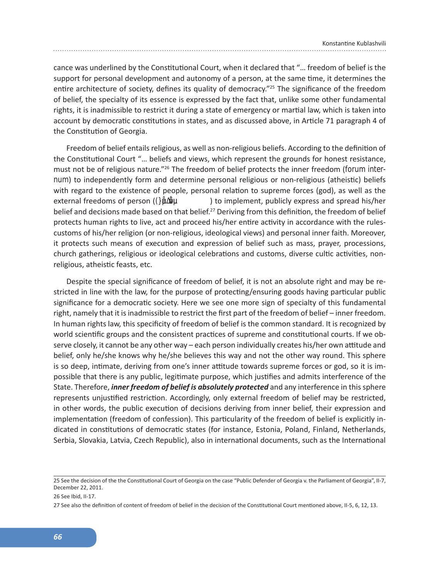cance was underlined by the Constitutional Court, when it declared that "… freedom of belief is the support for personal development and autonomy of a person, at the same time, it determines the entire architecture of society, defines its quality of democracy."<sup>25</sup> The significance of the freedom of belief, the specialty of its essence is expressed by the fact that, unlike some other fundamental rights, it is inadmissible to restrict it during a state of emergency or martial law, which is taken into account by democratic constitutions in states, and as discussed above, in Article 71 paragraph 4 of the Constitution of Georgia.

Freedom of belief entails religious, as well as non-religious beliefs. According to the definition of the Constitutional Court "… beliefs and views, which represent the grounds for honest resistance, must not be of religious nature."26 The freedom of belief protects the inner freedom (*forum internum*) to independently form and determine personal religious or non-religious (atheistic) beliefs with regard to the existence of people, personal relation to supreme forces (god), as well as the external freedoms of person (*forum externum*) to implement, publicly express and spread his/her belief and decisions made based on that belief.<sup>27</sup> Deriving from this definition, the freedom of belief protects human rights to live, act and proceed his/her entire activity in accordance with the rulescustoms of his/her religion (or non-religious, ideological views) and personal inner faith. Moreover, it protects such means of execution and expression of belief such as mass, prayer, processions, church gatherings, religious or ideological celebrations and customs, diverse cultic activities, nonreligious, atheistic feasts, etc.

Despite the special significance of freedom of belief, it is not an absolute right and may be restricted in line with the law, for the purpose of protecting/ensuring goods having particular public significance for a democratic society. Here we see one more sign of specialty of this fundamental right, namely that it is inadmissible to restrict the first part of the freedom of belief – inner freedom. In human rights law, this specificity of freedom of belief is the common standard. It is recognized by world scientific groups and the consistent practices of supreme and constitutional courts. If we observe closely, it cannot be any other way – each person individually creates his/her own attitude and belief, only he/she knows why he/she believes this way and not the other way round. This sphere is so deep, intimate, deriving from one's inner attitude towards supreme forces or god, so it is impossible that there is any public, legitimate purpose, which justifies and admits interference of the State. Therefore, *inner freedom of belief is absolutely protected* and any interference in this sphere represents unjustified restriction. Accordingly, only external freedom of belief may be restricted, in other words, the public execution of decisions deriving from inner belief, their expression and implementation (freedom of confession). This particularity of the freedom of belief is explicitly indicated in constitutions of democratic states (for instance, Estonia, Poland, Finland, Netherlands, Serbia, Slovakia, Latvia, Czech Republic), also in international documents, such as the International

<sup>25</sup> See the decision of the the Constitutional Court of Georgia on the case "Public Defender of Georgia v. the Parliament of Georgia", II-7, December 22, 2011.

<sup>26</sup> See Ibid, II-17.

<sup>27</sup> See also the definition of content of freedom of belief in the decision of the Constitutional Court mentioned above, II-5, 6, 12, 13.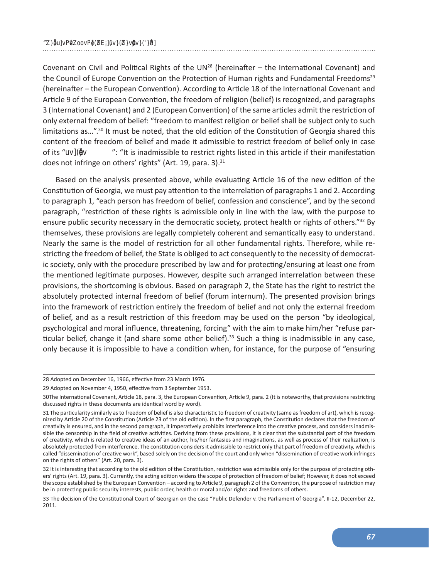*Shortcomings and Challenges of the New Edition of the Constitution of Georgia*

Covenant on Civil and Political Rights of the UN<sup>28</sup> (hereinafter  $-$  the International Covenant) and the Council of Europe Convention on the Protection of Human rights and Fundamental Freedoms<sup>29</sup> (hereinafter – the European Convention). According to Article 18 of the International Covenant and Article 9 of the European Convention, the freedom of religion (belief) is recognized, and paragraphs 3 (International Covenant) and 2 (European Convention) of the same articles admit the restriction of only external freedom of belief: "freedom to manifest religion or belief shall be subject only to such limitations as...".<sup>30</sup> It must be noted, that the old edition of the Constitution of Georgia shared this content of the freedom of belief and made it admissible to restrict freedom of belief only in case of its "*manifestation*": "It is inadmissible to restrict rights listed in this article if their manifestation does not infringe on others' rights" (Art. 19, para. 3).<sup>31</sup>

Based on the analysis presented above, while evaluating Article 16 of the new edition of the Constitution of Georgia, we must pay attention to the interrelation of paragraphs 1 and 2. According to paragraph 1, "each person has freedom of belief, confession and conscience", and by the second paragraph, "restriction of these rights is admissible only in line with the law, with the purpose to ensure public security necessary in the democratic society, protect health or rights of others."<sup>32</sup> By themselves, these provisions are legally completely coherent and semantically easy to understand. Nearly the same is the model of restriction for all other fundamental rights. Therefore, while restricting the freedom of belief, the State is obliged to act consequently to the necessity of democratic society, only with the procedure prescribed by law and for protecting/ensuring at least one from the mentioned legitimate purposes. However, despite such arranged interrelation between these provisions, the shortcoming is obvious. Based on paragraph 2, the State has the right to restrict the absolutely protected internal freedom of belief (forum internum). The presented provision brings into the framework of restriction entirely the freedom of belief and not only the external freedom of belief, and as a result restriction of this freedom may be used on the person "by ideological, psychological and moral influence, threatening, forcing" with the aim to make him/her "refuse particular belief, change it (and share some other belief).<sup>33</sup> Such a thing is inadmissible in any case, only because it is impossible to have a condition when, for instance, for the purpose of "ensuring

<sup>28</sup> Adopted on December 16, 1966, effective from 23 March 1976.

<sup>29</sup> Adopted on November 4, 1950, effective from 3 September 1953.

<sup>30</sup>The International Covenant, Article 18, para. 3, the European Convention, Article 9, para. 2 (It is noteworthy, that provisions restricting discussed rights in these documents are identical word by word).

<sup>31</sup> The particularity similarly as to freedom of belief is also characteristic to freedom of creativity (same as freedom of art), which is recognized by Article 20 of the Constitution (Article 23 of the old edition). In the first paragraph, the Constitution declares that the freedom of creativity is ensured, and in the second paragraph, it imperatively prohibits interference into the creative process, and considers inadmissible the censorship in the field of creative activities. Deriving from these provisions, it is clear that the substantial part of the freedom of creativity, which is related to creative ideas of an author, his/her fantasies and imaginations, as well as process of their realization, is absolutely protected from interference. The constitution considers it admissible to restrict only that part of freedom of creativity, which is called "dissemination of creative work", based solely on the decision of the court and only when "dissemination of creative work infringes on the rights of others" (Art. 20, para. 3).

<sup>32</sup> It is interesting that according to the old edition of the Constitution, restriction was admissible only for the purpose of protecting others' rights (Art. 19, para. 3). Currently, the acting edition widens the scope of protection of freedom of belief; However, it does not exceed the scope established by the European Convention – according to Article 9, paragraph 2 of the Convention, the purpose of restriction may be in protecting public security interests, public order, health or moral and/or rights and freedoms of others.

<sup>33</sup> The decision of the Constitutional Court of Georgian on the case "Public Defender v. the Parliament of Georgia", II-12, December 22, 2011.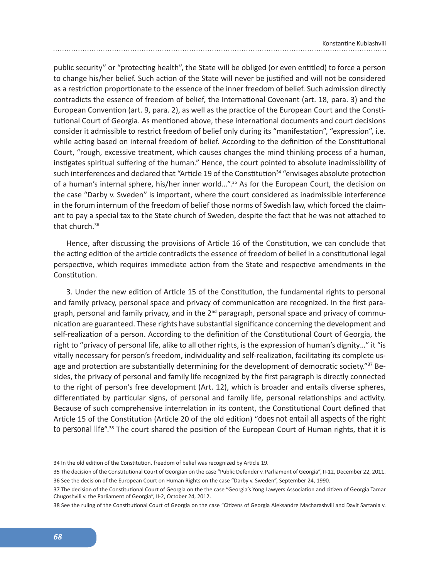public security" or "protecting health", the State will be obliged (or even entitled) to force a person to change his/her belief. Such action of the State will never be justified and will not be considered as a restriction proportionate to the essence of the inner freedom of belief. Such admission directly contradicts the essence of freedom of belief, the International Covenant (art. 18, para. 3) and the European Convention (art. 9, para. 2), as well as the practice of the European Court and the Constitutional Court of Georgia. As mentioned above, these international documents and court decisions consider it admissible to restrict freedom of belief only during its "manifestation", "expression", i.e. while acting based on internal freedom of belief. According to the definition of the Constitutional Court, "rough, excessive treatment, which causes changes the mind thinking process of a human, instigates spiritual suffering of the human." Hence, the court pointed to absolute inadmissibility of such interferences and declared that "Article 19 of the Constitution<sup>34</sup> "envisages absolute protection of a human's internal sphere, his/her inner world…".<sup>35</sup> As for the European Court, the decision on the case "Darby v. Sweden" is important, where the court considered as inadmissible interference in the forum internum of the freedom of belief those norms of Swedish law, which forced the claimant to pay a special tax to the State church of Sweden, despite the fact that he was not attached to that church.36

Hence, after discussing the provisions of Article 16 of the Constitution, we can conclude that the acting edition of the article contradicts the essence of freedom of belief in a constitutional legal perspective, which requires immediate action from the State and respective amendments in the Constitution.

3. Under the new edition of Article 15 of the Constitution, the fundamental rights to personal and family privacy, personal space and privacy of communication are recognized. In the first paragraph, personal and family privacy, and in the  $2^{nd}$  paragraph, personal space and privacy of communication are guaranteed. These rights have substantial significance concerning the development and self-realization of a person. According to the definition of the Constitutional Court of Georgia, the right to "privacy of personal life, alike to all other rights, is the expression of human's dignity…" it "is vitally necessary for person's freedom, individuality and self-realization, facilitating its complete usage and protection are substantially determining for the development of democratic society."<sup>37</sup> Besides, the privacy of personal and family life recognized by the first paragraph is directly connected to the right of person's free development (Art. 12), which is broader and entails diverse spheres, differentiated by particular signs, of personal and family life, personal relationships and activity. Because of such comprehensive interrelation in its content, the Constitutional Court defined that Article 15 of the Constitution (Article 20 of the old edition) "*does not entail all aspects of the right to personal life*".38 The court shared the position of the European Court of Human rights, that it is

38 See the ruling of the Constitutional Court of Georgia on the case "Citizens of Georgia Aleksandre Macharashvili and Davit Sartania v.

<sup>34</sup> In the old edition of the Constitution, freedom of belief was recognized by Article 19.

<sup>35</sup> The decision of the Constitutional Court of Georgian on the case "Public Defender v. Parliament of Georgia", II-12, December 22, 2011. 36 See the decision of the European Court on Human Rights on the case "Darby v. Sweden", September 24, 1990.

<sup>37</sup> The decision of the Constitutional Court of Georgia on the the case "Georgia's Yong Lawyers Association and citizen of Georgia Tamar Chugoshvili v. the Parliament of Georgia", II-2, October 24, 2012.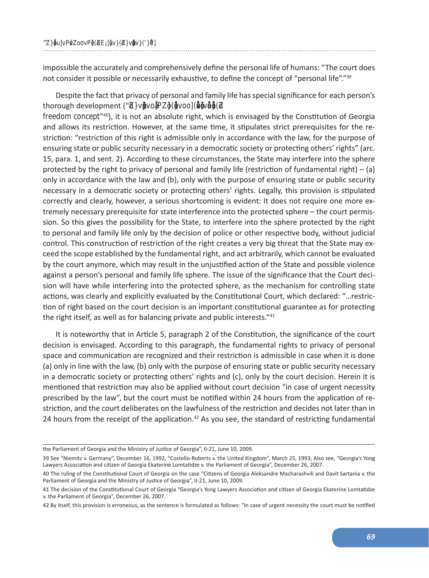impossible the accurately and comprehensively define the personal life of humans: "The court does not consider it possible or necessarily exhaustive, to define the concept of "personal life"."<sup>39</sup>

Despite the fact that privacy of personal and family life has special significance for each person's thorough development ("*the constitutional right of personal life represents inseparable part of the freedom concept*"40), it is not an absolute right, which is envisaged by the Constitution of Georgia and allows its restriction. However, at the same time, it stipulates strict prerequisites for the restriction: "restriction of this right is admissible only in accordance with the law, for the purpose of ensuring state or public security necessary in a democratic society or protecting others' rights" (arc. 15, para. 1, and sent. 2). According to these circumstances, the State may interfere into the sphere protected by the right to privacy of personal and family life (restriction of fundamental right) – (a) only in accordance with the law and (b), only with the purpose of ensuring state or public security necessary in a democratic society or protecting others' rights. Legally, this provision is stipulated correctly and clearly, however, a serious shortcoming is evident: It does not require one more extremely necessary prerequisite for state interference into the protected sphere – the court permission. So this gives the possibility for the State, to interfere into the sphere protected by the right to personal and family life only by the decision of police or other respective body, without judicial control. This construction of restriction of the right creates a very big threat that the State may exceed the scope established by the fundamental right, and act arbitrarily, which cannot be evaluated by the court anymore, which may result in the unjustified action of the State and possible violence against a person's personal and family life sphere. The issue of the significance that the Court decision will have while interfering into the protected sphere, as the mechanism for controlling state actions, was clearly and explicitly evaluated by the Constitutional Court, which declared: "…restriction of right based on the court decision is an important constitutional guarantee as for protecting the right itself, as well as for balancing private and public interests."41

It is noteworthy that in Article 5, paragraph 2 of the Constitution, the significance of the court decision is envisaged. According to this paragraph, the fundamental rights to privacy of personal space and communication are recognized and their restriction is admissible in case when it is done (a) only in line with the law, (b) only with the purpose of ensuring state or public security necessary in a democratic society or protecting others' rights and (c), only by the court decision. Herein it is mentioned that restriction may also be applied without court decision "in case of urgent necessity prescribed by the law", but the court must be notified within 24 hours from the application of restriction, and the court deliberates on the lawfulness of the restriction and decides not later than in 24 hours from the receipt of the application. $42$  As you see, the standard of restricting fundamental

the Parliament of Georgia and the Ministry of Justice of Georgia", II-21, June 10, 2009.

<sup>39</sup> See "Niemitz v. Germany", December 16, 1992, "Costello-Roberts v. the United Kingdom", March 25, 1993; Also see, "Georgia's Yong Lawyers Association and citizen of Georgia Ekaterine Lomtatidze v. the Parliament of Georgia", December 26, 2007.

<sup>40</sup> The ruling of the Constitutional Court of Georgia on the case "Citizens of Georgia Aleksandre Macharashvili and Davit Sartania v. the Parliament of Georgia and the Ministry of Justice of Georgia", II-21, June 10, 2009.

<sup>41</sup> The decision of the Constitutional Court of Georgia "Georgia's Yong Lawyers Association and citizen of Georgia Ekaterine Lomtatidze v. the Parliament of Georgia", December 26, 2007.

<sup>42</sup> By itself, this provision is erroneous, as the sentence is formulated as follows: "In case of urgent necessity the court must be notified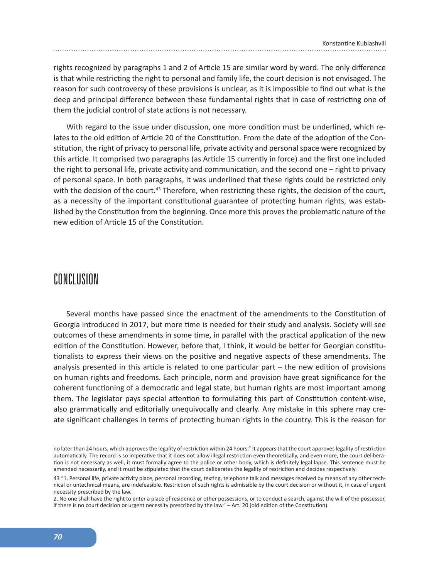rights recognized by paragraphs 1 and 2 of Article 15 are similar word by word. The only difference is that while restricting the right to personal and family life, the court decision is not envisaged. The reason for such controversy of these provisions is unclear, as it is impossible to find out what is the deep and principal difference between these fundamental rights that in case of restricting one of them the judicial control of state actions is not necessary.

With regard to the issue under discussion, one more condition must be underlined, which relates to the old edition of Article 20 of the Constitution. From the date of the adoption of the Constitution, the right of privacy to personal life, private activity and personal space were recognized by this article. It comprised two paragraphs (as Article 15 currently in force) and the first one included the right to personal life, private activity and communication, and the second one – right to privacy of personal space. In both paragraphs, it was underlined that these rights could be restricted only with the decision of the court.<sup>43</sup> Therefore, when restricting these rights, the decision of the court, as a necessity of the important constitutional guarantee of protecting human rights, was established by the Constitution from the beginning. Once more this proves the problematic nature of the new edition of Article 15 of the Constitution.

#### CONCLUSION

Several months have passed since the enactment of the amendments to the Constitution of Georgia introduced in 2017, but more time is needed for their study and analysis. Society will see outcomes of these amendments in some time, in parallel with the practical application of the new edition of the Constitution. However, before that, I think, it would be better for Georgian constitutionalists to express their views on the positive and negative aspects of these amendments. The analysis presented in this article is related to one particular part – the new edition of provisions on human rights and freedoms. Each principle, norm and provision have great significance for the coherent functioning of a democratic and legal state, but human rights are most important among them. The legislator pays special attention to formulating this part of Constitution content-wise, also grammatically and editorially unequivocally and clearly. Any mistake in this sphere may create significant challenges in terms of protecting human rights in the country. This is the reason for

no later than 24 hours, which approves the legality of restriction within 24 hours." It appears that the court approves legality of restriction automatically. The record is so imperative that it does not allow illegal restriction even theoretically, and even more, the court deliberation is not necessary as well, it must formally agree to the police or other body, which is definitely legal lapse. This sentence must be amended necessarily, and it must be stipulated that the court deliberates the legality of restriction and decides respectively.

<sup>43 &</sup>quot;1. Personal life, private activity place, personal recording, texting, telephone talk and messages received by means of any other technical or untechnical means, are indefeasible. Restriction of such rights is admissible by the court decision or without it, in case of urgent necessity prescribed by the law.

<sup>2.</sup> No one shall have the right to enter a place of residence or other possessions, or to conduct a search, against the will of the possessor, if there is no court decision or urgent necessity prescribed by the law." – Art. 20 (old edition of the Constitution).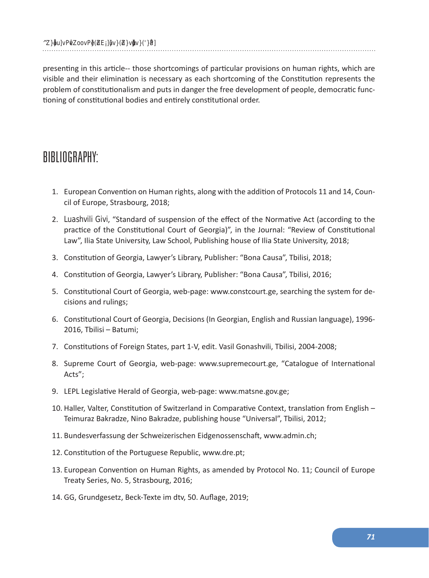*Shortcomings and Challenges of the New Edition of the Constitution of Georgia*

presenting in this article-- those shortcomings of particular provisions on human rights, which are visible and their elimination is necessary as each shortcoming of the Constitution represents the problem of constitutionalism and puts in danger the free development of people, democratic functioning of constitutional bodies and entirely constitutional order.

# BIBLIOGRAPHY:

- 1. European Convention on Human rights, along with the addition of Protocols 11 and 14, Council of Europe, Strasbourg, 2018;
- 2. *Luashvili Givi*, "Standard of suspension of the effect of the Normative Act (according to the practice of the Constitutional Court of Georgia)", in the Journal: "Review of Constitutional Law", Ilia State University, Law School, Publishing house of Ilia State University, 2018;
- 3. Constitution of Georgia, Lawyer's Library, Publisher: "Bona Causa", Tbilisi, 2018;
- 4. Constitution of Georgia, Lawyer's Library, Publisher: "Bona Causa", Tbilisi, 2016;
- 5. Constitutional Court of Georgia, web-page: www.constcourt.ge, searching the system for decisions and rulings;
- 6. Constitutional Court of Georgia, Decisions (In Georgian, English and Russian language), 1996- 2016, Tbilisi – Batumi;
- 7. Constitutions of Foreign States, part 1-V, edit. Vasil Gonashvili, Tbilisi, 2004-2008;
- 8. Supreme Court of Georgia, web-page: www.supremecourt.ge, "Catalogue of International Acts";
- 9. LEPL Legislative Herald of Georgia, web-page: www.matsne.gov.ge;
- 10. Haller, Valter, Constitution of Switzerland in Comparative Context, translation from English Teimuraz Bakradze, Nino Bakradze, publishing house "Universal", Tbilisi, 2012;
- 11. Bundesverfassung der Schweizerischen Eidgenossenschaft, www.admin.ch;
- 12. Constitution of the Portuguese Republic, www.dre.pt;
- 13. European Convention on Human Rights, as amended by Protocol No. 11; Council of Europe Treaty Series, No. 5, Strasbourg, 2016;
- 14. GG, Grundgesetz, Beck-Texte im dtv, 50. Auflage, 2019;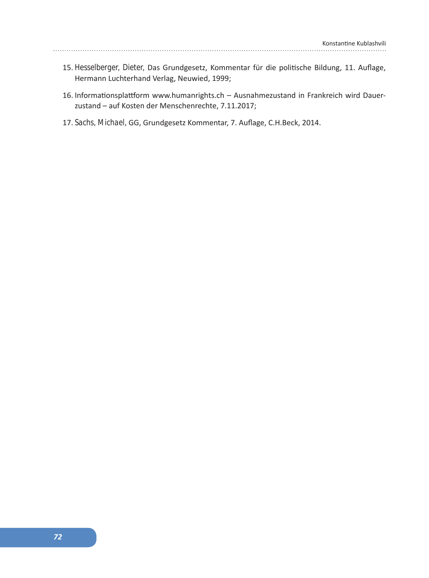15. *Hesselberger, Dieter,* Das Grundgesetz, Kommentar für die politische Bildung, 11. Auflage, Hermann Luchterhand Verlag, Neuwied, 1999;

- 16. Informationsplattform www.humanrights.ch Ausnahmezustand in Frankreich wird Dauerzustand – auf Kosten der Menschenrechte, 7.11.2017;
- 17. *Sachs, Michael,* GG, Grundgesetz Kommentar, 7. Auflage, C.H.Beck, 2014.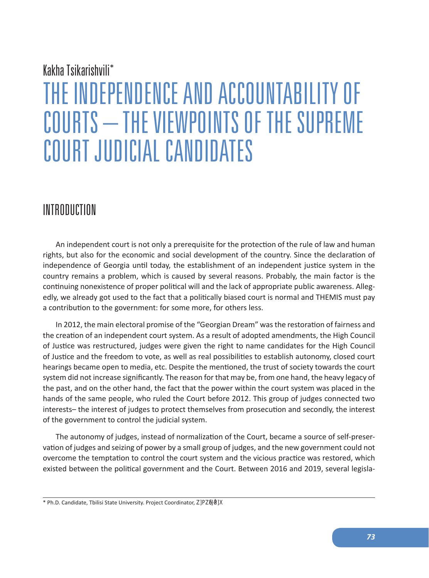# Kakha Tsikarishvili\* THE INDEPENDENCE AND ACCOUNTABILITY OF COURTS – THE VIEWPOINTS OF THE SUPREME COURT JUDICIAL CANDIDATES

### INTRODUCTION

An independent court is not only a prerequisite for the protection of the rule of law and human rights, but also for the economic and social development of the country. Since the declaration of independence of Georgia until today, the establishment of an independent justice system in the country remains a problem, which is caused by several reasons. Probably, the main factor is the continuing nonexistence of proper political will and the lack of appropriate public awareness. Allegedly, we already got used to the fact that a politically biased court is normal and THEMIS must pay a contribution to the government: for some more, for others less.

In 2012, the main electoral promise of the "Georgian Dream" was the restoration of fairness and the creation of an independent court system. As a result of adopted amendments, the High Council of Justice was restructured, judges were given the right to name candidates for the High Council of Justice and the freedom to vote, as well as real possibilities to establish autonomy, closed court hearings became open to media, etc. Despite the mentioned, the trust of society towards the court system did not increase significantly. The reason for that may be, from one hand, the heavy legacy of the past, and on the other hand, the fact that the power within the court system was placed in the hands of the same people, who ruled the Court before 2012. This group of judges connected two interests– the interest of judges to protect themselves from prosecution and secondly, the interest of the government to control the judicial system.

The autonomy of judges, instead of normalization of the Court, became a source of self-preservation of judges and seizing of power by a small group of judges, and the new government could not overcome the temptation to control the court system and the vicious practice was restored, which existed between the political government and the Court. Between 2016 and 2019, several legisla-

<sup>\*</sup> Ph.D. Candidate, Tbilisi State University. Project Coordinator, *Rights Georgia.*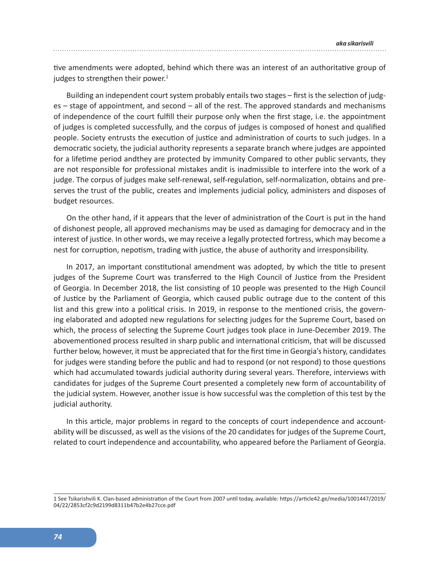tive amendments were adopted, behind which there was an interest of an authoritative group of judges to strengthen their power. $1$ 

Building an independent court system probably entails two stages – first is the selection of judges – stage of appointment, and second – all of the rest. The approved standards and mechanisms of independence of the court fulfill their purpose only when the first stage, i.e. the appointment of judges is completed successfully, and the corpus of judges is composed of honest and qualified people. Society entrusts the execution of justice and administration of courts to such judges. In a democratic society, the judicial authority represents a separate branch where judges are appointed for a lifetime period andthey are protected by immunity Compared to other public servants, they are not responsible for professional mistakes andit is inadmissible to interfere into the work of a judge. The corpus of judges make self-renewal, self-regulation, self-normalization, obtains and preserves the trust of the public, creates and implements judicial policy, administers and disposes of budget resources.

On the other hand, if it appears that the lever of administration of the Court is put in the hand of dishonest people, all approved mechanisms may be used as damaging for democracy and in the interest of justice. In other words, we may receive a legally protected fortress, which may become a nest for corruption, nepotism, trading with justice, the abuse of authority and irresponsibility.

In 2017, an important constitutional amendment was adopted, by which the title to present judges of the Supreme Court was transferred to the High Council of Justice from the President of Georgia. In December 2018, the list consisting of 10 people was presented to the High Council of Justice by the Parliament of Georgia, which caused public outrage due to the content of this list and this grew into a political crisis. In 2019, in response to the mentioned crisis, the governing elaborated and adopted new regulations for selecting judges for the Supreme Court, based on which, the process of selecting the Supreme Court judges took place in June-December 2019. The abovementioned process resulted in sharp public and international criticism, that will be discussed further below, however, it must be appreciated that for the first time in Georgia's history, candidates for judges were standing before the public and had to respond (or not respond) to those questions which had accumulated towards judicial authority during several years. Therefore, interviews with candidates for judges of the Supreme Court presented a completely new form of accountability of the judicial system. However, another issue is how successful was the completion of this test by the judicial authority.

In this article, major problems in regard to the concepts of court independence and accountability will be discussed, as well as the visions of the 20 candidates for judges of the Supreme Court, related to court independence and accountability, who appeared before the Parliament of Georgia.

<sup>1</sup> See Tsikarishvili K. Clan-based administration of the Court from 2007 until today, available: https://article42.ge/media/1001447/2019/ 04/22/2853cf2c9d2199d8311b47b2e4b27cce.pdf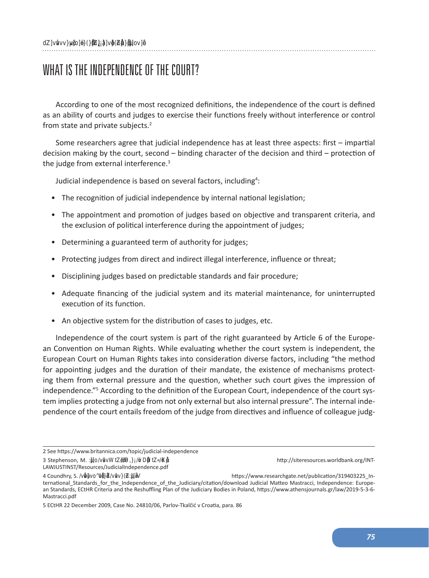# WHAT IS THE INDEPENDENCE OF THE COURT?

According to one of the most recognized definitions, the independence of the court is defined as an ability of courts and judges to exercise their functions freely without interference or control from state and private subjects.<sup>2</sup>

Some researchers agree that judicial independence has at least three aspects: first – impartial decision making by the court, second – binding character of the decision and third – protection of the judge from external interference.<sup>3</sup>

Judicial independence is based on several factors, including<sup>4</sup>:

- The recognition of judicial independence by internal national legislation;
- The appointment and promotion of judges based on objective and transparent criteria, and the exclusion of political interference during the appointment of judges;
- Determining a guaranteed term of authority for judges;
- Protecting judges from direct and indirect illegal interference, influence or threat;
- Disciplining judges based on predictable standards and fair procedure;
- Adequate financing of the judicial system and its material maintenance, for uninterrupted execution of its function.
- An objective system for the distribution of cases to judges, etc.

Independence of the court system is part of the right guaranteed by Article 6 of the European Convention on Human Rights. While evaluating whether the court system is independent, the European Court on Human Rights takes into consideration diverse factors, including "the method for appointing judges and the duration of their mandate, the existence of mechanisms protecting them from external pressure and the question, whether such court gives the impression of independence."<sup>5</sup> According to the definition of the European Court, independence of the court system implies protecting a judge from not only external but also internal pressure". The internal independence of the court entails freedom of the judge from directives and influence of colleague judg-

<sup>2</sup> See https://www.britannica.com/topic/judicial-independence

<sup>3</sup> Stephenson, M. *Judicial Independence: What It Is, How It Can Be Measured, Why It Occurs* http://siteresources.worldbank.org/INT-LAWJUSTINST/Resources/JudicialIndependence.pdf

<sup>4</sup> Coundhry, S. *International Standards for the Independence of the Judiciary;* https://www.researchgate.net/publication/319403225\_International\_Standards\_for\_the\_Independence\_of\_the\_Judiciary/citation/download Judicial Matteo Mastracci, Independence: European Standards, ECtHR Criteria and the Reshuffling Plan of the Judiciary Bodies in Poland, https://www.athensjournals.gr/law/2019-5-3-6- Mastracci.pdf

<sup>5</sup> ECtHR 22 December 2009, Case No. 24810/06, Parlov-Tkalčić v Croatia, para. 86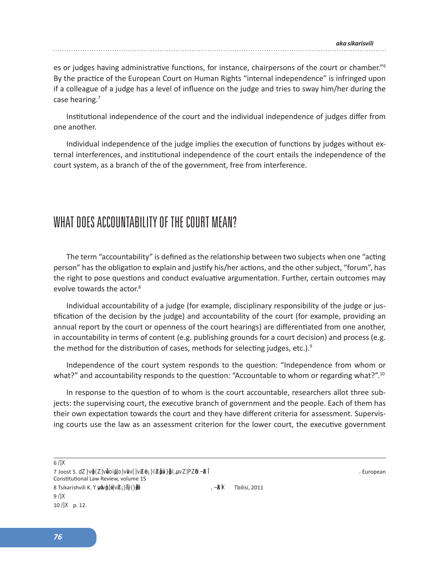es or judges having administrative functions, for instance, chairpersons of the court or chamber."6 By the practice of the European Court on Human Rights "internal independence" is infringed upon if a colleague of a judge has a level of influence on the judge and tries to sway him/her during the case hearing.7

Institutional independence of the court and the individual independence of judges differ from one another.

Individual independence of the judge implies the execution of functions by judges without external interferences, and institutional independence of the court entails the independence of the court system, as a branch of the of the government, free from interference.

#### WHAT DOES ACCOUNTABILITY OF THE COURT MEAN?

The term "accountability" is defined as the relationship between two subjects when one "acting person" has the obligation to explain and justify his/her actions, and the other subject, "forum", has the right to pose questions and conduct evaluative argumentation. Further, certain outcomes may evolve towards the actor.<sup>8</sup>

Individual accountability of a judge (for example, disciplinary responsibility of the judge or justification of the decision by the judge) and accountability of the court (for example, providing an annual report by the court or openness of the court hearings) are differentiated from one another, in accountability in terms of content (e.g. publishing grounds for a court decision) and process (e.g. the method for the distribution of cases, methods for selecting judges, etc.).<sup>9</sup>

Independence of the court system responds to the question: "Independence from whom or what?" and accountability responds to the question: "Accountable to whom or regarding what?".<sup>10</sup>

In response to the question of to whom is the court accountable, researchers allot three subjects: the supervising court, the executive branch of government and the people. Each of them has their own expectation towards the court and they have different criteria for assessment. Supervising courts use the law as an assessment criterion for the lower court, the executive government

<sup>6</sup> *Ibid.*

<sup>7</sup> Joost S. *The concept of 'internal judicial independence' in the case law of the European Court of Human Rights, (pp. 104)*. European Constitutional Law Review, volume 15

<sup>8</sup> Tsikarishvili K. *Quantity and quality in the work of court system*, *(pp.11).* Tbilisi, 2011

<sup>9</sup> *Ibid.*

<sup>10</sup> *Ibid.* p. 12.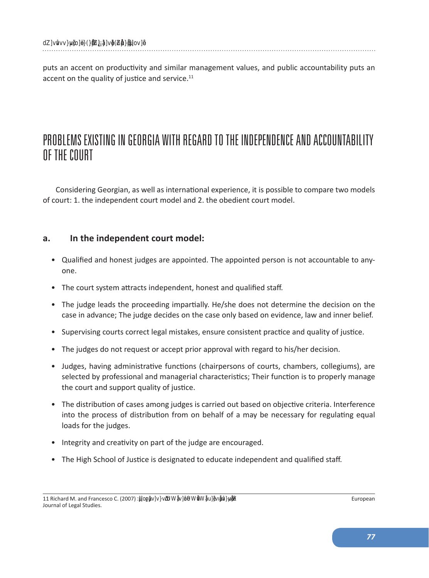*The independence and accountability of courts – the viewpoints of the supreme court judicial candidates*

puts an accent on productivity and similar management values, and public accountability puts an accent on the quality of justice and service.<sup>11</sup>

# PROBLEMS EXISTING IN GEORGIA WITH REGARD TO THE INDEPENDENCE AND ACCOUNTABILITY OF THE COURT

Considering Georgian, as well as international experience, it is possible to compare two models of court: 1. the independent court model and 2. the obedient court model.

#### **a. In the independent court model:**

- Qualified and honest judges are appointed. The appointed person is not accountable to anyone.
- The court system attracts independent, honest and qualified staff.
- The judge leads the proceeding impartially. He/she does not determine the decision on the case in advance; The judge decides on the case only based on evidence, law and inner belief.
- Supervising courts correct legal mistakes, ensure consistent practice and quality of justice.
- The judges do not request or accept prior approval with regard to his/her decision.
- Judges, having administrative functions (chairpersons of courts, chambers, collegiums), are selected by professional and managerial characteristics; Their function is to properly manage the court and support quality of justice.
- The distribution of cases among judges is carried out based on objective criteria. Interference into the process of distribution from on behalf of a may be necessary for regulating equal loads for the judges.
- Integrity and creativity on part of the judge are encouraged.
- The High School of Justice is designated to educate independent and qualified staff.

<sup>11</sup> Richard M. and Francesco C. (2007) *Judicial Evaluation in Context, Principles, Practices and Promise in 9 european Countries.* European Journal of Legal Studies.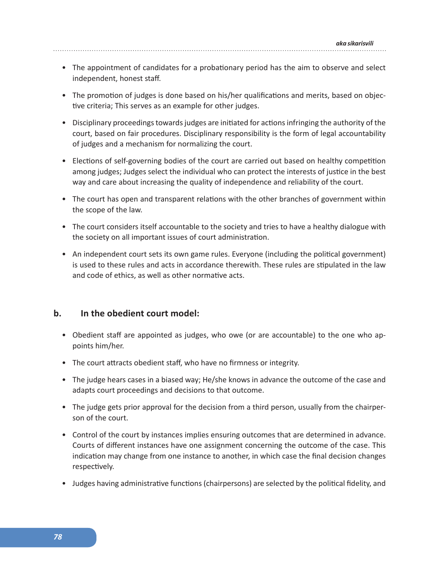- The appointment of candidates for a probationary period has the aim to observe and select independent, honest staff.
- The promotion of judges is done based on his/her qualifications and merits, based on objective criteria; This serves as an example for other judges.
- Disciplinary proceedings towards judges are initiated for actions infringing the authority of the court, based on fair procedures. Disciplinary responsibility is the form of legal accountability of judges and a mechanism for normalizing the court.
- Elections of self-governing bodies of the court are carried out based on healthy competition among judges; Judges select the individual who can protect the interests of justice in the best way and care about increasing the quality of independence and reliability of the court.
- The court has open and transparent relations with the other branches of government within the scope of the law.
- The court considers itself accountable to the society and tries to have a healthy dialogue with the society on all important issues of court administration.
- An independent court sets its own game rules. Everyone (including the political government) is used to these rules and acts in accordance therewith. These rules are stipulated in the law and code of ethics, as well as other normative acts.

#### **b. In the obedient court model:**

- Obedient staff are appointed as judges, who owe (or are accountable) to the one who appoints him/her.
- The court attracts obedient staff, who have no firmness or integrity.
- The judge hears cases in a biased way; He/she knows in advance the outcome of the case and adapts court proceedings and decisions to that outcome.
- The judge gets prior approval for the decision from a third person, usually from the chairperson of the court.
- Control of the court by instances implies ensuring outcomes that are determined in advance. Courts of different instances have one assignment concerning the outcome of the case. This indication may change from one instance to another, in which case the final decision changes respectively.
- Judges having administrative functions (chairpersons) are selected by the political fidelity, and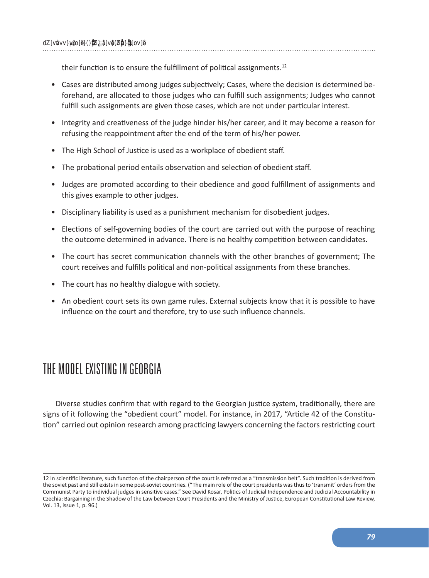their function is to ensure the fulfillment of political assignments.<sup>12</sup>

- Cases are distributed among judges subjectively; Cases, where the decision is determined beforehand, are allocated to those judges who can fulfill such assignments; Judges who cannot fulfill such assignments are given those cases, which are not under particular interest.
- Integrity and creativeness of the judge hinder his/her career, and it may become a reason for refusing the reappointment after the end of the term of his/her power.
- The High School of Justice is used as a workplace of obedient staff.
- The probational period entails observation and selection of obedient staff.
- Judges are promoted according to their obedience and good fulfillment of assignments and this gives example to other judges.
- Disciplinary liability is used as a punishment mechanism for disobedient judges.
- Elections of self-governing bodies of the court are carried out with the purpose of reaching the outcome determined in advance. There is no healthy competition between candidates.
- The court has secret communication channels with the other branches of government; The court receives and fulfills political and non-political assignments from these branches.
- The court has no healthy dialogue with society.
- An obedient court sets its own game rules. External subjects know that it is possible to have influence on the court and therefore, try to use such influence channels.

# THE MODEL EXISTING IN GEORGIA

Diverse studies confirm that with regard to the Georgian justice system, traditionally, there are signs of it following the "obedient court" model. For instance, in 2017, "Article 42 of the Constitution" carried out opinion research among practicing lawyers concerning the factors restricting court

<sup>12</sup> In scientific literature, such function of the chairperson of the court is referred as a "transmission belt". Such tradition is derived from the soviet past and still exists in some post-soviet countries. ("The main role of the court presidents was thus to 'transmit' orders from the Communist Party to individual judges in sensitive cases." See David Kosar, Politics of Judicial Independence and Judicial Accountability in Czechia: Bargaining in the Shadow of the Law between Court Presidents and the Ministry of Justice, European Constitutional Law Review, Vol. 13, issue 1, p. 96.)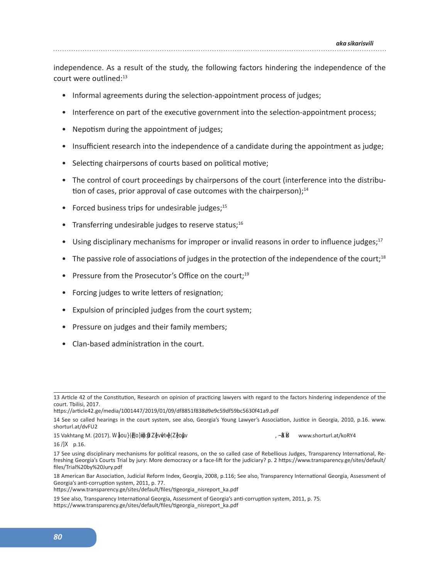independence. As a result of the study, the following factors hindering the independence of the court were outlined:<sup>13</sup>

- Informal agreements during the selection-appointment process of judges;
- Interference on part of the executive government into the selection-appointment process;
- Nepotism during the appointment of judges;
- Insufficient research into the independence of a candidate during the appointment as judge;
- Selecting chairpersons of courts based on political motive;
- The control of court proceedings by chairpersons of the court (interference into the distribution of cases, prior approval of case outcomes with the chairperson); $^{14}$
- Forced business trips for undesirable judges; $^{15}$
- Transferring undesirable judges to reserve status;<sup>16</sup>
- Using disciplinary mechanisms for improper or invalid reasons in order to influence judges;<sup>17</sup>
- The passive role of associations of judges in the protection of the independence of the court;<sup>18</sup>
- Pressure from the Prosecutor's Office on the court;<sup>19</sup>
- Forcing judges to write letters of resignation;
- Expulsion of principled judges from the court system;
- Pressure on judges and their family members;
- Clan-based administration in the court.

<sup>13</sup> Article 42 of the Constitution, Research on opinion of practicing lawyers with regard to the factors hindering independence of the court. Tbilisi, 2017.

https://article42.ge/media/1001447/2019/01/09/df8851f838d9e9c59df59bc5630f41a9.pdf

<sup>14</sup> See so called hearings in the court system, see also, Georgia's Young Lawyer's Association, Justice in Georgia, 2010, p.16. www. shorturl.at/dvFU2

<sup>15</sup> Vakhtang M. (2017). *Problem of Accessibility to Justice, Reasons and Ways of Resolution*, *(pp.16).* www.shorturl.at/koRY4

<sup>16</sup> *Ibid.* p.16.

<sup>17</sup> See using disciplinary mechanisms for political reasons, on the so called case of Rebellious Judges, Transparency International, Refreshing Georgia's Courts Trial by jury: More democracy or a face-lift for the judiciary? p. 2 https://www.transparency.ge/sites/default/ files/Trial%20by%20Jury.pdf

<sup>18</sup> American Bar Association, Judicial Reform Index, Georgia, 2008, p.116; See also, Transparency International Georgia, Assessment of Georgia's anti-corruption system, 2011, p. 77.

https://www.transparency.ge/sites/default/files/tigeorgia\_nisreport\_ka.pdf

<sup>19</sup> See also, Transparency International Georgia, Assessment of Georgia's anti-corruption system, 2011, p. 75. https://www.transparency.ge/sites/default/files/tigeorgia\_nisreport\_ka.pdf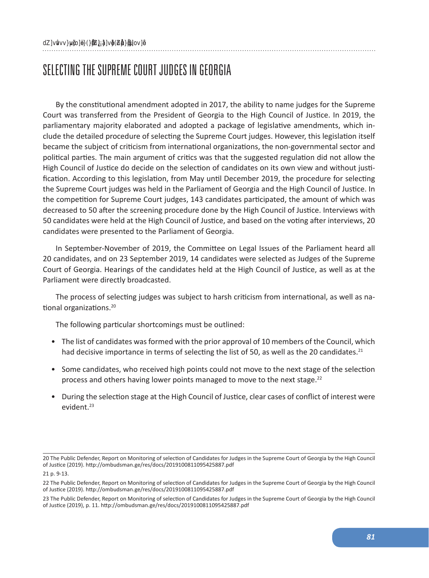# SELECTING THE SUPREME COURT JUDGES IN GEORGIA

By the constitutional amendment adopted in 2017, the ability to name judges for the Supreme Court was transferred from the President of Georgia to the High Council of Justice. In 2019, the parliamentary majority elaborated and adopted a package of legislative amendments, which include the detailed procedure of selecting the Supreme Court judges. However, this legislation itself became the subject of criticism from international organizations, the non-governmental sector and political parties. The main argument of critics was that the suggested regulation did not allow the High Council of Justice do decide on the selection of candidates on its own view and without justification. According to this legislation, from May until December 2019, the procedure for selecting the Supreme Court judges was held in the Parliament of Georgia and the High Council of Justice. In the competition for Supreme Court judges, 143 candidates participated, the amount of which was decreased to 50 after the screening procedure done by the High Council of Justice. Interviews with 50 candidates were held at the High Council of Justice, and based on the voting after interviews, 20 candidates were presented to the Parliament of Georgia.

In September-November of 2019, the Committee on Legal Issues of the Parliament heard all 20 candidates, and on 23 September 2019, 14 candidates were selected as Judges of the Supreme Court of Georgia. Hearings of the candidates held at the High Council of Justice, as well as at the Parliament were directly broadcasted.

The process of selecting judges was subject to harsh criticism from international, as well as national organizations.<sup>20</sup>

The following particular shortcomings must be outlined:

- The list of candidates was formed with the prior approval of 10 members of the Council, which had decisive importance in terms of selecting the list of 50, as well as the 20 candidates.<sup>21</sup>
- Some candidates, who received high points could not move to the next stage of the selection process and others having lower points managed to move to the next stage.<sup>22</sup>
- During the selection stage at the High Council of Justice, clear cases of conflict of interest were evident.23

<sup>20</sup> The Public Defender, Report on Monitoring of selection of Candidates for Judges in the Supreme Court of Georgia by the High Council of Justice (2019). http://ombudsman.ge/res/docs/2019100811095425887.pdf

<sup>21</sup> p. 9-13.

<sup>22</sup> The Public Defender, Report on Monitoring of selection of Candidates for Judges in the Supreme Court of Georgia by the High Council of Justice (2019). http://ombudsman.ge/res/docs/2019100811095425887.pdf

<sup>23</sup> The Public Defender, Report on Monitoring of selection of Candidates for Judges in the Supreme Court of Georgia by the High Council of Justice (2019), p. 11. http://ombudsman.ge/res/docs/2019100811095425887.pdf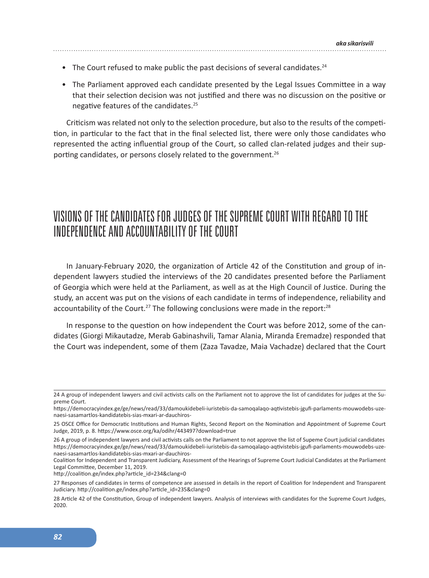- The Court refused to make public the past decisions of several candidates.<sup>24</sup>
- The Parliament approved each candidate presented by the Legal Issues Committee in a way that their selection decision was not justified and there was no discussion on the positive or negative features of the candidates.25

Criticism was related not only to the selection procedure, but also to the results of the competition, in particular to the fact that in the final selected list, there were only those candidates who represented the acting influential group of the Court, so called clan-related judges and their supporting candidates, or persons closely related to the government.26

### VISIONS OF THE CANDIDATES FOR JUDGES OF THE SUPREME COURT WITH REGARD TO THE INDEPENDENCE AND ACCOUNTABILITY OF THE COURT

In January-February 2020, the organization of Article 42 of the Constitution and group of independent lawyers studied the interviews of the 20 candidates presented before the Parliament of Georgia which were held at the Parliament, as well as at the High Council of Justice. During the study, an accent was put on the visions of each candidate in terms of independence, reliability and accountability of the Court.<sup>27</sup> The following conclusions were made in the report:<sup>28</sup>

In response to the question on how independent the Court was before 2012, some of the candidates (Giorgi Mikautadze, Merab Gabinashvili, Tamar Alania, Miranda Eremadze) responded that the Court was independent, some of them (Zaza Tavadze, Maia Vachadze) declared that the Court

http://coalition.ge/index.php?article\_id=234&clang=0

<sup>24</sup> A group of independent lawyers and civil activists calls on the Parliament not to approve the list of candidates for judges at the Supreme Court.

https://democracyindex.ge/ge/news/read/33/damoukidebeli-iuristebis-da-samoqalaqo-aqtivistebis-jgufi-parlaments-mouwodebs-uzenaesi-sasamartlos-kandidatebis-sias-mxari-ar-dauchiros-

<sup>25</sup> OSCE Office for Democratic Institutions and Human Rights, Second Report on the Nomination and Appointment of Supreme Court Judge, 2019, p. 8. https://www.osce.org/ka/odihr/443497?download=true

<sup>26</sup> A group of independent lawyers and civil activists calls on the Parliament to not approve the list of Supeme Court judicial candidates https://democracyindex.ge/ge/news/read/33/damoukidebeli-iuristebis-da-samoqalaqo-aqtivistebis-jgufi-parlaments-mouwodebs-uzenaesi-sasamartlos-kandidatebis-sias-mxari-ar-dauchiros-

Coalition for Independent and Transparent Judiciary, Assessment of the Hearings of Supreme Court Judicial Candidates at the Parliament Legal Committee, December 11, 2019.

<sup>27</sup> Responses of candidates in terms of competence are assessed in details in the report of Coalition for Independent and Transparent Judiciary. http://coalition.ge/index.php?article\_id=235&clang=0

<sup>28</sup> Article 42 of the Constitution, Group of independent lawyers. Analysis of interviews with candidates for the Supreme Court Judges, 2020.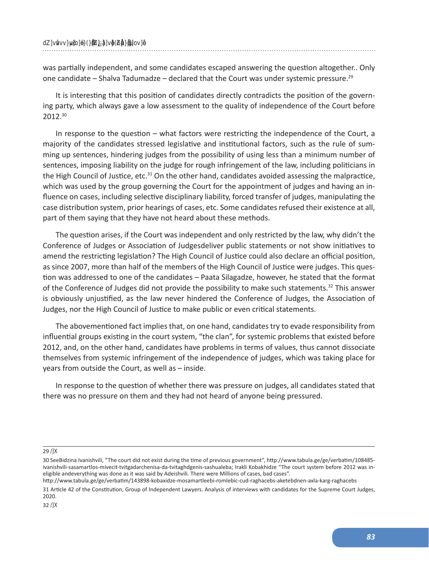*The independence and accountability of courts – the viewpoints of the supreme court judicial candidates*

was partially independent, and some candidates escaped answering the question altogether.. Only one candidate – Shalva Tadumadze – declared that the Court was under systemic pressure.<sup>29</sup>

It is interesting that this position of candidates directly contradicts the position of the governing party, which always gave a low assessment to the quality of independence of the Court before 2012.30

In response to the question – what factors were restricting the independence of the Court, a majority of the candidates stressed legislative and institutional factors, such as the rule of summing up sentences, hindering judges from the possibility of using less than a minimum number of sentences, imposing liability on the judge for rough infringement of the law, including politicians in the High Council of Justice, etc. $31$  On the other hand, candidates avoided assessing the malpractice, which was used by the group governing the Court for the appointment of judges and having an influence on cases, including selective disciplinary liability, forced transfer of judges, manipulating the case distribution system, prior hearings of cases, etc. Some candidates refused their existence at all, part of them saying that they have not heard about these methods.

The question arises, if the Court was independent and only restricted by the law, why didn't the Conference of Judges or Association of Judgesdeliver public statements or not show initiatives to amend the restricting legislation? The High Council of Justice could also declare an official position, as since 2007, more than half of the members of the High Council of Justice were judges. This question was addressed to one of the candidates – Paata Silagadze, however, he stated that the format of the Conference of Judges did not provide the possibility to make such statements.<sup>32</sup> This answer is obviously unjustified, as the law never hindered the Conference of Judges, the Association of Judges, nor the High Council of Justice to make public or even critical statements.

The abovementioned fact implies that, on one hand, candidates try to evade responsibility from influential groups existing in the court system, "the clan", for systemic problems that existed before 2012, and, on the other hand, candidates have problems in terms of values, thus cannot dissociate themselves from systemic infringement of the independence of judges, which was taking place for years from outside the Court, as well as – inside.

In response to the question of whether there was pressure on judges, all candidates stated that there was no pressure on them and they had not heard of anyone being pressured.

29 *Ibid.*

32 *Ibid.*

<sup>30</sup> SeeBidzina Ivanishvili, "The court did not exist during the time of previous government", http://www.tabula.ge/ge/verbatim/108485 ivanishvili-sasamartlos-mivecit-tvitgadarchenisa-da-tvitaghdgenis-sashualeba; Irakli Kobakhidze "The court system before 2012 was ineligible andeverything was done as it was said by Adeishvili. There were Millions of cases, bad cases".

http://www.tabula.ge/ge/verbatim/143898-kobaxidze-mosamartleebi-romlebic-cud-raghacebs-aketebdnen-axla-karg-raghacebs

<sup>31</sup> Article 42 of the Constitution, Group of Independent Lawyers. Analysis of interviews with candidates for the Supreme Court Judges, 2020.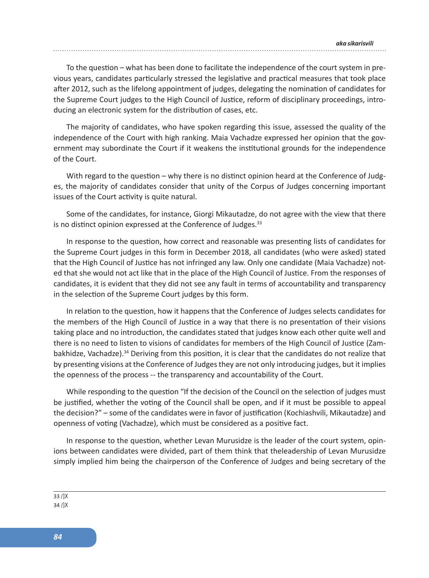To the question – what has been done to facilitate the independence of the court system in previous years, candidates particularly stressed the legislative and practical measures that took place after 2012, such as the lifelong appointment of judges, delegating the nomination of candidates for the Supreme Court judges to the High Council of Justice, reform of disciplinary proceedings, introducing an electronic system for the distribution of cases, etc.

The majority of candidates, who have spoken regarding this issue, assessed the quality of the independence of the Court with high ranking. Maia Vachadze expressed her opinion that the government may subordinate the Court if it weakens the institutional grounds for the independence of the Court.

With regard to the question – why there is no distinct opinion heard at the Conference of Judges, the majority of candidates consider that unity of the Corpus of Judges concerning important issues of the Court activity is quite natural.

Some of the candidates, for instance, Giorgi Mikautadze, do not agree with the view that there is no distinct opinion expressed at the Conference of Judges.<sup>33</sup>

In response to the question, how correct and reasonable was presenting lists of candidates for the Supreme Court judges in this form in December 2018, all candidates (who were asked) stated that the High Council of Justice has not infringed any law. Only one candidate (Maia Vachadze) noted that she would not act like that in the place of the High Council of Justice. From the responses of candidates, it is evident that they did not see any fault in terms of accountability and transparency in the selection of the Supreme Court judges by this form.

In relation to the question, how it happens that the Conference of Judges selects candidates for the members of the High Council of Justice in a way that there is no presentation of their visions taking place and no introduction, the candidates stated that judges know each other quite well and there is no need to listen to visions of candidates for members of the High Council of Justice (Zambakhidze, Vachadze).34 Deriving from this position, it is clear that the candidates do not realize that by presenting visions at the Conference of Judges they are not only introducing judges, but it implies the openness of the process -- the transparency and accountability of the Court.

While responding to the question "If the decision of the Council on the selection of judges must be justified, whether the voting of the Council shall be open, and if it must be possible to appeal the decision?" – some of the candidates were in favor of justification (Kochiashvili, Mikautadze) and openness of voting (Vachadze), which must be considered as a positive fact.

In response to the question, whether Levan Murusidze is the leader of the court system, opinions between candidates were divided, part of them think that theleadership of Levan Murusidze simply implied him being the chairperson of the Conference of Judges and being secretary of the

33 *Ibid.* 34 *Ibid.*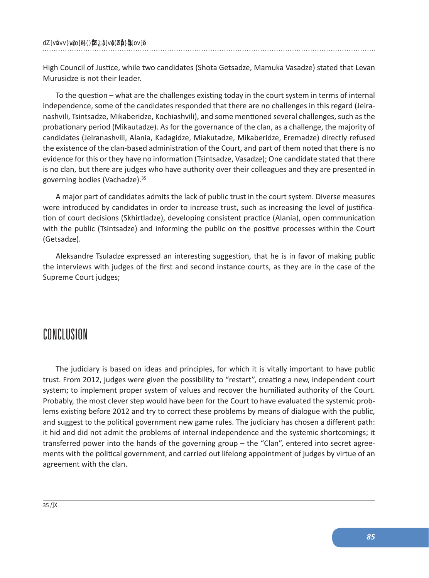*The independence and accountability of courts – the viewpoints of the supreme court judicial candidates*

High Council of Justice, while two candidates (Shota Getsadze, Mamuka Vasadze) stated that Levan Murusidze is not their leader.

To the question – what are the challenges existing today in the court system in terms of internal independence, some of the candidates responded that there are no challenges in this regard (Jeiranashvili, Tsintsadze, Mikaberidze, Kochiashvili), and some mentioned several challenges, such as the probationary period (Mikautadze). As for the governance of the clan, as a challenge, the majority of candidates (Jeiranashvili, Alania, Kadagidze, Miakutadze, Mikaberidze, Eremadze) directly refused the existence of the clan-based administration of the Court, and part of them noted that there is no evidence for this or they have no information (Tsintsadze, Vasadze); One candidate stated that there is no clan, but there are judges who have authority over their colleagues and they are presented in governing bodies (Vachadze).<sup>35</sup>

A major part of candidates admits the lack of public trust in the court system. Diverse measures were introduced by candidates in order to increase trust, such as increasing the level of justification of court decisions (Skhirtladze), developing consistent practice (Alania), open communication with the public (Tsintsadze) and informing the public on the positive processes within the Court (Getsadze).

Aleksandre Tsuladze expressed an interesting suggestion, that he is in favor of making public the interviews with judges of the first and second instance courts, as they are in the case of the Supreme Court judges;

### CONCLUSION

The judiciary is based on ideas and principles, for which it is vitally important to have public trust. From 2012, judges were given the possibility to "restart", creating a new, independent court system; to implement proper system of values and recover the humiliated authority of the Court. Probably, the most clever step would have been for the Court to have evaluated the systemic problems existing before 2012 and try to correct these problems by means of dialogue with the public, and suggest to the political government new game rules. The judiciary has chosen a different path: it hid and did not admit the problems of internal independence and the systemic shortcomings; it transferred power into the hands of the governing group – the "Clan", entered into secret agreements with the political government, and carried out lifelong appointment of judges by virtue of an agreement with the clan.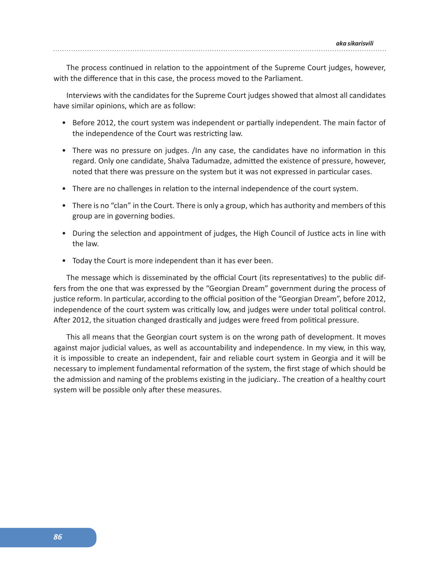The process continued in relation to the appointment of the Supreme Court judges, however, with the difference that in this case, the process moved to the Parliament.

Interviews with the candidates for the Supreme Court judges showed that almost all candidates have similar opinions, which are as follow:

- Before 2012, the court system was independent or partially independent. The main factor of the independence of the Court was restricting law.
- There was no pressure on judges. /In any case, the candidates have no information in this regard. Only one candidate, Shalva Tadumadze, admitted the existence of pressure, however, noted that there was pressure on the system but it was not expressed in particular cases.
- There are no challenges in relation to the internal independence of the court system.
- There is no "clan" in the Court. There is only a group, which has authority and members of this group are in governing bodies.
- During the selection and appointment of judges, the High Council of Justice acts in line with the law.
- Today the Court is more independent than it has ever been.

The message which is disseminated by the official Court (its representatives) to the public differs from the one that was expressed by the "Georgian Dream" government during the process of justice reform. In particular, according to the official position of the "Georgian Dream", before 2012, independence of the court system was critically low, and judges were under total political control. After 2012, the situation changed drastically and judges were freed from political pressure.

This all means that the Georgian court system is on the wrong path of development. It moves against major judicial values, as well as accountability and independence. In my view, in this way, it is impossible to create an independent, fair and reliable court system in Georgia and it will be necessary to implement fundamental reformation of the system, the first stage of which should be the admission and naming of the problems existing in the judiciary.. The creation of a healthy court system will be possible only after these measures.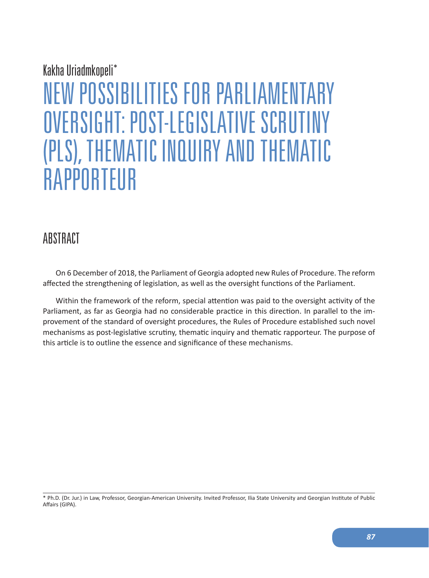# Kakha Uriadmkopeli\* NEW POSSIBILITIES FOR PARLIAMENTARY OVERSIGHT: POST-LEGISLATIVE SCRUTINY (PLS), THEMATIC INQUIRY AND THEMATIC RAPPORTEUR

# **ABSTRACT**

On 6 December of 2018, the Parliament of Georgia adopted new Rules of Procedure. The reform affected the strengthening of legislation, as well as the oversight functions of the Parliament.

Within the framework of the reform, special attention was paid to the oversight activity of the Parliament, as far as Georgia had no considerable practice in this direction. In parallel to the improvement of the standard of oversight procedures, the Rules of Procedure established such novel mechanisms as post-legislative scrutiny, thematic inquiry and thematic rapporteur. The purpose of this article is to outline the essence and significance of these mechanisms.

<sup>\*</sup> Ph.D. (Dr. Jur.) in Law, Professor, Georgian-American University. Invited Professor, Ilia State University and Georgian Institute of Public Affairs (GIPA).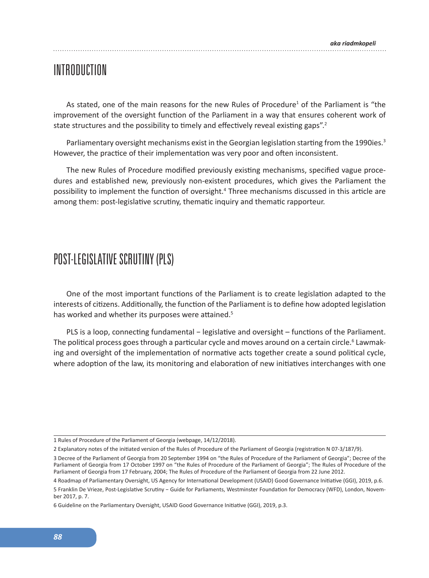### INTRODUCTION

As stated, one of the main reasons for the new Rules of Procedure<sup>1</sup> of the Parliament is "the improvement of the oversight function of the Parliament in a way that ensures coherent work of state structures and the possibility to timely and effectively reveal existing gaps".<sup>2</sup>

Parliamentary oversight mechanisms exist in the Georgian legislation starting from the 1990ies.<sup>3</sup> However, the practice of their implementation was very poor and often inconsistent.

The new Rules of Procedure modified previously existing mechanisms, specified vague procedures and established new, previously non-existent procedures, which gives the Parliament the possibility to implement the function of oversight.<sup>4</sup> Three mechanisms discussed in this article are among them: post-legislative scrutiny, thematic inquiry and thematic rapporteur.

#### POST-LEGISLATIVE SCRUTINY (PLS)

One of the most important functions of the Parliament is to create legislation adapted to the interests of citizens. Additionally, the function of the Parliament is to define how adopted legislation has worked and whether its purposes were attained.<sup>5</sup>

PLS is a loop, connecting fundamental – legislative and oversight – functions of the Parliament. The political process goes through a particular cycle and moves around on a certain circle.<sup>6</sup> Lawmaking and oversight of the implementation of normative acts together create a sound political cycle, where adoption of the law, its monitoring and elaboration of new initiatives interchanges with one

<sup>1</sup> Rules of Procedure of the Parliament of Georgia (webpage, 14/12/2018).

<sup>2</sup> Explanatory notes of the initiated version of the Rules of Procedure of the Parliament of Georgia (registration N 07-3/187/9).

<sup>3</sup> Decree of the Parliament of Georgia from 20 September 1994 on "the Rules of Procedure of the Parliament of Georgia"; Decree of the Parliament of Georgia from 17 October 1997 on "the Rules of Procedure of the Parliament of Georgia"; The Rules of Procedure of the Parliament of Georgia from 17 February, 2004; The Rules of Procedure of the Parliament of Georgia from 22 June 2012.

<sup>4</sup> Roadmap of Parliamentary Oversight, US Agency for International Development (USAID) Good Governance Initiative (GGI), 2019, p.6. 5 Franklin De Vrieze, Post-Legislative Scrutiny − Guide for Parliaments, Westminster Foundation for Democracy (WFD), London, November 2017, p. 7.

<sup>6</sup> Guideline on the Parliamentary Oversight, USAID Good Governance Initiative (GGI), 2019, p.3.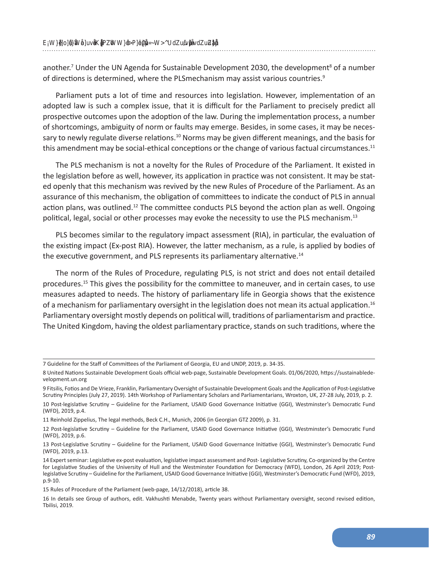*New Possibilities for Parliamentary Oversight: Post-Legislative Scrutiny (PLS), Thematic Inquiry and Thematic Rapporteur*

another.<sup>7</sup> Under the UN Agenda for Sustainable Development 2030, the development<sup>8</sup> of a number of directions is determined, where the PLSmechanism may assist various countries.<sup>9</sup>

Parliament puts a lot of time and resources into legislation. However, implementation of an adopted law is such a complex issue, that it is difficult for the Parliament to precisely predict all prospective outcomes upon the adoption of the law. During the implementation process, a number of shortcomings, ambiguity of norm or faults may emerge. Besides, in some cases, it may be necessary to newly regulate diverse relations.<sup>10</sup> Norms may be given different meanings, and the basis for this amendment may be social-ethical conceptions or the change of various factual circumstances.<sup>11</sup>

The PLS mechanism is not a novelty for the Rules of Procedure of the Parliament. It existed in the legislation before as well, however, its application in practice was not consistent. It may be stated openly that this mechanism was revived by the new Rules of Procedure of the Parliament. As an assurance of this mechanism, the obligation of committees to indicate the conduct of PLS in annual action plans, was outlined.<sup>12</sup> The committee conducts PLS beyond the action plan as well. Ongoing political, legal, social or other processes may evoke the necessity to use the PLS mechanism.<sup>13</sup>

PLS becomes similar to the regulatory impact assessment (RIA), in particular, the evaluation of the existing impact (Ex-post RIA). However, the latter mechanism, as a rule, is applied by bodies of the executive government, and PLS represents its parliamentary alternative.<sup>14</sup>

The norm of the Rules of Procedure, regulating PLS, is not strict and does not entail detailed procedures.15 This gives the possibility for the committee to maneuver, and in certain cases, to use measures adapted to needs. The history of parliamentary life in Georgia shows that the existence of a mechanism for parliamentary oversight in the legislation does not mean its actual application.<sup>16</sup> Parliamentary oversight mostly depends on political will, traditions of parliamentarism and practice. The United Kingdom, having the oldest parliamentary practice, stands on such traditions, where the

<sup>7</sup> Guideline for the Staff of Committees of the Parliament of Georgia, EU and UNDP, 2019, p. 34-35.

<sup>8</sup> United Nations Sustainable Development Goals official web-page, Sustainable Development Goals. 01/06/2020, https://sustainabledevelopment.un.org

<sup>9</sup> Fitsilis, Fotios and De Vrieze, Franklin, Parliamentary Oversight of Sustainable Development Goals and the Application of Post-Legislative Scrutiny Principles (July 27, 2019). 14th Workshop of Parliamentary Scholars and Parliamentarians, Wroxton, UK, 27-28 July, 2019, p. 2. 10 Post-legislative Scrutiny – Guideline for the Parliament, USAID Good Governance Initiative (GGI), Westminster's Democratic Fund (WFD), 2019, p.4.

<sup>11</sup> Reinhold Zippelius, The legal methods, Beck C.H., Munich, 2006 (in Georgian GTZ 2009), p. 31.

<sup>12</sup> Post-legislative Scrutiny – Guideline for the Parliament, USAID Good Governance Initiative (GGI), Westminster's Democratic Fund (WFD), 2019, p.6.

<sup>13</sup> Post-Legislative Scrutiny – Guideline for the Parliament, USAID Good Governance Initiative (GGI), Westminster's Democratic Fund (WFD), 2019, p.13.

<sup>14</sup> Expert seminar: Legislative ex-post evaluation, legislative impact assessment and Post- Legislative Scrutiny, Co-organized by the Centre for Legislative Studies of the University of Hull and the Westminster Foundation for Democracy (WFD), London, 26 April 2019; Postlegislative Scrutiny – Guideline for the Parliament, USAID Good Governance Initiative (GGI), Westminster's Democratic Fund (WFD), 2019, p.9-10.

<sup>15</sup> Rules of Procedure of the Parliament (web-page, 14/12/2018), article 38.

<sup>16</sup> In details see Group of authors, edit. Vakhushti Menabde, Twenty years without Parliamentary oversight, second revised edition, Tbilisi, 2019.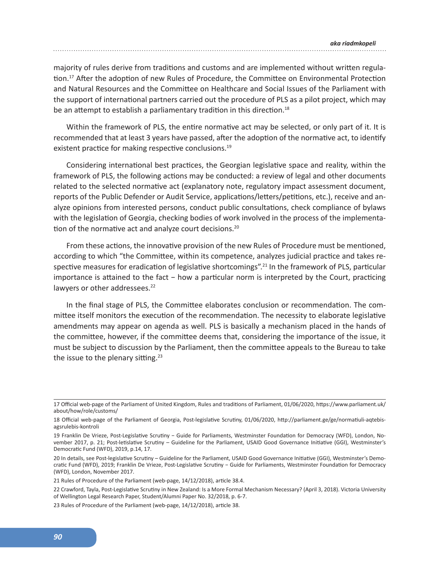majority of rules derive from traditions and customs and are implemented without written regulation.17 After the adoption of new Rules of Procedure, the Committee on Environmental Protection and Natural Resources and the Committee on Healthcare and Social Issues of the Parliament with the support of international partners carried out the procedure of PLS as a pilot project, which may be an attempt to establish a parliamentary tradition in this direction.<sup>18</sup>

Within the framework of PLS, the entire normative act may be selected, or only part of it. It is recommended that at least 3 years have passed, after the adoption of the normative act, to identify existent practice for making respective conclusions.<sup>19</sup>

Considering international best practices, the Georgian legislative space and reality, within the framework of PLS, the following actions may be conducted: a review of legal and other documents related to the selected normative act (explanatory note, regulatory impact assessment document, reports of the Public Defender or Audit Service, applications/letters/petitions, etc.), receive and analyze opinions from interested persons, conduct public consultations, check compliance of bylaws with the legislation of Georgia, checking bodies of work involved in the process of the implementation of the normative act and analyze court decisions.<sup>20</sup>

From these actions, the innovative provision of the new Rules of Procedure must be mentioned, according to which "the Committee, within its competence, analyzes judicial practice and takes respective measures for eradication of legislative shortcomings".<sup>21</sup> In the framework of PLS, particular importance is attained to the fact − how a particular norm is interpreted by the Court, practicing lawyers or other addressees.<sup>22</sup>

In the final stage of PLS, the Committee elaborates conclusion or recommendation. The committee itself monitors the execution of the recommendation. The necessity to elaborate legislative amendments may appear on agenda as well. PLS is basically a mechanism placed in the hands of the committee, however, if the committee deems that, considering the importance of the issue, it must be subject to discussion by the Parliament, then the committee appeals to the Bureau to take the issue to the plenary sitting.<sup>23</sup>

<sup>17</sup> Official web-page of the Parliament of United Kingdom, Rules and traditions of Parliament, 01/06/2020, https://www.parliament.uk/ about/how/role/customs/

<sup>18</sup> Official web-page of the Parliament of Georgia, Post-legislative Scrutiny, 01/06/2020, http://parliament.ge/ge/normatiuli-aqtebisagsrulebis-kontroli

<sup>19</sup> Franklin De Vrieze, Post-Legislative Scrutiny − Guide for Parliaments, Westminster Foundation for Democracy (WFD), London, November 2017, p. 21; Post-letislative Scrutiny – Guideline for the Parliament, USAID Good Governance Initiative (GGI), Westminster's Democratic Fund (WFD), 2019, p.14, 17.

<sup>20</sup> In details, see Post-legislative Scrutiny – Guideline for the Parliament, USAID Good Governance Initiative (GGI), Westminster's Democratic Fund (WFD), 2019; Franklin De Vrieze, Post-Legislative Scrutiny − Guide for Parliaments, Westminster Foundation for Democracy (WFD), London, November 2017.

<sup>21</sup> Rules of Procedure of the Parliament (web-page, 14/12/2018), article 38.4.

<sup>22</sup> Crawford, Tayla, Post-Legislative Scrutiny in New Zealand: Is a More Formal Mechanism Necessary? (April 3, 2018). Victoria University of Wellington Legal Research Paper, Student/Alumni Paper No. 32/2018, p. 6-7.

<sup>23</sup> Rules of Procedure of the Parliament (web-page, 14/12/2018), article 38.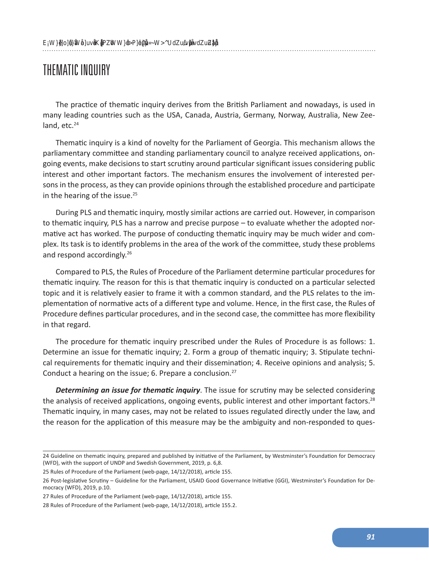*New Possibilities for Parliamentary Oversight: Post-Legislative Scrutiny (PLS), Thematic Inquiry and Thematic Rapporteur*

# THEMATIC INQUIRY

The practice of thematic inquiry derives from the British Parliament and nowadays, is used in many leading countries such as the USA, Canada, Austria, Germany, Norway, Australia, New Zeeland, etc.<sup>24</sup>

Thematic inquiry is a kind of novelty for the Parliament of Georgia. This mechanism allows the parliamentary committee and standing parliamentary council to analyze received applications, ongoing events, make decisions to start scrutiny around particular significant issues considering public interest and other important factors. The mechanism ensures the involvement of interested persons in the process, as they can provide opinions through the established procedure and participate in the hearing of the issue. $25$ 

During PLS and thematic inquiry, mostly similar actions are carried out. However, in comparison to thematic inquiry, PLS has a narrow and precise purpose – to evaluate whether the adopted normative act has worked. The purpose of conducting thematic inquiry may be much wider and complex. Its task is to identify problems in the area of the work of the committee, study these problems and respond accordingly.<sup>26</sup>

Compared to PLS, the Rules of Procedure of the Parliament determine particular procedures for thematic inquiry. The reason for this is that thematic inquiry is conducted on a particular selected topic and it is relatively easier to frame it with a common standard, and the PLS relates to the implementation of normative acts of a different type and volume. Hence, in the first case, the Rules of Procedure defines particular procedures, and in the second case, the committee has more flexibility in that regard.

The procedure for thematic inquiry prescribed under the Rules of Procedure is as follows: 1. Determine an issue for thematic inquiry; 2. Form a group of thematic inquiry; 3. Stipulate technical requirements for thematic inquiry and their dissemination; 4. Receive opinions and analysis; 5. Conduct a hearing on the issue; 6. Prepare a conclusion.27

*Determining an issue for thematic inquiry*. The issue for scrutiny may be selected considering the analysis of received applications, ongoing events, public interest and other important factors.<sup>28</sup> Thematic inquiry, in many cases, may not be related to issues regulated directly under the law, and the reason for the application of this measure may be the ambiguity and non-responded to ques-

<sup>24</sup> Guideline on thematic inquiry, prepared and published by initiative of the Parliament, by Westminster's Foundation for Democracy (WFD), with the support of UNDP and Swedish Government, 2019, p. 6,8.

<sup>25</sup> Rules of Procedure of the Parliament (web-page, 14/12/2018), article 155.

<sup>26</sup> Post-legislative Scrutiny – Guideline for the Parliament, USAID Good Governance Initiative (GGI), Westminster's Foundation for Democracy (WFD), 2019, p.10.

<sup>27</sup> Rules of Procedure of the Parliament (web-page, 14/12/2018), article 155.

<sup>28</sup> Rules of Procedure of the Parliament (web-page, 14/12/2018), article 155.2.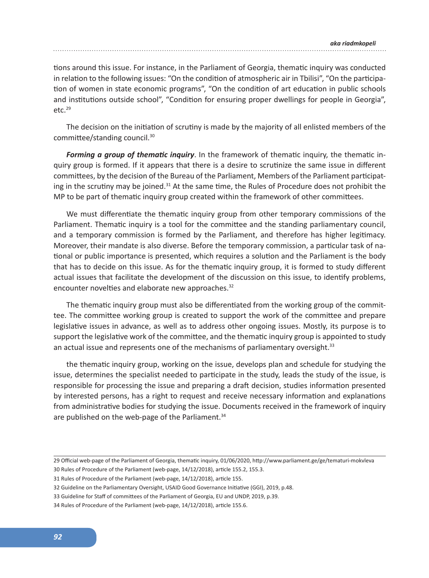tions around this issue. For instance, in the Parliament of Georgia, thematic inquiry was conducted in relation to the following issues: "On the condition of atmospheric air in Tbilisi", "On the participation of women in state economic programs", "On the condition of art education in public schools and institutions outside school", "Condition for ensuring proper dwellings for people in Georgia",  $etc.<sup>29</sup>$ 

The decision on the initiation of scrutiny is made by the majority of all enlisted members of the committee/standing council.30

*Forming a group of thematic inquiry*. In the framework of thematic inquiry, the thematic inquiry group is formed. If it appears that there is a desire to scrutinize the same issue in different committees, by the decision of the Bureau of the Parliament, Members of the Parliament participating in the scrutiny may be joined.<sup>31</sup> At the same time, the Rules of Procedure does not prohibit the MP to be part of thematic inquiry group created within the framework of other committees.

We must differentiate the thematic inquiry group from other temporary commissions of the Parliament. Thematic inquiry is a tool for the committee and the standing parliamentary council, and a temporary commission is formed by the Parliament, and therefore has higher legitimacy. Moreover, their mandate is also diverse. Before the temporary commission, a particular task of national or public importance is presented, which requires a solution and the Parliament is the body that has to decide on this issue. As for the thematic inquiry group, it is formed to study different actual issues that facilitate the development of the discussion on this issue, to identify problems, encounter novelties and elaborate new approaches.<sup>32</sup>

The thematic inquiry group must also be differentiated from the working group of the committee. The committee working group is created to support the work of the committee and prepare legislative issues in advance, as well as to address other ongoing issues. Mostly, its purpose is to support the legislative work of the committee, and the thematic inquiry group is appointed to study an actual issue and represents one of the mechanisms of parliamentary oversight. $33$ 

the thematic inquiry group, working on the issue, develops plan and schedule for studying the issue, determines the specialist needed to participate in the study, leads the study of the issue, is responsible for processing the issue and preparing a draft decision, studies information presented by interested persons, has a right to request and receive necessary information and explanations from administrative bodies for studying the issue. Documents received in the framework of inquiry are published on the web-page of the Parliament.<sup>34</sup>

<sup>29</sup> Official web-page of the Parliament of Georgia, thematic inquiry, 01/06/2020, http://www.parliament.ge/ge/tematuri-mokvleva

<sup>30</sup> Rules of Procedure of the Parliament (web-page, 14/12/2018), article 155.2, 155.3.

<sup>31</sup> Rules of Procedure of the Parliament (web-page, 14/12/2018), article 155.

<sup>32</sup> Guideline on the Parliamentary Oversight, USAID Good Governance Initiative (GGI), 2019, p.48.

<sup>33</sup> Guideline for Staff of committees of the Parliament of Georgia, EU and UNDP, 2019, p.39.

<sup>34</sup> Rules of Procedure of the Parliament (web-page, 14/12/2018), article 155.6.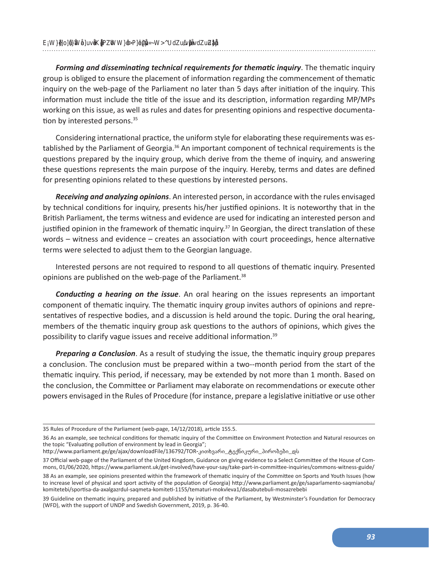*New Possibilities for Parliamentary Oversight: Post-Legislative Scrutiny (PLS), Thematic Inquiry and Thematic Rapporteur*

*Forming and disseminating technical requirements for thematic inquiry*. The thematic inquiry group is obliged to ensure the placement of information regarding the commencement of thematic inquiry on the web-page of the Parliament no later than 5 days after initiation of the inquiry. This information must include the title of the issue and its description, information regarding MP/MPs working on this issue, as well as rules and dates for presenting opinions and respective documentation by interested persons.<sup>35</sup>

Considering international practice, the uniform style for elaborating these requirements was established by the Parliament of Georgia.<sup>36</sup> An important component of technical requirements is the questions prepared by the inquiry group, which derive from the theme of inquiry, and answering these questions represents the main purpose of the inquiry. Hereby, terms and dates are defined for presenting opinions related to these questions by interested persons.

*Receiving and analyzing opinions*. An interested person, in accordance with the rules envisaged by technical conditions for inquiry, presents his/her justified opinions. It is noteworthy that in the British Parliament, the terms witness and evidence are used for indicating an interested person and justified opinion in the framework of thematic inquiry.<sup>37</sup> In Georgian, the direct translation of these words – witness and evidence – creates an association with court proceedings, hence alternative terms were selected to adjust them to the Georgian language.

Interested persons are not required to respond to all questions of thematic inquiry. Presented opinions are published on the web-page of the Parliament.<sup>38</sup>

*Conducting a hearing on the issue*. An oral hearing on the issues represents an important component of thematic inquiry. The thematic inquiry group invites authors of opinions and representatives of respective bodies, and a discussion is held around the topic. During the oral hearing, members of the thematic inquiry group ask questions to the authors of opinions, which gives the possibility to clarify vague issues and receive additional information.39

*Preparing a Conclusion*. As a result of studying the issue, the thematic inquiry group prepares a conclusion. The conclusion must be prepared within a two--month period from the start of the thematic inquiry. This period, if necessary, may be extended by not more than 1 month. Based on the conclusion, the Committee or Parliament may elaborate on recommendations or execute other powers envisaged in the Rules of Procedure (for instance, prepare a legislative initiative or use other

<sup>35</sup> Rules of Procedure of the Parliament (web-page, 14/12/2018), article 155.5.

<sup>36</sup> As an example, see technical conditions for thematic inquiry of the Committee on Environment Protection and Natural resources on the topic "Evaluating pollution of environment by lead in Georgia";

http://www.parliament.ge/ge/ajax/downloadFile/136792/TOR-კითხვარი\_ტექნიკური\_პირობები\_დს

<sup>37</sup> Official web-page of the Parliament of the United Kingdom, Guidance on giving evidence to a Select Committee of the House of Commons, 01/06/2020, https://www.parliament.uk/get-involved/have-your-say/take-part-in-committee-inquiries/commons-witness-guide/ 38 As an example, see opinions presented within the framework of thematic inquiry of the Committee on Sports and Youth Issues (how to increase level of physical and sport activity of the population of Georgia) http://www.parliament.ge/ge/saparlamento-saqmianoba/

komitetebi/sportisa-da-axalgazrdul-saqmeta-komiteti-1155/tematuri-mokvleva1/dasabutebuli-mosazrebebi

<sup>39</sup> Guideline on thematic inquiry, prepared and published by initiative of the Parliament, by Westminster's Foundation for Democracy (WFD), with the support of UNDP and Swedish Government, 2019, p. 36-40.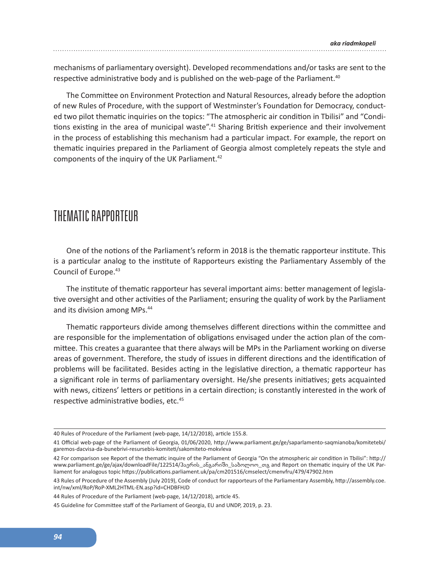mechanisms of parliamentary oversight). Developed recommendations and/or tasks are sent to the respective administrative body and is published on the web-page of the Parliament.<sup>40</sup>

The Committee on Environment Protection and Natural Resources, already before the adoption of new Rules of Procedure, with the support of Westminster's Foundation for Democracy, conducted two pilot thematic inquiries on the topics: "The atmospheric air condition in Tbilisi" and "Conditions existing in the area of municipal waste".<sup>41</sup> Sharing British experience and their involvement in the process of establishing this mechanism had a particular impact. For example, the report on thematic inquiries prepared in the Parliament of Georgia almost completely repeats the style and components of the inquiry of the UK Parliament.<sup>42</sup>

#### THEMATIC RAPPORTEUR

One of the notions of the Parliament's reform in 2018 is the thematic rapporteur institute. This is a particular analog to the institute of Rapporteurs existing the Parliamentary Assembly of the Council of Europe.43

The institute of thematic rapporteur has several important aims: better management of legislative oversight and other activities of the Parliament; ensuring the quality of work by the Parliament and its division among MPs.<sup>44</sup>

Thematic rapporteurs divide among themselves different directions within the committee and are responsible for the implementation of obligations envisaged under the action plan of the committee. This creates a guarantee that there always will be MPs in the Parliament working on diverse areas of government. Therefore, the study of issues in different directions and the identification of problems will be facilitated. Besides acting in the legislative direction, a thematic rapporteur has a significant role in terms of parliamentary oversight. He/she presents initiatives; gets acquainted with news, citizens' letters or petitions in a certain direction; is constantly interested in the work of respective administrative bodies, etc.<sup>45</sup>

<sup>40</sup> Rules of Procedure of the Parliament (web-page, 14/12/2018), article 155.8.

<sup>41</sup> Official web-page of the Parliament of Georgia, 01/06/2020, http://www.parliament.ge/ge/saparlamento-saqmianoba/komitetebi/ garemos-dacvisa-da-bunebrivi-resursebis-komiteti/sakomiteto-mokvleva

<sup>42</sup> For comparison see Report of the thematic inquire of the Parliament of Georgia "On the atmospheric air condition in Tbilisi": http:// www.parliament.ge/ge/ajax/downloadFile/122514/ჰაერის\_ანგარიში\_საბოლოო\_თგ and Report on thematic inquiry of the UK Parliament for analogous topic https://publications.parliament.uk/pa/cm201516/cmselect/cmenvfru/479/47902.htm

<sup>43</sup> Rules of Procedure of the Assembly (July 2019), Code of conduct for rapporteurs of the Parliamentary Assembly, http://assembly.coe. int/nw/xml/RoP/RoP-XML2HTML-EN.asp?id=CHDBFHJD

<sup>44</sup> Rules of Procedure of the Parliament (web-page, 14/12/2018), article 45.

<sup>45</sup> Guideline for Committee staff of the Parliament of Georgia, EU and UNDP, 2019, p. 23.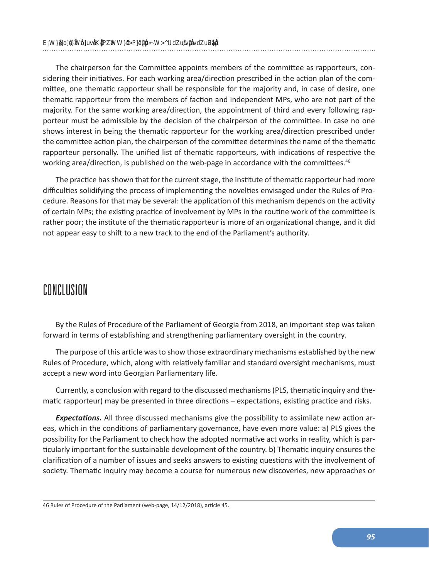*New Possibilities for Parliamentary Oversight: Post-Legislative Scrutiny (PLS), Thematic Inquiry and Thematic Rapporteur*

The chairperson for the Committee appoints members of the committee as rapporteurs, considering their initiatives. For each working area/direction prescribed in the action plan of the committee, one thematic rapporteur shall be responsible for the majority and, in case of desire, one thematic rapporteur from the members of faction and independent MPs, who are not part of the majority. For the same working area/direction, the appointment of third and every following rapporteur must be admissible by the decision of the chairperson of the committee. In case no one shows interest in being the thematic rapporteur for the working area/direction prescribed under the committee action plan, the chairperson of the committee determines the name of the thematic rapporteur personally. The unified list of thematic rapporteurs, with indications of respective the working area/direction, is published on the web-page in accordance with the committees.<sup>46</sup>

The practice has shown that for the current stage, the institute of thematic rapporteur had more difficulties solidifying the process of implementing the novelties envisaged under the Rules of Procedure. Reasons for that may be several: the application of this mechanism depends on the activity of certain MPs; the existing practice of involvement by MPs in the routine work of the committee is rather poor; the institute of the thematic rapporteur is more of an organizational change, and it did not appear easy to shift to a new track to the end of the Parliament's authority.

#### CONCLUSION

By the Rules of Procedure of the Parliament of Georgia from 2018, an important step was taken forward in terms of establishing and strengthening parliamentary oversight in the country.

The purpose of this article was to show those extraordinary mechanisms established by the new Rules of Procedure, which, along with relatively familiar and standard oversight mechanisms, must accept a new word into Georgian Parliamentary life.

Currently, a conclusion with regard to the discussed mechanisms (PLS, thematic inquiry and thematic rapporteur) may be presented in three directions – expectations, existing practice and risks.

*Expectations.* All three discussed mechanisms give the possibility to assimilate new action areas, which in the conditions of parliamentary governance, have even more value: a) PLS gives the possibility for the Parliament to check how the adopted normative act works in reality, which is particularly important for the sustainable development of the country. b) Thematic inquiry ensures the clarification of a number of issues and seeks answers to existing questions with the involvement of society. Thematic inquiry may become a course for numerous new discoveries, new approaches or

<sup>46</sup> Rules of Procedure of the Parliament (web-page, 14/12/2018), article 45.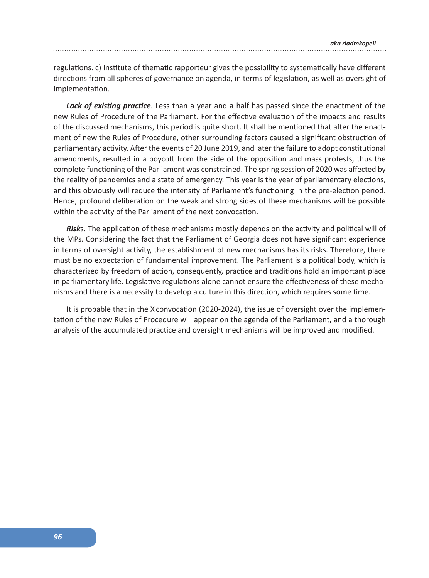regulations. c) Institute of thematic rapporteur gives the possibility to systematically have different directions from all spheres of governance on agenda, in terms of legislation, as well as oversight of implementation.

*Lack of existing practice*. Less than a year and a half has passed since the enactment of the new Rules of Procedure of the Parliament. For the effective evaluation of the impacts and results of the discussed mechanisms, this period is quite short. It shall be mentioned that after the enactment of new the Rules of Procedure, other surrounding factors caused a significant obstruction of parliamentary activity. After the events of 20 June 2019, and later the failure to adopt constitutional amendments, resulted in a boycott from the side of the opposition and mass protests, thus the complete functioning of the Parliament was constrained. The spring session of 2020 was affected by the reality of pandemics and a state of emergency. This year is the year of parliamentary elections, and this obviously will reduce the intensity of Parliament's functioning in the pre-election period. Hence, profound deliberation on the weak and strong sides of these mechanisms will be possible within the activity of the Parliament of the next convocation.

*Risk*s. The application of these mechanisms mostly depends on the activity and political will of the MPs. Considering the fact that the Parliament of Georgia does not have significant experience in terms of oversight activity, the establishment of new mechanisms has its risks. Therefore, there must be no expectation of fundamental improvement. The Parliament is a political body, which is characterized by freedom of action, consequently, practice and traditions hold an important place in parliamentary life. Legislative regulations alone cannot ensure the effectiveness of these mechanisms and there is a necessity to develop a culture in this direction, which requires some time.

It is probable that in the X convocation (2020-2024), the issue of oversight over the implementation of the new Rules of Procedure will appear on the agenda of the Parliament, and a thorough analysis of the accumulated practice and oversight mechanisms will be improved and modified.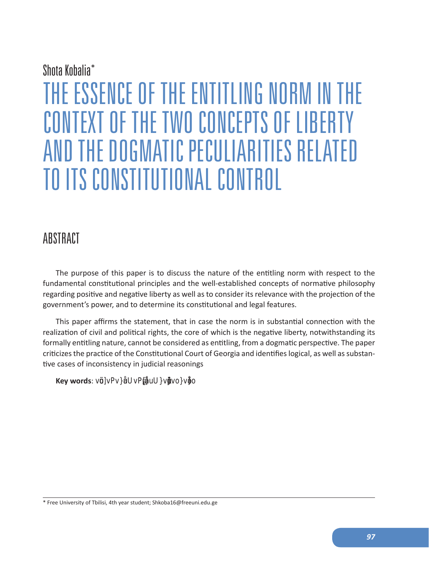# Shota Kohalia<sup>\*</sup> THE ESSENCE OF THE ENTITLING NORM IN THE CONTEXT OF THE TWO CONCEPTS OF LIBERTY AND THE DOGMATIC PECULIARITIES RELATED TO ITS CONSTITUTIONAL CONTROL

# **ABSTRACT**

The purpose of this paper is to discuss the nature of the entitling norm with respect to the fundamental constitutional principles and the well-established concepts of normative philosophy regarding positive and negative liberty as well as to consider its relevance with the projection of the government's power, and to determine its constitutional and legal features.

This paper affirms the statement, that in case the norm is in substantial connection with the realization of civil and political rights, the core of which is the negative liberty, notwithstanding its formally entitling nature, cannot be considered as entitling, from a dogmatic perspective. The paper criticizes the practice of the Constitutional Court of Georgia and identifies logical, as well as substantive cases of inconsistency in judicial reasonings

**Key words**: *entitling norm, negative freedom, constitutional control*

<sup>\*</sup> Free University of Tbilisi, 4th year student; Shkoba16@freeuni.edu.ge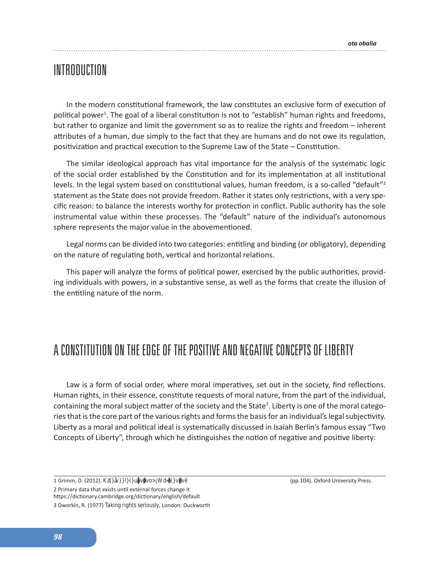#### INTRODUCTION

In the modern constitutional framework, the law constitutes an exclusive form of execution of political power<sup>1</sup>. The goal of a liberal constitution is not to "establish" human rights and freedoms, but rather to organize and limit the government so as to realize the rights and freedom – inherent attributes of a human, due simply to the fact that they are humans and do not owe its regulation, positivization and practical execution to the Supreme Law of the State – Constitution.

The similar ideological approach has vital importance for the analysis of the systematic logic of the social order established by the Constitution and for its implementation at all institutional levels. In the legal system based on constitutional values, human freedom, is a so-called "default"<sup>2</sup> statement as the State does not provide freedom. Rather it states only restrictions, with a very specific reason: to balance the interests worthy for protection in conflict. Public authority has the sole instrumental value within these processes. The "default" nature of the individual's autonomous sphere represents the major value in the abovementioned.

Legal norms can be divided into two categories: entitling and binding (or obligatory), depending on the nature of regulating both, vertical and horizontal relations.

This paper will analyze the forms of political power, exercised by the public authorities, providing individuals with powers, in a substantive sense, as well as the forms that create the illusion of the entitling nature of the norm.

### A CONSTITUTION ON THE EDGE OF THE POSITIVE AND NEGATIVE CONCEPTS OF LIBERTY

Law is a form of social order, where moral imperatives, set out in the society, find reflections. Human rights, in their essence, constitute requests of moral nature, from the part of the individual, containing the moral subject matter of the society and the State<sup>3</sup>. Liberty is one of the moral categories that is the core part of the various rights and forms the basis for an individual's legal subjectivity. Liberty as a moral and political ideal is systematically discussed in Isaiah Berlin's famous essay "Two Concepts of Liberty", through which he distinguishes the notion of negative and positive liberty:

1 Grimm, D. (2012). *Oxford Handbook of Comparative Constitutional Law: Types of Constitutions* (pp.104). Oxford University Press.

2 Primary data that exists until external forces change it

https://dictionary.cambridge.org/dictionary/english/default

3 Dworkin, R. (1977) *Taking rights seriously*, London: Duckworth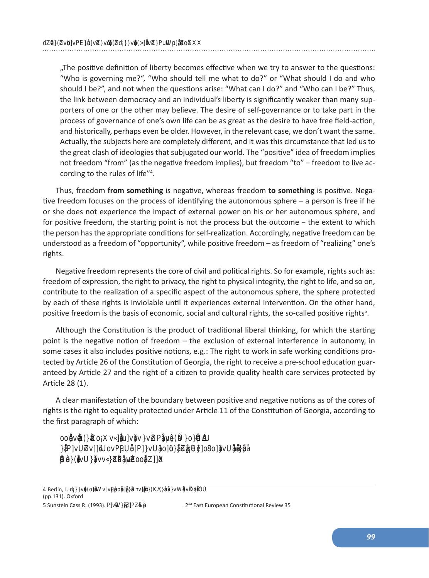*The Essence of the Entitling Norm in the Context of the Two Concepts of Liberty and the Dogmatic Peculiarities Related...*

"The positive definition of liberty becomes effective when we try to answer to the questions: "Who is governing me?", "Who should tell me what to do?" or "What should I do and who should I be?", and not when the questions arise: "What can I do?" and "Who can I be?" Thus, the link between democracy and an individual's liberty is significantly weaker than many supporters of one or the other may believe. The desire of self-governance or to take part in the process of governance of one's own life can be as great as the desire to have free field-action, and historically, perhaps even be older. However, in the relevant case, we don't want the same. Actually, the subjects here are completely different, and it was this circumstance that led us to the great clash of ideologies that subjugated our world. The "positive" idea of freedom implies not freedom "from" (as the negative freedom implies), but freedom "to" − freedom to live according to the rules of life"4 .

Thus, freedom **from something** is negative, whereas freedom **to something** is positive. Negative freedom focuses on the process of identifying the autonomous sphere – a person is free if he or she does not experience the impact of external power on his or her autonomous sphere, and for positive freedom, the starting point is not the process but the outcome − the extent to which the person has the appropriate conditions for self-realization. Accordingly, negative freedom can be understood as a freedom of "opportunity", while positive freedom – as freedom of "realizing" one's rights.

Negative freedom represents the core of civil and political rights. So for example, rights such as: freedom of expression, the right to privacy, the right to physical integrity, the right to life, and so on, contribute to the realization of a specific aspect of the autonomous sphere, the sphere protected by each of these rights is inviolable until it experiences external intervention. On the other hand, positive freedom is the basis of economic, social and cultural rights, the so-called positive rights<sup>5</sup>.

Although the Constitution is the product of traditional liberal thinking, for which the starting point is the negative notion of freedom – the exclusion of external interference in autonomy, in some cases it also includes positive notions, e.g.: The right to work in safe working conditions protected by Article 26 of the Constitution of Georgia, the right to receive a pre-school education guaranteed by Article 27 and the right of a citizen to provide quality health care services protected by Article 28 (1).

A clear manifestation of the boundary between positive and negative notions as of the cores of rights is the right to equality protected under Article 11 of the Constitution of Georgia, according to the first paragraph of which:

*All persons are equal before the law. Any discrimination on the grounds of race, colour, sex, origin, ethnicity, language, religion, political or other views, social affiliation, property or titular status, place of residence, or on any other grounds shall be prohibited.*

<sup>4</sup> Berlin, I. *Two concepts of liberty: an inaugural lecture delivered before the University of Oxford Clarendon Press on 31 October 1958* (pp.131). Oxford

<sup>5</sup> Sunstein Cass R. (1993). *Against Positive Rights Feature*. 2nd East European Constitutional Review 35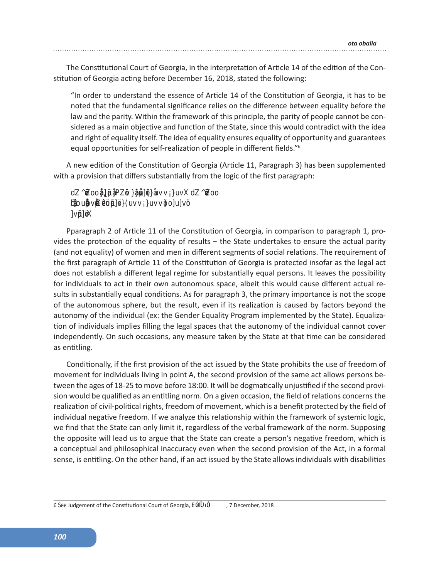The Constitutional Court of Georgia, in the interpretation of Article 14 of the edition of the Constitution of Georgia acting before December 16, 2018, stated the following:

"In order to understand the essence of Article 14 of the Constitution of Georgia, it has to be noted that the fundamental significance relies on the difference between equality before the law and the parity. Within the framework of this principle, the parity of people cannot be considered as a main objective and function of the State, since this would contradict with the idea and right of equality itself. The idea of equality ensures equality of opportunity and guarantees equal opportunities for self-realization of people in different fields."6

A new edition of the Constitution of Georgia (Article 11, Paragraph 3) has been supplemented with a provision that differs substantially from the logic of the first paragraph:

*The State shall provide equal rights and opportunities for men and women. The State shall take special measures to ensure the essential equality of men and women and to eliminate inequality.*

Pparagraph 2 of Article 11 of the Constitution of Georgia, in comparison to paragraph 1, provides the protection of the equality of results − the State undertakes to ensure the actual parity (and not equality) of women and men in different segments of social relations. The requirement of the first paragraph of Article 11 of the Constitution of Georgia is protected insofar as the legal act does not establish a different legal regime for substantially equal persons. It leaves the possibility for individuals to act in their own autonomous space, albeit this would cause different actual results in substantially equal conditions. As for paragraph 3, the primary importance is not the scope of the autonomous sphere, but the result, even if its realization is caused by factors beyond the autonomy of the individual (ex: the Gender Equality Program implemented by the State). Equalization of individuals implies filling the legal spaces that the autonomy of the individual cannot cover independently. On such occasions, any measure taken by the State at that time can be considered as entitling.

Conditionally, if the first provision of the act issued by the State prohibits the use of freedom of movement for individuals living in point A, the second provision of the same act allows persons between the ages of 18-25 to move before 18:00. It will be dogmatically unjustified if the second provision would be qualified as an entitling norm. On a given occasion, the field of relations concerns the realization of civil-political rights, freedom of movement, which is a benefit protected by the field of individual negative freedom. If we analyze this relationship within the framework of systemic logic, we find that the State can only limit it, regardless of the verbal framework of the norm. Supposing the opposite will lead us to argue that the State can create a person's negative freedom, which is a conceptual and philosophical inaccuracy even when the second provision of the Act, in a formal sense, is entitling. On the other hand, if an act issued by the State allows individuals with disabilities

6 *See* Judgement of the Constitutional Court of Georgia, *N2/9/810,927*, 7 December, 2018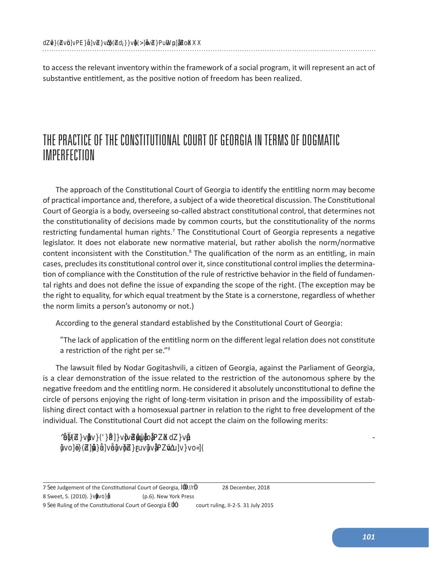*The Essence of the Entitling Norm in the Context of the Two Concepts of Liberty and the Dogmatic Peculiarities Related...*

to access the relevant inventory within the framework of a social program, it will represent an act of substantive entitlement, as the positive notion of freedom has been realized.

# THE PRACTICE OF THE CONSTITUTIONAL COURT OF GEORGIA IN TERMS OF DOGMATIC IMPERFECTION

The approach of the Constitutional Court of Georgia to identify the entitling norm may become of practical importance and, therefore, a subject of a wide theoretical discussion. The Constitutional Court of Georgia is a body, overseeing so-called abstract constitutional control, that determines not the constitutionality of decisions made by common courts, but the constitutionality of the norms restricting fundamental human rights.<sup>7</sup> The Constitutional Court of Georgia represents a negative legislator. It does not elaborate new normative material, but rather abolish the norm/normative content inconsistent with the Constitution.<sup>8</sup> The qualification of the norm as an entitling, in main cases, precludes its constitutional control over it, since constitutional control implies the determination of compliance with the Constitution of the rule of restrictive behavior in the field of fundamental rights and does not define the issue of expanding the scope of the right. (The exception may be the right to equality, for which equal treatment by the State is a cornerstone, regardless of whether the norm limits a person's autonomy or not.)

According to the general standard established by the Constitutional Court of Georgia:

*"*The lack of application of the entitling norm on the different legal relation does not constitute a restriction of the right per se."<sup>9</sup>

The lawsuit filed by Nodar Gogitashvili, a citizen of Georgia, against the Parliament of Georgia, is a clear demonstration of the issue related to the restriction of the autonomous sphere by the negative freedom and the entitling norm. He considered it absolutely unconstitutional to define the circle of persons enjoying the right of long-term visitation in prison and the impossibility of establishing direct contact with a homosexual partner in relation to the right to free development of the individual. The Constitutional Court did not accept the claim on the following merits:

*"Article 16 of the Constitution of Georgia contains the substantive material right. The constitutionality of the disputed norm in relation to the above-mentioned right can be examined only if* 

7 *See* Judgement of the Constitutional Court of Georgia, *1/23/824, II -13,* 28 December, 2018

<sup>8</sup> Sweet, S. (2010). *Constitutional Courts* (p.6). New York Press

<sup>9</sup> *See* Ruling of the Constitutional Court of Georgia *N2/11/654* court ruling, II-2-5. 31 July 2015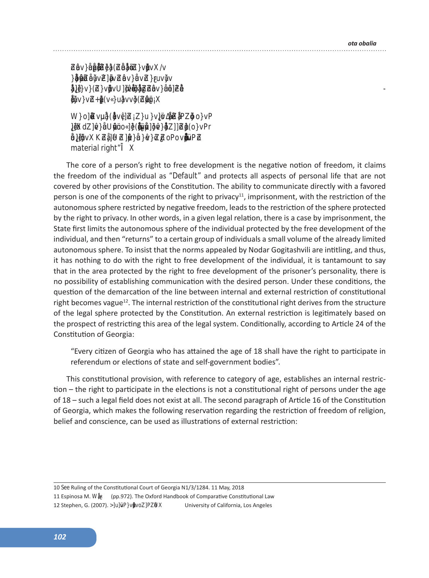*the appealed normative rule restricts the scope of the article protected by the Constitution. In order to substantiate the relationship between the appealed norm and the above-mentioned provision of the Constitution, it is necessary to prove that the appealed norm establishes a restriction on the effective use of any component of the substantive law.*

*PACE Code lists the number of persons with whom a convict can exercise the right to a long visit. This norm, substantially is of a restrictive nature and it does not prohibit the use of longterm visitation. Otherwise, the disputed norm does not have the legal nature restricting the material right"10.*

The core of a person's right to free development is the negative notion of freedom, it claims the freedom of the individual as *"Default"* and protects all aspects of personal life that are not covered by other provisions of the Constitution. The ability to communicate directly with a favored person is one of the components of the right to privacy<sup>11</sup>, imprisonment, with the restriction of the autonomous sphere restricted by negative freedom, leads to the restriction of the sphere protected by the right to privacy. In other words, in a given legal relation, there is a case by imprisonment, the State first limits the autonomous sphere of the individual protected by the free development of the individual, and then "returns" to a certain group of individuals a small volume of the already limited autonomous sphere. To insist that the norms appealed by Nodar Gogitashvili are intitling, and thus, it has nothing to do with the right to free development of the individual, it is tantamount to say that in the area protected by the right to free development of the prisoner's personality, there is no possibility of establishing communication with the desired person. Under these conditions, the question of the demarcation of the line between internal and external restriction of constitutional right becomes vague<sup>12</sup>. The internal restriction of the constitutional right derives from the structure of the legal sphere protected by the Constitution. An external restriction is legitimately based on the prospect of restricting this area of the legal system. Conditionally, according to Article 24 of the Constitution of Georgia:

"Every citizen of Georgia who has attained the age of 18 shall have the right to participate in referendum or elections of state and self-government bodies".

This constitutional provision, with reference to category of age, establishes an internal restriction – the right to participate in the elections is not a constitutional right of persons under the age of 18 – such a legal field does not exist at all. The second paragraph of Article 16 of the Constitution of Georgia, which makes the following reservation regarding the restriction of freedom of religion, belief and conscience, can be used as illustrations of external restriction:

<sup>10</sup> *See* Ruling of the Constitutional Court of Georgia N1/3/1284. 11 May, 2018

<sup>11</sup> Espinosa M. *Privacy* (pp.972). The Oxford Handbook of Comparative Constitutional Law

<sup>12</sup> Stephen, G. (2007). *Limiting Constitutional Rights,.*University of California, Los Angeles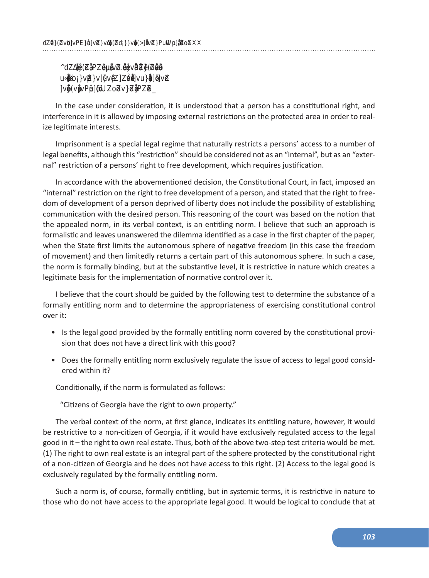*The Essence of the Entitling Norm in the Context of the Two Concepts of Liberty and the Dogmatic Peculiarities Related...*

*"The exercise of the rights enumerated in the first and second paragraphs of the present Article may be restricted by law on such conditions which are necessary in a democratic society in the interests of ensuring public safety, health and others rights."*

In the case under consideration, it is understood that a person has a constitutional right, and interference in it is allowed by imposing external restrictions on the protected area in order to realize legitimate interests.

Imprisonment is a special legal regime that naturally restricts a persons' access to a number of legal benefits, although this "restriction" should be considered not as an "internal", but as an "external" restriction of a persons' right to free development, which requires justification.

In accordance with the abovementioned decision, the Constitutional Court, in fact, imposed an "internal" restriction on the right to free development of a person, and stated that the right to freedom of development of a person deprived of liberty does not include the possibility of establishing communication with the desired person. This reasoning of the court was based on the notion that the appealed norm, in its verbal context, is an entitling norm. I believe that such an approach is formalistic and leaves unanswered the dilemma identified as a case in the first chapter of the paper, when the State first limits the autonomous sphere of negative freedom (in this case the freedom of movement) and then limitedly returns a certain part of this autonomous sphere. In such a case, the norm is formally binding, but at the substantive level, it is restrictive in nature which creates a legitimate basis for the implementation of normative control over it.

I believe that the court should be guided by the following test to determine the substance of a formally entitling norm and to determine the appropriateness of exercising constitutional control over it:

- Is the legal good provided by the formally entitling norm covered by the constitutional provision that does not have a direct link with this good?
- Does the formally entitling norm exclusively regulate the issue of access to legal good considered within it?

Conditionally, if the norm is formulated as follows:

"Citizens of Georgia have the right to own property."

The verbal context of the norm, at first glance, indicates its entitling nature, however, it would be restrictive to a non-citizen of Georgia, if it would have exclusively regulated access to the legal good in it – the right to own real estate. Thus, both of the above two-step test criteria would be met. (1) The right to own real estate is an integral part of the sphere protected by the constitutional right of a non-citizen of Georgia and he does not have access to this right. (2) Access to the legal good is exclusively regulated by the formally entitling norm.

Such a norm is, of course, formally entitling, but in systemic terms, it is restrictive in nature to those who do not have access to the appropriate legal good. It would be logical to conclude that at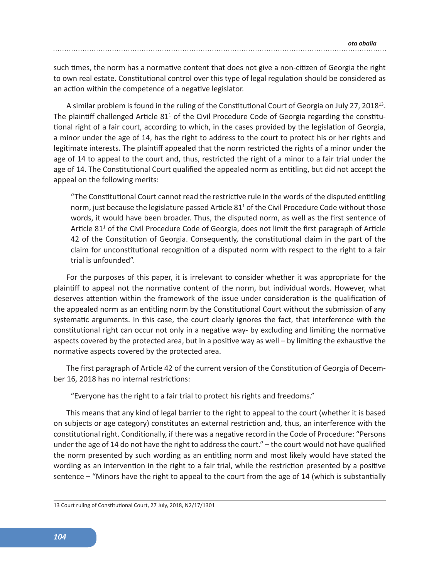such times, the norm has a normative content that does not give a non-citizen of Georgia the right to own real estate. Constitutional control over this type of legal regulation should be considered as an action within the competence of a negative legislator.

A similar problem is found in the ruling of the Constitutional Court of Georgia on July 27, 201813. The plaintiff challenged Article  $81^1$  of the Civil Procedure Code of Georgia regarding the constitutional right of a fair court, according to which, in the cases provided by the legislation of Georgia, a minor under the age of 14, has the right to address to the court to protect his or her rights and legitimate interests. The plaintiff appealed that the norm restricted the rights of a minor under the age of 14 to appeal to the court and, thus, restricted the right of a minor to a fair trial under the age of 14. The Constitutional Court qualified the appealed norm as entitling, but did not accept the appeal on the following merits:

"The Constitutional Court cannot read the restrictive rule in the words of the disputed entitling norm, just because the legislature passed Article  $81^1$  of the Civil Procedure Code without those words, it would have been broader. Thus, the disputed norm, as well as the first sentence of Article 81<sup>1</sup> of the Civil Procedure Code of Georgia, does not limit the first paragraph of Article 42 of the Constitution of Georgia. Consequently, the constitutional claim in the part of the claim for unconstitutional recognition of a disputed norm with respect to the right to a fair trial is unfounded".

For the purposes of this paper, it is irrelevant to consider whether it was appropriate for the plaintiff to appeal not the normative content of the norm, but individual words. However, what deserves attention within the framework of the issue under consideration is the qualification of the appealed norm as an entitling norm by the Constitutional Court without the submission of any systematic arguments. In this case, the court clearly ignores the fact, that interference with the constitutional right can occur not only in a negative way- by excluding and limiting the normative aspects covered by the protected area, but in a positive way as well – by limiting the exhaustive the normative aspects covered by the protected area.

The first paragraph of Article 42 of the current version of the Constitution of Georgia of December 16, 2018 has no internal restrictions:

"Everyone has the right to a fair trial to protect his rights and freedoms."

This means that any kind of legal barrier to the right to appeal to the court (whether it is based on subjects or age category) constitutes an external restriction and, thus, an interference with the constitutional right. Conditionally, if there was a negative record in the Code of Procedure: "Persons under the age of 14 do not have the right to address the court." – the court would not have qualified the norm presented by such wording as an entitling norm and most likely would have stated the wording as an intervention in the right to a fair trial, while the restriction presented by a positive sentence – "Minors have the right to appeal to the court from the age of 14 (which is substantially

<sup>13</sup> Court ruling of Constitutional Court, 27 July, 2018, N2/17/1301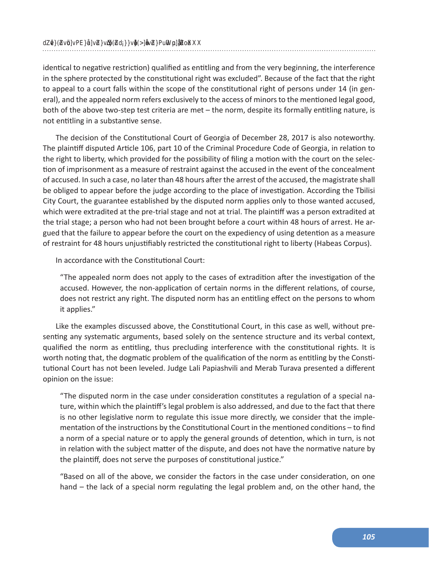*The Essence of the Entitling Norm in the Context of the Two Concepts of Liberty and the Dogmatic Peculiarities Related...*

identical to negative restriction) qualified as entitling and from the very beginning, the interference in the sphere protected by the constitutional right was excluded". Because of the fact that the right to appeal to a court falls within the scope of the constitutional right of persons under 14 (in general), and the appealed norm refers exclusively to the access of minors to the mentioned legal good, both of the above two-step test criteria are met – the norm, despite its formally entitling nature, is not entitling in a substantive sense.

The decision of the Constitutional Court of Georgia of December 28, 2017 is also noteworthy. The plaintiff disputed Article 106, part 10 of the Criminal Procedure Code of Georgia, in relation to the right to liberty, which provided for the possibility of filing a motion with the court on the selection of imprisonment as a measure of restraint against the accused in the event of the concealment of accused. In such a case, no later than 48 hours after the arrest of the accused, the magistrate shall be obliged to appear before the judge according to the place of investigation. According the Tbilisi City Court, the guarantee established by the disputed norm applies only to those wanted accused, which were extradited at the pre-trial stage and not at trial. The plaintiff was a person extradited at the trial stage; a person who had not been brought before a court within 48 hours of arrest. He argued that the failure to appear before the court on the expediency of using detention as a measure of restraint for 48 hours unjustifiably restricted the constitutional right to liberty (Habeas Corpus).

In accordance with the Constitutional Court:

"The appealed norm does not apply to the cases of extradition after the investigation of the accused. However, the non-application of certain norms in the different relations, of course, does not restrict any right. The disputed norm has an entitling effect on the persons to whom it applies."

Like the examples discussed above, the Constitutional Court, in this case as well, without presenting any systematic arguments, based solely on the sentence structure and its verbal context, qualified the norm as entitling, thus precluding interference with the constitutional rights. It is worth noting that, the dogmatic problem of the qualification of the norm as entitling by the Constitutional Court has not been leveled. Judge Lali Papiashvili and Merab Turava presented a different opinion on the issue:

"The disputed norm in the case under consideration constitutes a regulation of a special nature, within which the plaintiff's legal problem is also addressed, and due to the fact that there is no other legislative norm to regulate this issue more directly, we consider that the implementation of the instructions by the Constitutional Court in the mentioned conditions – to find a norm of a special nature or to apply the general grounds of detention, which in turn, is not in relation with the subject matter of the dispute, and does not have the normative nature by the plaintiff, does not serve the purposes of constitutional justice."

"Based on all of the above, we consider the factors in the case under consideration, on one hand – the lack of a special norm regulating the legal problem and, on the other hand, the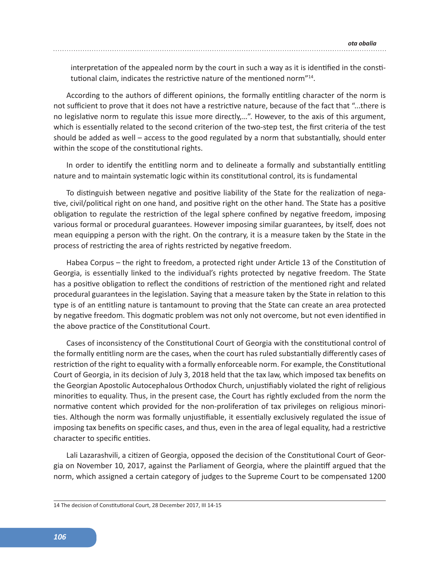interpretation of the appealed norm by the court in such a way as it is identified in the constitutional claim, indicates the restrictive nature of the mentioned norm"14.

According to the authors of different opinions, the formally entitling character of the norm is not sufficient to prove that it does not have a restrictive nature, because of the fact that "...there is no legislative norm to regulate this issue more directly,…". However, to the axis of this argument, which is essentially related to the second criterion of the two-step test, the first criteria of the test should be added as well – access to the good regulated by a norm that substantially, should enter within the scope of the constitutional rights.

In order to identify the entitling norm and to delineate a formally and substantially entitling nature and to maintain systematic logic within its constitutional control, its is fundamental

To distinguish between negative and positive liability of the State for the realization of negative, civil/political right on one hand, and positive right on the other hand. The State has a positive obligation to regulate the restriction of the legal sphere confined by negative freedom, imposing various formal or procedural guarantees. However imposing similar guarantees, by itself, does not mean equipping a person with the right. On the contrary, it is a measure taken by the State in the process of restricting the area of rights restricted by negative freedom.

Habea Corpus – the right to freedom, a protected right under Article 13 of the Constitution of Georgia, is essentially linked to the individual's rights protected by negative freedom. The State has a positive obligation to reflect the conditions of restriction of the mentioned right and related procedural guarantees in the legislation. Saying that a measure taken by the State in relation to this type is of an entitling nature is tantamount to proving that the State can create an area protected by negative freedom. This dogmatic problem was not only not overcome, but not even identified in the above practice of the Constitutional Court.

Cases of inconsistency of the Constitutional Court of Georgia with the constitutional control of the formally entitling norm are the cases, when the court has ruled substantially differently cases of restriction of the right to equality with a formally enforceable norm. For example, the Constitutional Court of Georgia, in its decision of July 3, 2018 held that the tax law, which imposed tax benefits on the Georgian Apostolic Autocephalous Orthodox Church, unjustifiably violated the right of religious minorities to equality. Thus, in the present case, the Court has rightly excluded from the norm the normative content which provided for the non-proliferation of tax privileges on religious minorities. Although the norm was formally unjustifiable, it essentially exclusively regulated the issue of imposing tax benefits on specific cases, and thus, even in the area of legal equality, had a restrictive character to specific entities.

Lali Lazarashvili, a citizen of Georgia, opposed the decision of the Constitutional Court of Georgia on November 10, 2017, against the Parliament of Georgia, where the plaintiff argued that the norm, which assigned a certain category of judges to the Supreme Court to be compensated 1200

<sup>14</sup> The decision of Constitutional Court, 28 December 2017, III 14-15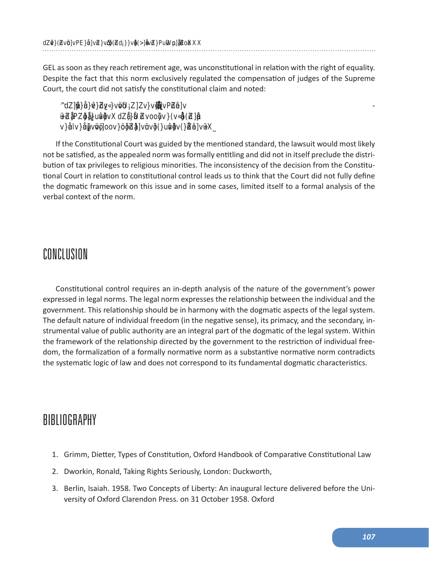*The Essence of the Entitling Norm in the Context of the Two Concepts of Liberty and the Dogmatic Peculiarities Related...*

GEL as soon as they reach retirement age, was unconstitutional in relation with the right of equality. Despite the fact that this norm exclusively regulated the compensation of judges of the Supreme Court, the court did not satisfy the constitutional claim and noted:

*"The disputed norm does not have any content, which can be considered as depriving the plaintiff the right to receive compensation. Therefore, the cancellation of any part of the disputed norm/normative content will not lead to the appointment of compensation for the plaintiff."*

If the Constitutional Court was guided by the mentioned standard, the lawsuit would most likely not be satisfied, as the appealed norm was formally entitling and did not in itself preclude the distribution of tax privileges to religious minorities. The inconsistency of the decision from the Constitutional Court in relation to constitutional control leads us to think that the Court did not fully define the dogmatic framework on this issue and in some cases, limited itself to a formal analysis of the verbal context of the norm.

### CONCLUSION

Constitutional control requires an in-depth analysis of the nature of the government's power expressed in legal norms. The legal norm expresses the relationship between the individual and the government. This relationship should be in harmony with the dogmatic aspects of the legal system. The default nature of individual freedom (in the negative sense), its primacy, and the secondary, instrumental value of public authority are an integral part of the dogmatic of the legal system. Within the framework of the relationship directed by the government to the restriction of individual freedom, the formalization of a formally normative norm as a substantive normative norm contradicts the systematic logic of law and does not correspond to its fundamental dogmatic characteristics.

# BIBLIOGRAPHY

- 1. Grimm, Dietter, Types of Constitution, Oxford Handbook of Comparative Constitutional Law
- 2. Dworkin, Ronald, Taking Rights Seriously, London: Duckworth,
- 3. Berlin, Isaiah. 1958. Two Concepts of Liberty: An inaugural lecture delivered before the University of Oxford Clarendon Press. on 31 October 1958. Oxford